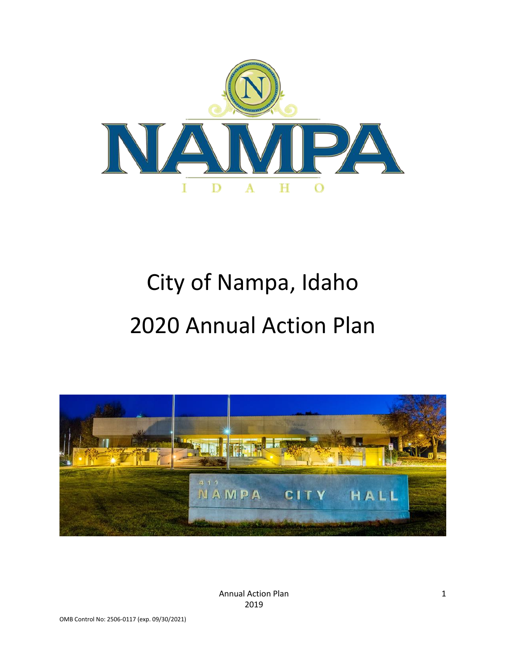

# City of Nampa, Idaho 2020 Annual Action Plan



Annual Action Plan 2019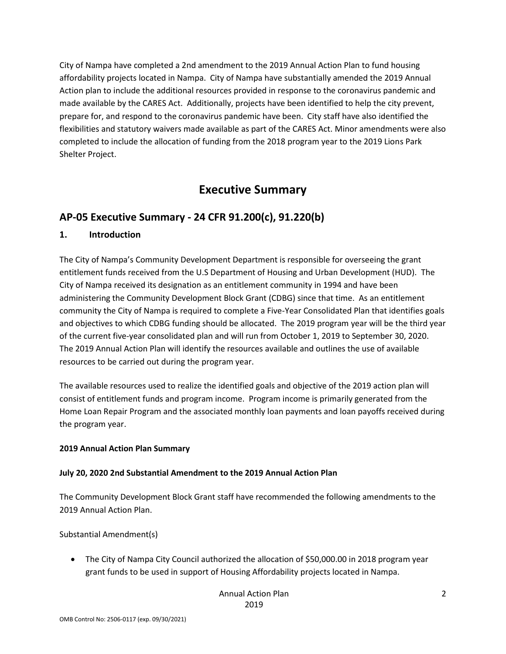City of Nampa have completed a 2nd amendment to the 2019 Annual Action Plan to fund housing affordability projects located in Nampa. City of Nampa have substantially amended the 2019 Annual Action plan to include the additional resources provided in response to the coronavirus pandemic and made available by the CARES Act. Additionally, projects have been identified to help the city prevent, prepare for, and respond to the coronavirus pandemic have been. City staff have also identified the flexibilities and statutory waivers made available as part of the CARES Act. Minor amendments were also completed to include the allocation of funding from the 2018 program year to the 2019 Lions Park Shelter Project.

# **Executive Summary**

# **AP-05 Executive Summary - 24 CFR 91.200(c), 91.220(b)**

#### **1. Introduction**

The City of Nampa's Community Development Department is responsible for overseeing the grant entitlement funds received from the U.S Department of Housing and Urban Development (HUD). The City of Nampa received its designation as an entitlement community in 1994 and have been administering the Community Development Block Grant (CDBG) since that time. As an entitlement community the City of Nampa is required to complete a Five-Year Consolidated Plan that identifies goals and objectives to which CDBG funding should be allocated. The 2019 program year will be the third year of the current five-year consolidated plan and will run from October 1, 2019 to September 30, 2020. The 2019 Annual Action Plan will identify the resources available and outlines the use of available resources to be carried out during the program year.

The available resources used to realize the identified goals and objective of the 2019 action plan will consist of entitlement funds and program income. Program income is primarily generated from the Home Loan Repair Program and the associated monthly loan payments and loan payoffs received during the program year.

#### **2019 Annual Action Plan Summary**

#### **July 20, 2020 2nd Substantial Amendment to the 2019 Annual Action Plan**

The Community Development Block Grant staff have recommended the following amendments to the 2019 Annual Action Plan.

Substantial Amendment(s)

• The City of Nampa City Council authorized the allocation of \$50,000.00 in 2018 program year grant funds to be used in support of Housing Affordability projects located in Nampa.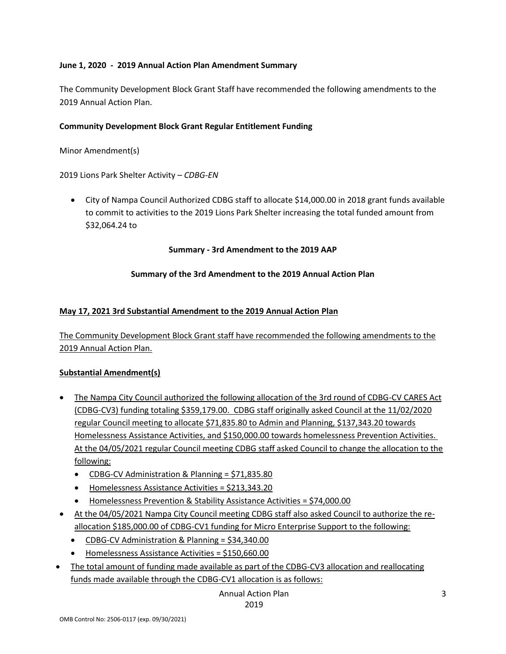#### **June 1, 2020 - 2019 Annual Action Plan Amendment Summary**

The Community Development Block Grant Staff have recommended the following amendments to the 2019 Annual Action Plan.

#### **Community Development Block Grant Regular Entitlement Funding**

Minor Amendment(s)

2019 Lions Park Shelter Activity *– CDBG-EN*

• City of Nampa Council Authorized CDBG staff to allocate \$14,000.00 in 2018 grant funds available to commit to activities to the 2019 Lions Park Shelter increasing the total funded amount from \$32,064.24 to

**Summary - 3rd Amendment to the 2019 AAP**

#### **Summary of the 3rd Amendment to the 2019 Annual Action Plan**

#### **May 17, 2021 3rd Substantial Amendment to the 2019 Annual Action Plan**

The Community Development Block Grant staff have recommended the following amendments to the 2019 Annual Action Plan.

#### **Substantial Amendment(s)**

- The Nampa City Council authorized the following allocation of the 3rd round of CDBG-CV CARES Act (CDBG-CV3) funding totaling \$359,179.00. CDBG staff originally asked Council at the 11/02/2020 regular Council meeting to allocate \$71,835.80 to Admin and Planning, \$137,343.20 towards Homelessness Assistance Activities, and \$150,000.00 towards homelessness Prevention Activities. At the 04/05/2021 regular Council meeting CDBG staff asked Council to change the allocation to the following:
	- CDBG-CV Administration & Planning = \$71,835.80
	- Homelessness Assistance Activities = \$213,343.20
	- Homelessness Prevention & Stability Assistance Activities = \$74,000.00
- At the 04/05/2021 Nampa City Council meeting CDBG staff also asked Council to authorize the reallocation \$185,000.00 of CDBG-CV1 funding for Micro Enterprise Support to the following:
	- CDBG-CV Administration & Planning = \$34,340.00
	- Homelessness Assistance Activities = \$150,660.00
- The total amount of funding made available as part of the CDBG-CV3 allocation and reallocating funds made available through the CDBG-CV1 allocation is as follows:

Annual Action Plan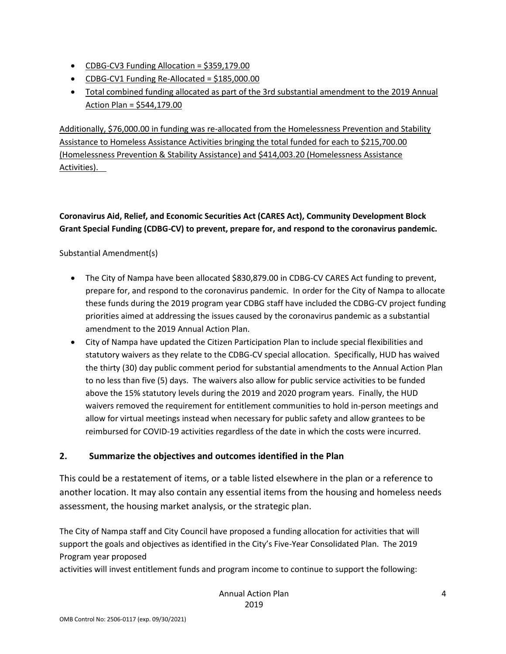- CDBG-CV3 Funding Allocation = \$359,179.00
- CDBG-CV1 Funding Re-Allocated = \$185,000.00
- Total combined funding allocated as part of the 3rd substantial amendment to the 2019 Annual Action Plan = \$544,179.00

Additionally, \$76,000.00 in funding was re-allocated from the Homelessness Prevention and Stability Assistance to Homeless Assistance Activities bringing the total funded for each to \$215,700.00 (Homelessness Prevention & Stability Assistance) and \$414,003.20 (Homelessness Assistance Activities).

# **Coronavirus Aid, Relief, and Economic Securities Act (CARES Act), Community Development Block Grant Special Funding (CDBG-CV) to prevent, prepare for, and respond to the coronavirus pandemic.**

#### Substantial Amendment(s)

- The City of Nampa have been allocated \$830,879.00 in CDBG-CV CARES Act funding to prevent, prepare for, and respond to the coronavirus pandemic. In order for the City of Nampa to allocate these funds during the 2019 program year CDBG staff have included the CDBG-CV project funding priorities aimed at addressing the issues caused by the coronavirus pandemic as a substantial amendment to the 2019 Annual Action Plan.
- City of Nampa have updated the Citizen Participation Plan to include special flexibilities and statutory waivers as they relate to the CDBG-CV special allocation. Specifically, HUD has waived the thirty (30) day public comment period for substantial amendments to the Annual Action Plan to no less than five (5) days. The waivers also allow for public service activities to be funded above the 15% statutory levels during the 2019 and 2020 program years. Finally, the HUD waivers removed the requirement for entitlement communities to hold in-person meetings and allow for virtual meetings instead when necessary for public safety and allow grantees to be reimbursed for COVID-19 activities regardless of the date in which the costs were incurred.

#### **2. Summarize the objectives and outcomes identified in the Plan**

This could be a restatement of items, or a table listed elsewhere in the plan or a reference to another location. It may also contain any essential items from the housing and homeless needs assessment, the housing market analysis, or the strategic plan.

The City of Nampa staff and City Council have proposed a funding allocation for activities that will support the goals and objectives as identified in the City's Five-Year Consolidated Plan. The 2019 Program year proposed

activities will invest entitlement funds and program income to continue to support the following: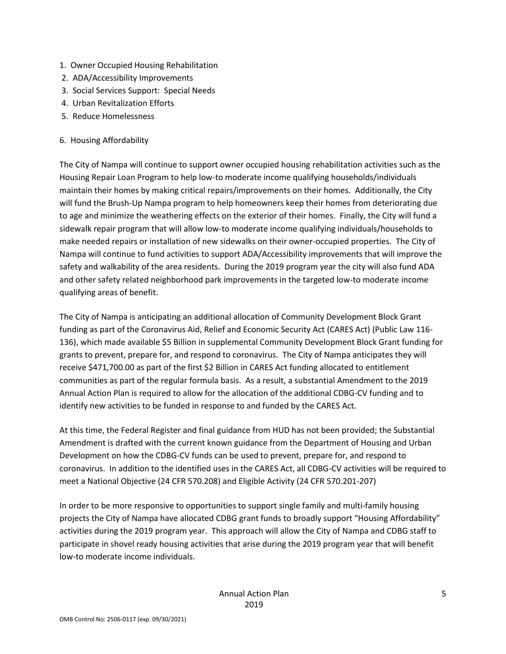- 1. Owner Occupied Housing Rehabilitation
- 2. ADA/Accessibility Improvements
- 3. Social Services Support: Special Needs
- 4. Urban Revitalization Efforts
- 5. Reduce Homelessness

#### 6. Housing Affordability

The City of Nampa will continue to support owner occupied housing rehabilitation activities such as the Housing Repair Loan Program to help low-to moderate income qualifying households/individuals maintain their homes by making critical repairs/improvements on their homes. Additionally, the City will fund the Brush-Up Nampa program to help homeowners keep their homes from deteriorating due to age and minimize the weathering effects on the exterior of their homes. Finally, the City will fund a sidewalk repair program that will allow low-to moderate income qualifying individuals/households to make needed repairs or installation of new sidewalks on their owner-occupied properties. The City of Nampa will continue to fund activities to support ADA/Accessibility improvements that will improve the safety and walkability of the area residents. During the 2019 program year the city will also fund ADA and other safety related neighborhood park improvements in the targeted low-to moderate income qualifying areas of benefit.

The City of Nampa is anticipating an additional allocation of Community Development Block Grant funding as part of the Coronavirus Aid, Relief and Economic Security Act (CARES Act) (Public Law 116- 136), which made available \$5 Billion in supplemental Community Development Block Grant funding for grants to prevent, prepare for, and respond to coronavirus. The City of Nampa anticipates they will receive \$471,700.00 as part of the first \$2 Billion in CARES Act funding allocated to entitlement communities as part of the regular formula basis. As a result, a substantial Amendment to the 2019 Annual Action Plan is required to allow for the allocation of the additional CDBG-CV funding and to identify new activities to be funded in response to and funded by the CARES Act.

At this time, the Federal Register and final guidance from HUD has not been provided; the Substantial Amendment is drafted with the current known guidance from the Department of Housing and Urban Development on how the CDBG-CV funds can be used to prevent, prepare for, and respond to coronavirus. In addition to the identified uses in the CARES Act, all CDBG-CV activities will be required to meet a National Objective (24 CFR 570.208) and Eligible Activity (24 CFR 570.201-207)

In order to be more responsive to opportunities to support single family and multi-family housing projects the City of Nampa have allocated CDBG grant funds to broadly support "Housing Affordability" activities during the 2019 program year. This approach will allow the City of Nampa and CDBG staff to participate in shovel ready housing activities that arise during the 2019 program year that will benefit low-to moderate income individuals.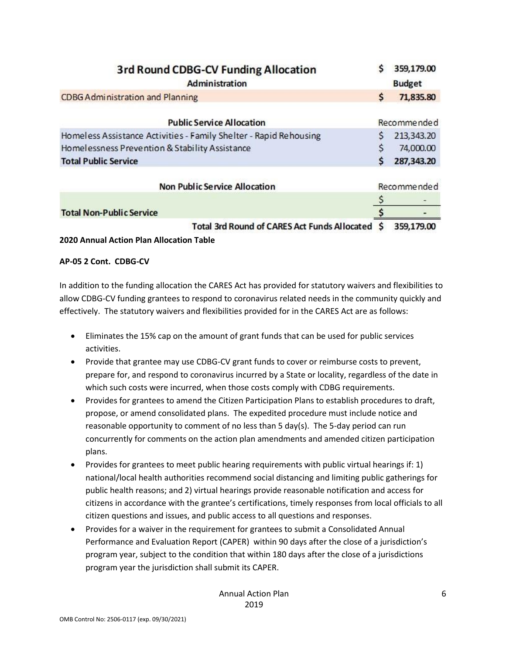| 3rd Round CDBG-CV Funding Allocation<br><b>Administration</b>                                                       |    | 359,179.00<br><b>Budget</b> |
|---------------------------------------------------------------------------------------------------------------------|----|-----------------------------|
| CDBG Administration and Planning                                                                                    | \$ | 71,835.80                   |
| <b>Public Service Allocation</b>                                                                                    |    | Recommended                 |
| Homeless Assistance Activities - Family Shelter - Rapid Rehousing<br>Homelessness Prevention & Stability Assistance | Ś  | 213,343.20<br>74,000.00     |
| <b>Total Public Service</b>                                                                                         |    | 287,343.20                  |
| <b>Non Public Service Allocation</b>                                                                                |    | Recommended                 |
|                                                                                                                     |    |                             |
| <b>Total Non-Public Service</b>                                                                                     |    |                             |
| <b>Total 3rd Round of CARES Act Funds Allocated</b>                                                                 |    | 359,179.00                  |

**2020 Annual Action Plan Allocation Table**

#### **AP-05 2 Cont. CDBG-CV**

In addition to the funding allocation the CARES Act has provided for statutory waivers and flexibilities to allow CDBG-CV funding grantees to respond to coronavirus related needs in the community quickly and effectively. The statutory waivers and flexibilities provided for in the CARES Act are as follows:

- Eliminates the 15% cap on the amount of grant funds that can be used for public services activities.
- Provide that grantee may use CDBG-CV grant funds to cover or reimburse costs to prevent, prepare for, and respond to coronavirus incurred by a State or locality, regardless of the date in which such costs were incurred, when those costs comply with CDBG requirements.
- Provides for grantees to amend the Citizen Participation Plans to establish procedures to draft, propose, or amend consolidated plans. The expedited procedure must include notice and reasonable opportunity to comment of no less than 5 day(s). The 5-day period can run concurrently for comments on the action plan amendments and amended citizen participation plans.
- Provides for grantees to meet public hearing requirements with public virtual hearings if: 1) national/local health authorities recommend social distancing and limiting public gatherings for public health reasons; and 2) virtual hearings provide reasonable notification and access for citizens in accordance with the grantee's certifications, timely responses from local officials to all citizen questions and issues, and public access to all questions and responses.
- Provides for a waiver in the requirement for grantees to submit a Consolidated Annual Performance and Evaluation Report (CAPER) within 90 days after the close of a jurisdiction's program year, subject to the condition that within 180 days after the close of a jurisdictions program year the jurisdiction shall submit its CAPER.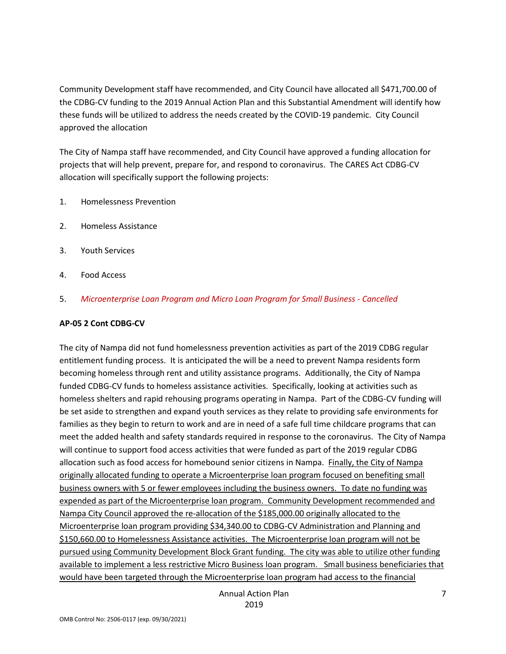Community Development staff have recommended, and City Council have allocated all \$471,700.00 of the CDBG-CV funding to the 2019 Annual Action Plan and this Substantial Amendment will identify how these funds will be utilized to address the needs created by the COVID-19 pandemic. City Council approved the allocation

The City of Nampa staff have recommended, and City Council have approved a funding allocation for projects that will help prevent, prepare for, and respond to coronavirus. The CARES Act CDBG-CV allocation will specifically support the following projects:

- 1. Homelessness Prevention
- 2. Homeless Assistance
- 3. Youth Services
- 4. Food Access
- 5. *Microenterprise Loan Program and Micro Loan Program for Small Business - Cancelled*

#### **AP-05 2 Cont CDBG-CV**

The city of Nampa did not fund homelessness prevention activities as part of the 2019 CDBG regular entitlement funding process. It is anticipated the will be a need to prevent Nampa residents form becoming homeless through rent and utility assistance programs. Additionally, the City of Nampa funded CDBG-CV funds to homeless assistance activities. Specifically, looking at activities such as homeless shelters and rapid rehousing programs operating in Nampa. Part of the CDBG-CV funding will be set aside to strengthen and expand youth services as they relate to providing safe environments for families as they begin to return to work and are in need of a safe full time childcare programs that can meet the added health and safety standards required in response to the coronavirus. The City of Nampa will continue to support food access activities that were funded as part of the 2019 regular CDBG allocation such as food access for homebound senior citizens in Nampa. Finally, the City of Nampa originally allocated funding to operate a Microenterprise loan program focused on benefiting small business owners with 5 or fewer employees including the business owners. To date no funding was expended as part of the Microenterprise loan program. Community Development recommended and Nampa City Council approved the re-allocation of the \$185,000.00 originally allocated to the Microenterprise loan program providing \$34,340.00 to CDBG-CV Administration and Planning and \$150,660.00 to Homelessness Assistance activities. The Microenterprise loan program will not be pursued using Community Development Block Grant funding. The city was able to utilize other funding available to implement a less restrictive Micro Business loan program. Small business beneficiaries that would have been targeted through the Microenterprise loan program had access to the financial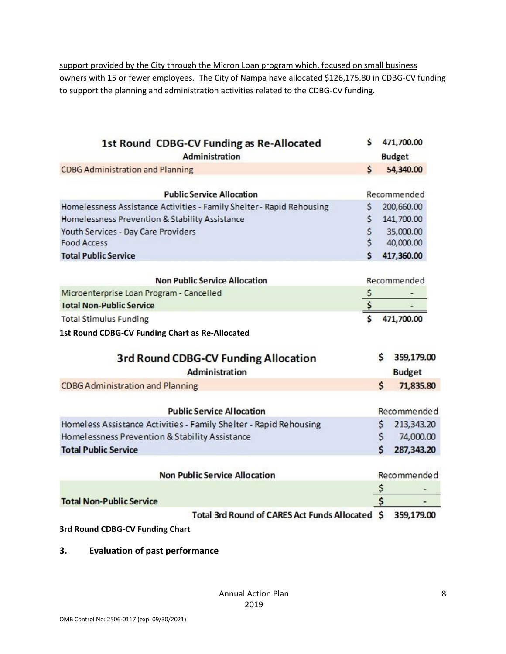support provided by the City through the Micron Loan program which, focused on small business owners with 15 or fewer employees. The City of Nampa have allocated \$126,175.80 in CDBG-CV funding to support the planning and administration activities related to the CDBG-CV funding.

| S.<br>1st Round CDBG-CV Funding as Re-Allocated<br>Administration           |              | 471,700.00<br><b>Budget</b> |
|-----------------------------------------------------------------------------|--------------|-----------------------------|
| <b>CDBG Administration and Planning</b><br>\$                               |              | 54,340.00                   |
| <b>Public Service Allocation</b>                                            |              | Recommended                 |
| Homelessness Assistance Activities - Family Shelter - Rapid Rehousing<br>\$ |              | 200,660.00                  |
| \$<br>Homelessness Prevention & Stability Assistance                        |              | 141,700.00                  |
| \$<br>Youth Services - Day Care Providers                                   |              | 35,000.00                   |
| \$<br><b>Food Access</b>                                                    |              | 40,000.00                   |
| Ś<br><b>Total Public Service</b>                                            |              | 417,360.00                  |
|                                                                             |              |                             |
| <b>Non Public Service Allocation</b>                                        |              | Recommended                 |
| Microenterprise Loan Program - Cancelled                                    |              |                             |
| \$<br><b>Total Non-Public Service</b>                                       |              |                             |
| <b>Total Stimulus Funding</b>                                               |              | 471,700.00                  |
| 1st Round CDBG-CV Funding Chart as Re-Allocated                             |              |                             |
| 3rd Round CDBG-CV Funding Allocation                                        | s            | 359,179.00                  |
| Administration                                                              |              | <b>Budget</b>               |
| <b>CDBG Administration and Planning</b>                                     | $\mathsf{S}$ | 71,835.80                   |
|                                                                             |              |                             |
| <b>Public Service Allocation</b>                                            |              | Recommended                 |
| Homeless Assistance Activities - Family Shelter - Rapid Rehousing           | \$           | 213,343.20                  |
| Homelessness Prevention & Stability Assistance                              | \$           | 74,000.00                   |
| <b>Total Public Service</b>                                                 | Ś            | 287,343.20                  |
| <b>Non Public Service Allocation</b>                                        |              | Recommended                 |
|                                                                             | \$           |                             |
| <b>Total Non-Public Service</b>                                             | \$           |                             |
| Total 3rd Round of CARES Act Funds Allocated \$                             |              | 359,179.00                  |

**3rd Round CDBG-CV Funding Chart**

**3. Evaluation of past performance**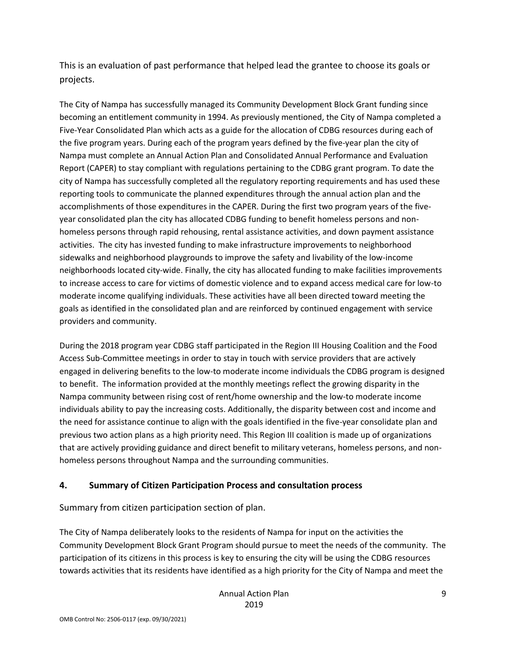This is an evaluation of past performance that helped lead the grantee to choose its goals or projects.

The City of Nampa has successfully managed its Community Development Block Grant funding since becoming an entitlement community in 1994. As previously mentioned, the City of Nampa completed a Five-Year Consolidated Plan which acts as a guide for the allocation of CDBG resources during each of the five program years. During each of the program years defined by the five-year plan the city of Nampa must complete an Annual Action Plan and Consolidated Annual Performance and Evaluation Report (CAPER) to stay compliant with regulations pertaining to the CDBG grant program. To date the city of Nampa has successfully completed all the regulatory reporting requirements and has used these reporting tools to communicate the planned expenditures through the annual action plan and the accomplishments of those expenditures in the CAPER. During the first two program years of the fiveyear consolidated plan the city has allocated CDBG funding to benefit homeless persons and nonhomeless persons through rapid rehousing, rental assistance activities, and down payment assistance activities. The city has invested funding to make infrastructure improvements to neighborhood sidewalks and neighborhood playgrounds to improve the safety and livability of the low-income neighborhoods located city-wide. Finally, the city has allocated funding to make facilities improvements to increase access to care for victims of domestic violence and to expand access medical care for low-to moderate income qualifying individuals. These activities have all been directed toward meeting the goals as identified in the consolidated plan and are reinforced by continued engagement with service providers and community.

During the 2018 program year CDBG staff participated in the Region III Housing Coalition and the Food Access Sub-Committee meetings in order to stay in touch with service providers that are actively engaged in delivering benefits to the low-to moderate income individuals the CDBG program is designed to benefit. The information provided at the monthly meetings reflect the growing disparity in the Nampa community between rising cost of rent/home ownership and the low-to moderate income individuals ability to pay the increasing costs. Additionally, the disparity between cost and income and the need for assistance continue to align with the goals identified in the five-year consolidate plan and previous two action plans as a high priority need. This Region III coalition is made up of organizations that are actively providing guidance and direct benefit to military veterans, homeless persons, and nonhomeless persons throughout Nampa and the surrounding communities.

#### **4. Summary of Citizen Participation Process and consultation process**

Summary from citizen participation section of plan.

The City of Nampa deliberately looks to the residents of Nampa for input on the activities the Community Development Block Grant Program should pursue to meet the needs of the community. The participation of its citizens in this process is key to ensuring the city will be using the CDBG resources towards activities that its residents have identified as a high priority for the City of Nampa and meet the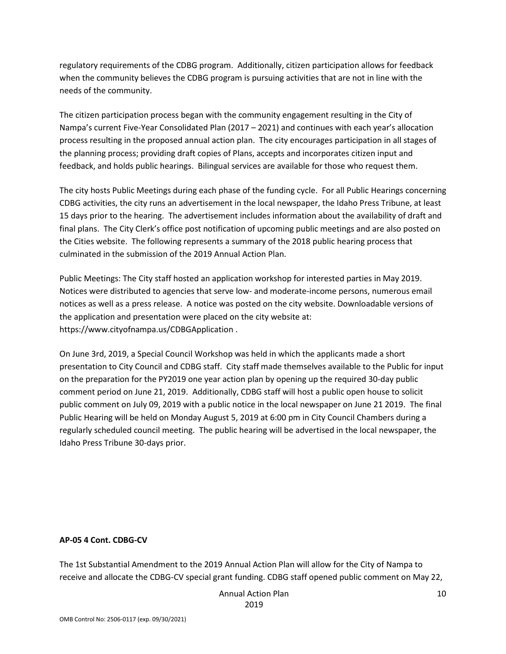regulatory requirements of the CDBG program. Additionally, citizen participation allows for feedback when the community believes the CDBG program is pursuing activities that are not in line with the needs of the community.

The citizen participation process began with the community engagement resulting in the City of Nampa's current Five-Year Consolidated Plan (2017 – 2021) and continues with each year's allocation process resulting in the proposed annual action plan. The city encourages participation in all stages of the planning process; providing draft copies of Plans, accepts and incorporates citizen input and feedback, and holds public hearings. Bilingual services are available for those who request them.

The city hosts Public Meetings during each phase of the funding cycle. For all Public Hearings concerning CDBG activities, the city runs an advertisement in the local newspaper, the Idaho Press Tribune, at least 15 days prior to the hearing. The advertisement includes information about the availability of draft and final plans. The City Clerk's office post notification of upcoming public meetings and are also posted on the Cities website. The following represents a summary of the 2018 public hearing process that culminated in the submission of the 2019 Annual Action Plan.

Public Meetings: The City staff hosted an application workshop for interested parties in May 2019. Notices were distributed to agencies that serve low- and moderate-income persons, numerous email notices as well as a press release. A notice was posted on the city website. Downloadable versions of the application and presentation were placed on the city website at: https://www.cityofnampa.us/CDBGApplication .

On June 3rd, 2019, a Special Council Workshop was held in which the applicants made a short presentation to City Council and CDBG staff. City staff made themselves available to the Public for input on the preparation for the PY2019 one year action plan by opening up the required 30-day public comment period on June 21, 2019. Additionally, CDBG staff will host a public open house to solicit public comment on July 09, 2019 with a public notice in the local newspaper on June 21 2019. The final Public Hearing will be held on Monday August 5, 2019 at 6:00 pm in City Council Chambers during a regularly scheduled council meeting. The public hearing will be advertised in the local newspaper, the Idaho Press Tribune 30-days prior.

#### **AP-05 4 Cont. CDBG-CV**

The 1st Substantial Amendment to the 2019 Annual Action Plan will allow for the City of Nampa to receive and allocate the CDBG-CV special grant funding. CDBG staff opened public comment on May 22,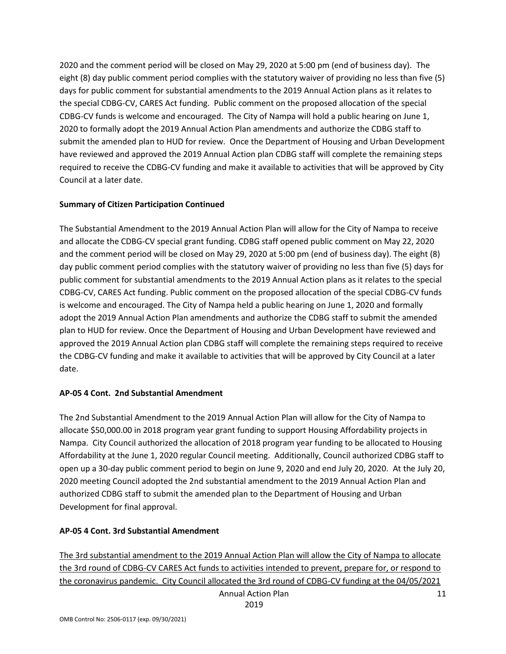2020 and the comment period will be closed on May 29, 2020 at 5:00 pm (end of business day). The eight (8) day public comment period complies with the statutory waiver of providing no less than five (5) days for public comment for substantial amendments to the 2019 Annual Action plans as it relates to the special CDBG-CV, CARES Act funding. Public comment on the proposed allocation of the special CDBG-CV funds is welcome and encouraged. The City of Nampa will hold a public hearing on June 1, 2020 to formally adopt the 2019 Annual Action Plan amendments and authorize the CDBG staff to submit the amended plan to HUD for review. Once the Department of Housing and Urban Development have reviewed and approved the 2019 Annual Action plan CDBG staff will complete the remaining steps required to receive the CDBG-CV funding and make it available to activities that will be approved by City Council at a later date.

#### **Summary of Citizen Participation Continued**

The Substantial Amendment to the 2019 Annual Action Plan will allow for the City of Nampa to receive and allocate the CDBG-CV special grant funding. CDBG staff opened public comment on May 22, 2020 and the comment period will be closed on May 29, 2020 at 5:00 pm (end of business day). The eight (8) day public comment period complies with the statutory waiver of providing no less than five (5) days for public comment for substantial amendments to the 2019 Annual Action plans as it relates to the special CDBG-CV, CARES Act funding. Public comment on the proposed allocation of the special CDBG-CV funds is welcome and encouraged. The City of Nampa held a public hearing on June 1, 2020 and formally adopt the 2019 Annual Action Plan amendments and authorize the CDBG staff to submit the amended plan to HUD for review. Once the Department of Housing and Urban Development have reviewed and approved the 2019 Annual Action plan CDBG staff will complete the remaining steps required to receive the CDBG-CV funding and make it available to activities that will be approved by City Council at a later date.

#### **AP-05 4 Cont. 2nd Substantial Amendment**

The 2nd Substantial Amendment to the 2019 Annual Action Plan will allow for the City of Nampa to allocate \$50,000.00 in 2018 program year grant funding to support Housing Affordability projects in Nampa. City Council authorized the allocation of 2018 program year funding to be allocated to Housing Affordability at the June 1, 2020 regular Council meeting. Additionally, Council authorized CDBG staff to open up a 30-day public comment period to begin on June 9, 2020 and end July 20, 2020. At the July 20, 2020 meeting Council adopted the 2nd substantial amendment to the 2019 Annual Action Plan and authorized CDBG staff to submit the amended plan to the Department of Housing and Urban Development for final approval.

#### **AP-05 4 Cont. 3rd Substantial Amendment**

Annual Action Plan The 3rd substantial amendment to the 2019 Annual Action Plan will allow the City of Nampa to allocate the 3rd round of CDBG-CV CARES Act funds to activities intended to prevent, prepare for, or respond to the coronavirus pandemic. City Council allocated the 3rd round of CDBG-CV funding at the 04/05/2021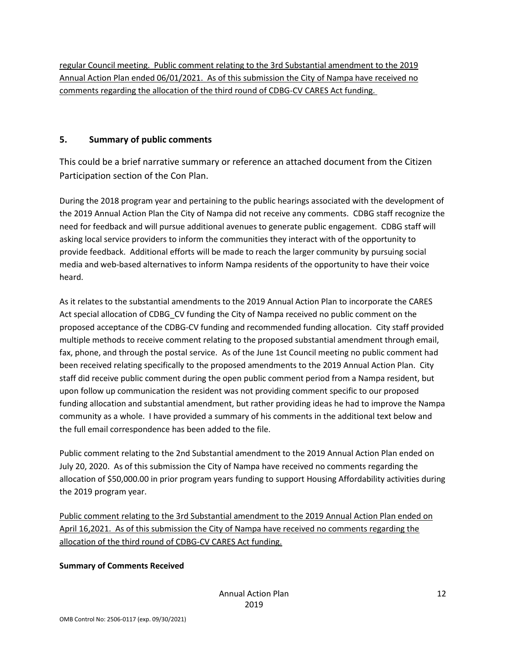regular Council meeting. Public comment relating to the 3rd Substantial amendment to the 2019 Annual Action Plan ended 06/01/2021. As of this submission the City of Nampa have received no comments regarding the allocation of the third round of CDBG-CV CARES Act funding.

#### **5. Summary of public comments**

This could be a brief narrative summary or reference an attached document from the Citizen Participation section of the Con Plan.

During the 2018 program year and pertaining to the public hearings associated with the development of the 2019 Annual Action Plan the City of Nampa did not receive any comments. CDBG staff recognize the need for feedback and will pursue additional avenues to generate public engagement. CDBG staff will asking local service providers to inform the communities they interact with of the opportunity to provide feedback. Additional efforts will be made to reach the larger community by pursuing social media and web-based alternatives to inform Nampa residents of the opportunity to have their voice heard.

As it relates to the substantial amendments to the 2019 Annual Action Plan to incorporate the CARES Act special allocation of CDBG CV funding the City of Nampa received no public comment on the proposed acceptance of the CDBG-CV funding and recommended funding allocation. City staff provided multiple methods to receive comment relating to the proposed substantial amendment through email, fax, phone, and through the postal service. As of the June 1st Council meeting no public comment had been received relating specifically to the proposed amendments to the 2019 Annual Action Plan. City staff did receive public comment during the open public comment period from a Nampa resident, but upon follow up communication the resident was not providing comment specific to our proposed funding allocation and substantial amendment, but rather providing ideas he had to improve the Nampa community as a whole. I have provided a summary of his comments in the additional text below and the full email correspondence has been added to the file.

Public comment relating to the 2nd Substantial amendment to the 2019 Annual Action Plan ended on July 20, 2020. As of this submission the City of Nampa have received no comments regarding the allocation of \$50,000.00 in prior program years funding to support Housing Affordability activities during the 2019 program year.

Public comment relating to the 3rd Substantial amendment to the 2019 Annual Action Plan ended on April 16,2021. As of this submission the City of Nampa have received no comments regarding the allocation of the third round of CDBG-CV CARES Act funding.

#### **Summary of Comments Received**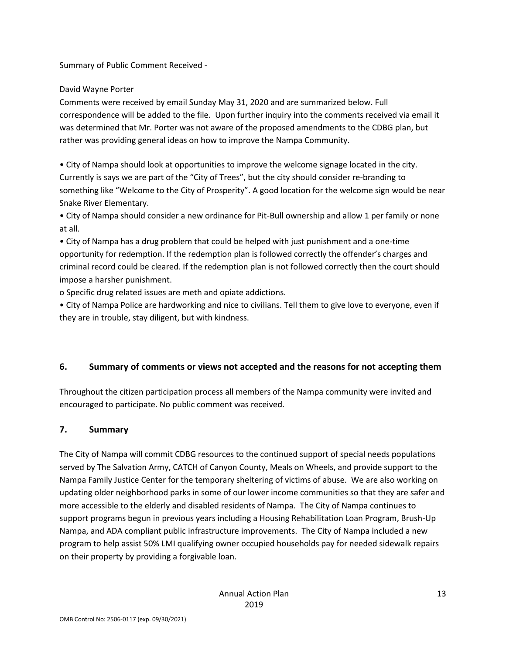Summary of Public Comment Received -

#### David Wayne Porter

Comments were received by email Sunday May 31, 2020 and are summarized below. Full correspondence will be added to the file. Upon further inquiry into the comments received via email it was determined that Mr. Porter was not aware of the proposed amendments to the CDBG plan, but rather was providing general ideas on how to improve the Nampa Community.

• City of Nampa should look at opportunities to improve the welcome signage located in the city. Currently is says we are part of the "City of Trees", but the city should consider re-branding to something like "Welcome to the City of Prosperity". A good location for the welcome sign would be near Snake River Elementary.

• City of Nampa should consider a new ordinance for Pit-Bull ownership and allow 1 per family or none at all.

• City of Nampa has a drug problem that could be helped with just punishment and a one-time opportunity for redemption. If the redemption plan is followed correctly the offender's charges and criminal record could be cleared. If the redemption plan is not followed correctly then the court should impose a harsher punishment.

o Specific drug related issues are meth and opiate addictions.

• City of Nampa Police are hardworking and nice to civilians. Tell them to give love to everyone, even if they are in trouble, stay diligent, but with kindness.

#### **6. Summary of comments or views not accepted and the reasons for not accepting them**

Throughout the citizen participation process all members of the Nampa community were invited and encouraged to participate. No public comment was received.

#### **7. Summary**

The City of Nampa will commit CDBG resources to the continued support of special needs populations served by The Salvation Army, CATCH of Canyon County, Meals on Wheels, and provide support to the Nampa Family Justice Center for the temporary sheltering of victims of abuse. We are also working on updating older neighborhood parks in some of our lower income communities so that they are safer and more accessible to the elderly and disabled residents of Nampa. The City of Nampa continues to support programs begun in previous years including a Housing Rehabilitation Loan Program, Brush-Up Nampa, and ADA compliant public infrastructure improvements. The City of Nampa included a new program to help assist 50% LMI qualifying owner occupied households pay for needed sidewalk repairs on their property by providing a forgivable loan.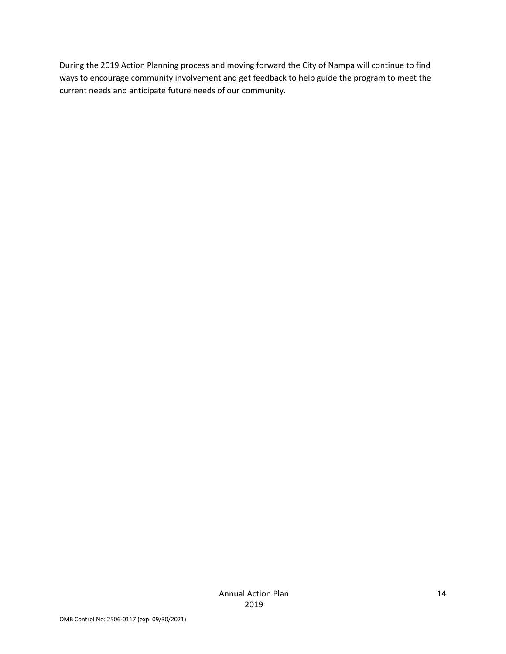During the 2019 Action Planning process and moving forward the City of Nampa will continue to find ways to encourage community involvement and get feedback to help guide the program to meet the current needs and anticipate future needs of our community.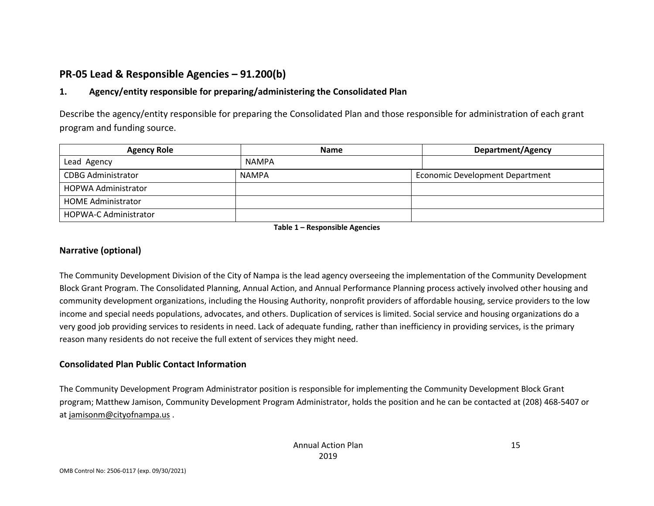# **PR-05 Lead & Responsible Agencies – 91.200(b)**

# **1. Agency/entity responsible for preparing/administering the Consolidated Plan**

Describe the agency/entity responsible for preparing the Consolidated Plan and those responsible for administration of each grant program and funding source.

| <b>Agency Role</b>           | <b>Name</b> | <b>Department/Agency</b>        |
|------------------------------|-------------|---------------------------------|
| Lead Agency                  | NAMPA       |                                 |
| <b>CDBG Administrator</b>    | NAMPA       | Economic Development Department |
| HOPWA Administrator          |             |                                 |
| <b>HOME Administrator</b>    |             |                                 |
| <b>HOPWA-C Administrator</b> |             |                                 |

**Table 1 – Responsible Agencies**

#### **Narrative (optional)**

The Community Development Division of the City of Nampa is the lead agency overseeing the implementation of the Community Development Block Grant Program. The Consolidated Planning, Annual Action, and Annual Performance Planning process actively involved other housing and community development organizations, including the Housing Authority, nonprofit providers of affordable housing, service providers to the low income and special needs populations, advocates, and others. Duplication of services is limited. Social service and housing organizations do a very good job providing services to residents in need. Lack of adequate funding, rather than inefficiency in providing services, is the primary reason many residents do not receive the full extent of services they might need.

#### **Consolidated Plan Public Contact Information**

The Community Development Program Administrator position is responsible for implementing the Community Development Block Grant program; Matthew Jamison, Community Development Program Administrator, holds the position and he can be contacted at (208) 468-5407 or at jamisonm@cityofnampa.us .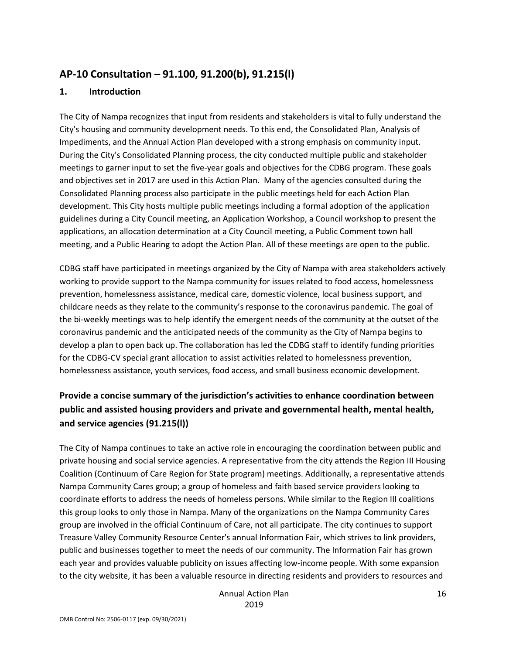# **AP-10 Consultation – 91.100, 91.200(b), 91.215(l)**

#### **1. Introduction**

The City of Nampa recognizes that input from residents and stakeholders is vital to fully understand the City's housing and community development needs. To this end, the Consolidated Plan, Analysis of Impediments, and the Annual Action Plan developed with a strong emphasis on community input. During the City's Consolidated Planning process, the city conducted multiple public and stakeholder meetings to garner input to set the five-year goals and objectives for the CDBG program. These goals and objectives set in 2017 are used in this Action Plan. Many of the agencies consulted during the Consolidated Planning process also participate in the public meetings held for each Action Plan development. This City hosts multiple public meetings including a formal adoption of the application guidelines during a City Council meeting, an Application Workshop, a Council workshop to present the applications, an allocation determination at a City Council meeting, a Public Comment town hall meeting, and a Public Hearing to adopt the Action Plan. All of these meetings are open to the public.

CDBG staff have participated in meetings organized by the City of Nampa with area stakeholders actively working to provide support to the Nampa community for issues related to food access, homelessness prevention, homelessness assistance, medical care, domestic violence, local business support, and childcare needs as they relate to the community's response to the coronavirus pandemic. The goal of the bi-weekly meetings was to help identify the emergent needs of the community at the outset of the coronavirus pandemic and the anticipated needs of the community as the City of Nampa begins to develop a plan to open back up. The collaboration has led the CDBG staff to identify funding priorities for the CDBG-CV special grant allocation to assist activities related to homelessness prevention, homelessness assistance, youth services, food access, and small business economic development.

# **Provide a concise summary of the jurisdiction's activities to enhance coordination between public and assisted housing providers and private and governmental health, mental health, and service agencies (91.215(l))**

The City of Nampa continues to take an active role in encouraging the coordination between public and private housing and social service agencies. A representative from the city attends the Region III Housing Coalition (Continuum of Care Region for State program) meetings. Additionally, a representative attends Nampa Community Cares group; a group of homeless and faith based service providers looking to coordinate efforts to address the needs of homeless persons. While similar to the Region III coalitions this group looks to only those in Nampa. Many of the organizations on the Nampa Community Cares group are involved in the official Continuum of Care, not all participate. The city continues to support Treasure Valley Community Resource Center's annual Information Fair, which strives to link providers, public and businesses together to meet the needs of our community. The Information Fair has grown each year and provides valuable publicity on issues affecting low-income people. With some expansion to the city website, it has been a valuable resource in directing residents and providers to resources and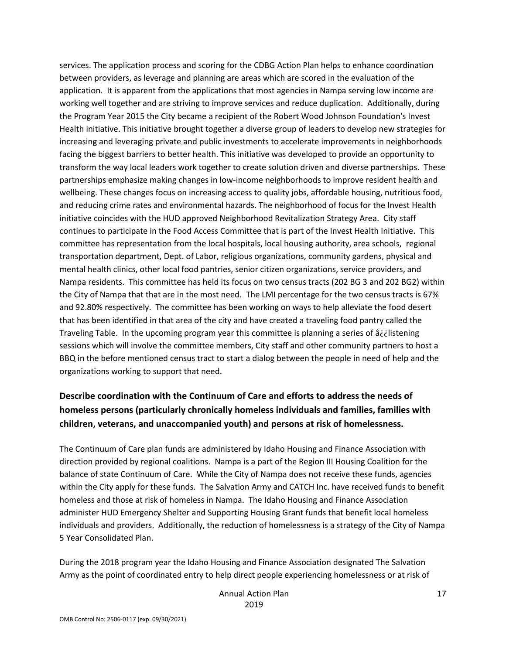services. The application process and scoring for the CDBG Action Plan helps to enhance coordination between providers, as leverage and planning are areas which are scored in the evaluation of the application. It is apparent from the applications that most agencies in Nampa serving low income are working well together and are striving to improve services and reduce duplication. Additionally, during the Program Year 2015 the City became a recipient of the Robert Wood Johnson Foundation's Invest Health initiative. This initiative brought together a diverse group of leaders to develop new strategies for increasing and leveraging private and public investments to accelerate improvements in neighborhoods facing the biggest barriers to better health. This initiative was developed to provide an opportunity to transform the way local leaders work together to create solution driven and diverse partnerships. These partnerships emphasize making changes in low-income neighborhoods to improve resident health and wellbeing. These changes focus on increasing access to quality jobs, affordable housing, nutritious food, and reducing crime rates and environmental hazards. The neighborhood of focus for the Invest Health initiative coincides with the HUD approved Neighborhood Revitalization Strategy Area. City staff continues to participate in the Food Access Committee that is part of the Invest Health Initiative. This committee has representation from the local hospitals, local housing authority, area schools, regional transportation department, Dept. of Labor, religious organizations, community gardens, physical and mental health clinics, other local food pantries, senior citizen organizations, service providers, and Nampa residents. This committee has held its focus on two census tracts (202 BG 3 and 202 BG2) within the City of Nampa that that are in the most need. The LMI percentage for the two census tracts is 67% and 92.80% respectively. The committee has been working on ways to help alleviate the food desert that has been identified in that area of the city and have created a traveling food pantry called the Traveling Table. In the upcoming program year this committee is planning a series of â¿¿listening sessions which will involve the committee members, City staff and other community partners to host a BBQ in the before mentioned census tract to start a dialog between the people in need of help and the organizations working to support that need.

# **Describe coordination with the Continuum of Care and efforts to address the needs of homeless persons (particularly chronically homeless individuals and families, families with children, veterans, and unaccompanied youth) and persons at risk of homelessness.**

The Continuum of Care plan funds are administered by Idaho Housing and Finance Association with direction provided by regional coalitions. Nampa is a part of the Region III Housing Coalition for the balance of state Continuum of Care. While the City of Nampa does not receive these funds, agencies within the City apply for these funds. The Salvation Army and CATCH Inc. have received funds to benefit homeless and those at risk of homeless in Nampa. The Idaho Housing and Finance Association administer HUD Emergency Shelter and Supporting Housing Grant funds that benefit local homeless individuals and providers. Additionally, the reduction of homelessness is a strategy of the City of Nampa 5 Year Consolidated Plan.

During the 2018 program year the Idaho Housing and Finance Association designated The Salvation Army as the point of coordinated entry to help direct people experiencing homelessness or at risk of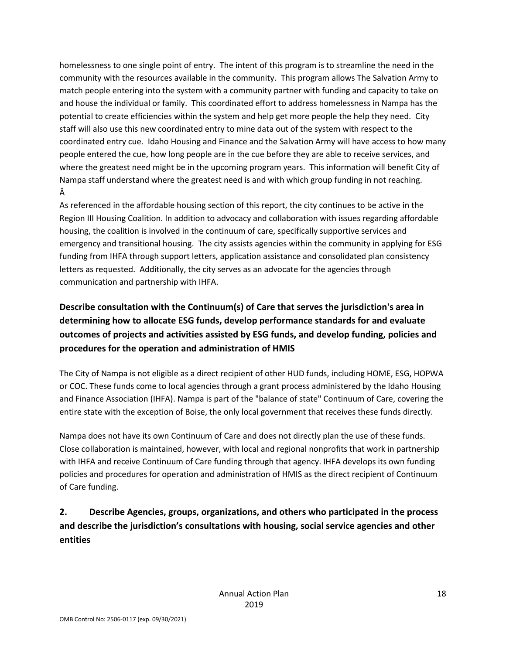homelessness to one single point of entry. The intent of this program is to streamline the need in the community with the resources available in the community. This program allows The Salvation Army to match people entering into the system with a community partner with funding and capacity to take on and house the individual or family. This coordinated effort to address homelessness in Nampa has the potential to create efficiencies within the system and help get more people the help they need. City staff will also use this new coordinated entry to mine data out of the system with respect to the coordinated entry cue. Idaho Housing and Finance and the Salvation Army will have access to how many people entered the cue, how long people are in the cue before they are able to receive services, and where the greatest need might be in the upcoming program years. This information will benefit City of Nampa staff understand where the greatest need is and with which group funding in not reaching. Â

As referenced in the affordable housing section of this report, the city continues to be active in the Region III Housing Coalition. In addition to advocacy and collaboration with issues regarding affordable housing, the coalition is involved in the continuum of care, specifically supportive services and emergency and transitional housing. The city assists agencies within the community in applying for ESG funding from IHFA through support letters, application assistance and consolidated plan consistency letters as requested. Additionally, the city serves as an advocate for the agencies through communication and partnership with IHFA.

**Describe consultation with the Continuum(s) of Care that serves the jurisdiction's area in determining how to allocate ESG funds, develop performance standards for and evaluate outcomes of projects and activities assisted by ESG funds, and develop funding, policies and procedures for the operation and administration of HMIS**

The City of Nampa is not eligible as a direct recipient of other HUD funds, including HOME, ESG, HOPWA or COC. These funds come to local agencies through a grant process administered by the Idaho Housing and Finance Association (IHFA). Nampa is part of the "balance of state" Continuum of Care, covering the entire state with the exception of Boise, the only local government that receives these funds directly.

Nampa does not have its own Continuum of Care and does not directly plan the use of these funds. Close collaboration is maintained, however, with local and regional nonprofits that work in partnership with IHFA and receive Continuum of Care funding through that agency. IHFA develops its own funding policies and procedures for operation and administration of HMIS as the direct recipient of Continuum of Care funding.

**2. Describe Agencies, groups, organizations, and others who participated in the process and describe the jurisdiction's consultations with housing, social service agencies and other entities**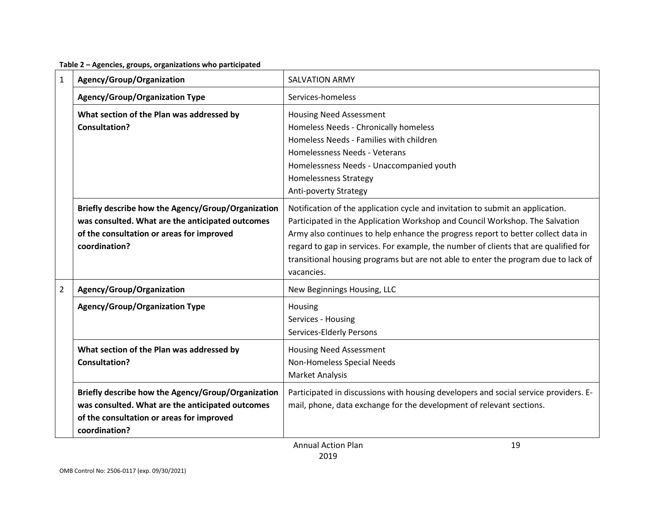**Table 2 – Agencies, groups, organizations who participated**

| $\mathbf{1}$   | Agency/Group/Organization                                                                                                                                            | <b>SALVATION ARMY</b>                                                                                                                                                                                                                                                                                                                                                                                                                           |
|----------------|----------------------------------------------------------------------------------------------------------------------------------------------------------------------|-------------------------------------------------------------------------------------------------------------------------------------------------------------------------------------------------------------------------------------------------------------------------------------------------------------------------------------------------------------------------------------------------------------------------------------------------|
|                | <b>Agency/Group/Organization Type</b>                                                                                                                                | Services-homeless                                                                                                                                                                                                                                                                                                                                                                                                                               |
|                | What section of the Plan was addressed by<br><b>Consultation?</b>                                                                                                    | Housing Need Assessment<br>Homeless Needs - Chronically homeless<br>Homeless Needs - Families with children<br>Homelessness Needs - Veterans<br>Homelessness Needs - Unaccompanied youth<br><b>Homelessness Strategy</b><br>Anti-poverty Strategy                                                                                                                                                                                               |
|                | Briefly describe how the Agency/Group/Organization<br>was consulted. What are the anticipated outcomes<br>of the consultation or areas for improved<br>coordination? | Notification of the application cycle and invitation to submit an application.<br>Participated in the Application Workshop and Council Workshop. The Salvation<br>Army also continues to help enhance the progress report to better collect data in<br>regard to gap in services. For example, the number of clients that are qualified for<br>transitional housing programs but are not able to enter the program due to lack of<br>vacancies. |
| $\overline{2}$ | Agency/Group/Organization                                                                                                                                            | New Beginnings Housing, LLC                                                                                                                                                                                                                                                                                                                                                                                                                     |
|                | <b>Agency/Group/Organization Type</b>                                                                                                                                | Housing<br>Services - Housing<br><b>Services-Elderly Persons</b>                                                                                                                                                                                                                                                                                                                                                                                |
|                | What section of the Plan was addressed by<br>Consultation?                                                                                                           | <b>Housing Need Assessment</b><br>Non-Homeless Special Needs<br>Market Analysis                                                                                                                                                                                                                                                                                                                                                                 |
|                | Briefly describe how the Agency/Group/Organization<br>was consulted. What are the anticipated outcomes<br>of the consultation or areas for improved<br>coordination? | Participated in discussions with housing developers and social service providers. E-<br>mail, phone, data exchange for the development of relevant sections.                                                                                                                                                                                                                                                                                    |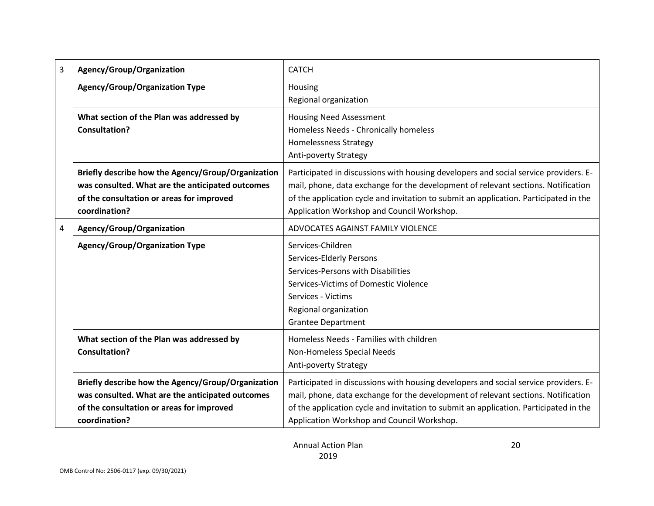| 3 | Agency/Group/Organization                                                                                                                                            | <b>CATCH</b>                                                                                                                                                                                                                                                                                                     |
|---|----------------------------------------------------------------------------------------------------------------------------------------------------------------------|------------------------------------------------------------------------------------------------------------------------------------------------------------------------------------------------------------------------------------------------------------------------------------------------------------------|
|   | <b>Agency/Group/Organization Type</b>                                                                                                                                | Housing<br>Regional organization                                                                                                                                                                                                                                                                                 |
|   | What section of the Plan was addressed by<br><b>Consultation?</b>                                                                                                    | <b>Housing Need Assessment</b><br>Homeless Needs - Chronically homeless<br><b>Homelessness Strategy</b><br>Anti-poverty Strategy                                                                                                                                                                                 |
|   | Briefly describe how the Agency/Group/Organization<br>was consulted. What are the anticipated outcomes<br>of the consultation or areas for improved<br>coordination? | Participated in discussions with housing developers and social service providers. E-<br>mail, phone, data exchange for the development of relevant sections. Notification<br>of the application cycle and invitation to submit an application. Participated in the<br>Application Workshop and Council Workshop. |
| 4 | Agency/Group/Organization                                                                                                                                            | ADVOCATES AGAINST FAMILY VIOLENCE                                                                                                                                                                                                                                                                                |
|   | <b>Agency/Group/Organization Type</b>                                                                                                                                | Services-Children<br>Services-Elderly Persons<br>Services-Persons with Disabilities<br>Services-Victims of Domestic Violence<br>Services - Victims<br>Regional organization<br><b>Grantee Department</b>                                                                                                         |
|   | What section of the Plan was addressed by<br><b>Consultation?</b>                                                                                                    | Homeless Needs - Families with children<br>Non-Homeless Special Needs<br>Anti-poverty Strategy                                                                                                                                                                                                                   |
|   | Briefly describe how the Agency/Group/Organization<br>was consulted. What are the anticipated outcomes<br>of the consultation or areas for improved<br>coordination? | Participated in discussions with housing developers and social service providers. E-<br>mail, phone, data exchange for the development of relevant sections. Notification<br>of the application cycle and invitation to submit an application. Participated in the<br>Application Workshop and Council Workshop. |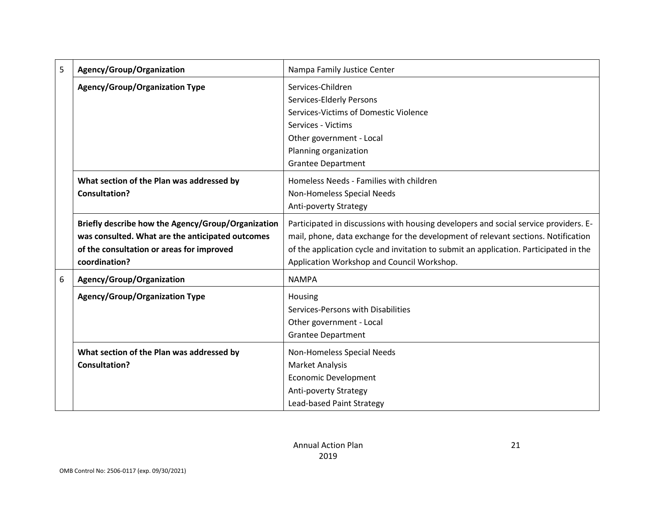| 5 | Agency/Group/Organization                          | Nampa Family Justice Center                                                           |
|---|----------------------------------------------------|---------------------------------------------------------------------------------------|
|   | <b>Agency/Group/Organization Type</b>              | Services-Children                                                                     |
|   |                                                    | Services-Elderly Persons                                                              |
|   |                                                    | Services-Victims of Domestic Violence                                                 |
|   |                                                    | Services - Victims                                                                    |
|   |                                                    | Other government - Local                                                              |
|   |                                                    | Planning organization                                                                 |
|   |                                                    | <b>Grantee Department</b>                                                             |
|   | What section of the Plan was addressed by          | Homeless Needs - Families with children                                               |
|   | <b>Consultation?</b>                               | Non-Homeless Special Needs                                                            |
|   |                                                    | Anti-poverty Strategy                                                                 |
|   | Briefly describe how the Agency/Group/Organization | Participated in discussions with housing developers and social service providers. E-  |
|   | was consulted. What are the anticipated outcomes   | mail, phone, data exchange for the development of relevant sections. Notification     |
|   | of the consultation or areas for improved          | of the application cycle and invitation to submit an application. Participated in the |
|   | coordination?                                      | Application Workshop and Council Workshop.                                            |
| 6 | Agency/Group/Organization                          | <b>NAMPA</b>                                                                          |
|   | <b>Agency/Group/Organization Type</b>              | Housing                                                                               |
|   |                                                    | Services-Persons with Disabilities                                                    |
|   |                                                    | Other government - Local                                                              |
|   |                                                    | <b>Grantee Department</b>                                                             |
|   | What section of the Plan was addressed by          | Non-Homeless Special Needs                                                            |
|   | <b>Consultation?</b>                               | <b>Market Analysis</b>                                                                |
|   |                                                    | <b>Economic Development</b>                                                           |
|   |                                                    | Anti-poverty Strategy                                                                 |
|   |                                                    | Lead-based Paint Strategy                                                             |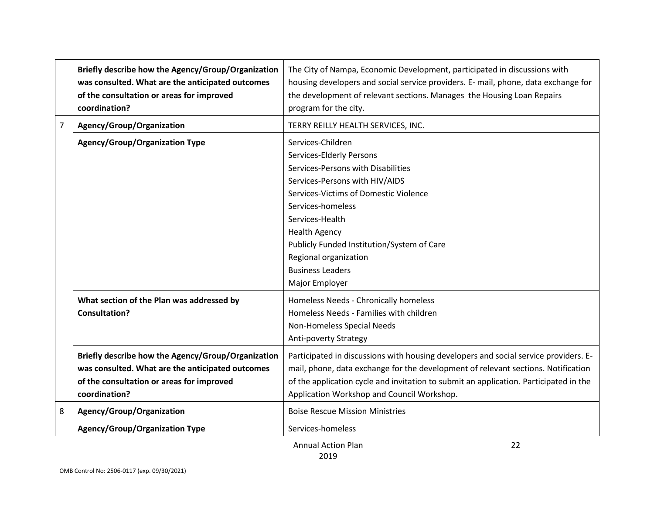|                | Briefly describe how the Agency/Group/Organization<br>was consulted. What are the anticipated outcomes<br>of the consultation or areas for improved<br>coordination? | The City of Nampa, Economic Development, participated in discussions with<br>housing developers and social service providers. E- mail, phone, data exchange for<br>the development of relevant sections. Manages the Housing Loan Repairs<br>program for the city.                                                                                 |
|----------------|----------------------------------------------------------------------------------------------------------------------------------------------------------------------|----------------------------------------------------------------------------------------------------------------------------------------------------------------------------------------------------------------------------------------------------------------------------------------------------------------------------------------------------|
| $\overline{7}$ | Agency/Group/Organization                                                                                                                                            | TERRY REILLY HEALTH SERVICES, INC.                                                                                                                                                                                                                                                                                                                 |
|                | <b>Agency/Group/Organization Type</b>                                                                                                                                | Services-Children<br>Services-Elderly Persons<br>Services-Persons with Disabilities<br>Services-Persons with HIV/AIDS<br>Services-Victims of Domestic Violence<br>Services-homeless<br>Services-Health<br><b>Health Agency</b><br>Publicly Funded Institution/System of Care<br>Regional organization<br><b>Business Leaders</b><br>Major Employer |
|                | What section of the Plan was addressed by<br><b>Consultation?</b>                                                                                                    | Homeless Needs - Chronically homeless<br>Homeless Needs - Families with children<br>Non-Homeless Special Needs<br>Anti-poverty Strategy                                                                                                                                                                                                            |
|                | Briefly describe how the Agency/Group/Organization<br>was consulted. What are the anticipated outcomes<br>of the consultation or areas for improved<br>coordination? | Participated in discussions with housing developers and social service providers. E-<br>mail, phone, data exchange for the development of relevant sections. Notification<br>of the application cycle and invitation to submit an application. Participated in the<br>Application Workshop and Council Workshop.                                   |
| 8              | Agency/Group/Organization                                                                                                                                            | <b>Boise Rescue Mission Ministries</b>                                                                                                                                                                                                                                                                                                             |
|                | <b>Agency/Group/Organization Type</b>                                                                                                                                | Services-homeless                                                                                                                                                                                                                                                                                                                                  |
|                |                                                                                                                                                                      | 22<br><b>Annual Action Plan</b>                                                                                                                                                                                                                                                                                                                    |

Annual Action Plan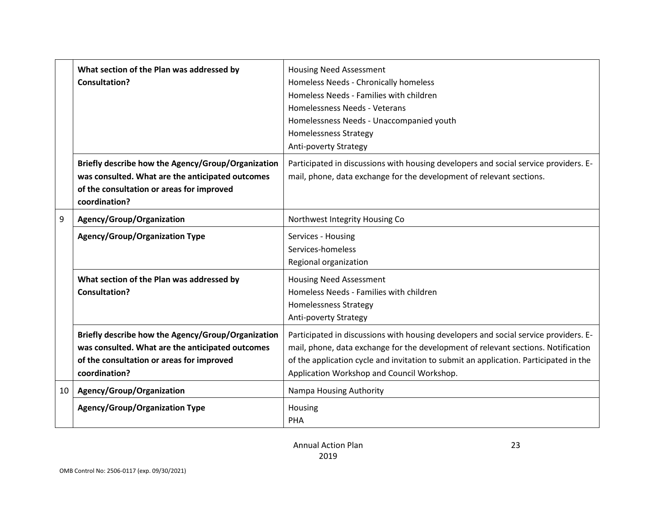|    | What section of the Plan was addressed by          | <b>Housing Need Assessment</b>                                                        |
|----|----------------------------------------------------|---------------------------------------------------------------------------------------|
|    | <b>Consultation?</b>                               | Homeless Needs - Chronically homeless                                                 |
|    |                                                    | Homeless Needs - Families with children                                               |
|    |                                                    | Homelessness Needs - Veterans                                                         |
|    |                                                    | Homelessness Needs - Unaccompanied youth                                              |
|    |                                                    | <b>Homelessness Strategy</b>                                                          |
|    |                                                    | Anti-poverty Strategy                                                                 |
|    | Briefly describe how the Agency/Group/Organization | Participated in discussions with housing developers and social service providers. E-  |
|    | was consulted. What are the anticipated outcomes   | mail, phone, data exchange for the development of relevant sections.                  |
|    | of the consultation or areas for improved          |                                                                                       |
|    | coordination?                                      |                                                                                       |
| 9  | Agency/Group/Organization                          | Northwest Integrity Housing Co                                                        |
|    | <b>Agency/Group/Organization Type</b>              | Services - Housing                                                                    |
|    |                                                    | Services-homeless                                                                     |
|    |                                                    | Regional organization                                                                 |
|    | What section of the Plan was addressed by          | <b>Housing Need Assessment</b>                                                        |
|    | <b>Consultation?</b>                               | Homeless Needs - Families with children                                               |
|    |                                                    | <b>Homelessness Strategy</b>                                                          |
|    |                                                    | Anti-poverty Strategy                                                                 |
|    | Briefly describe how the Agency/Group/Organization | Participated in discussions with housing developers and social service providers. E-  |
|    | was consulted. What are the anticipated outcomes   | mail, phone, data exchange for the development of relevant sections. Notification     |
|    | of the consultation or areas for improved          | of the application cycle and invitation to submit an application. Participated in the |
|    | coordination?                                      | Application Workshop and Council Workshop.                                            |
| 10 | Agency/Group/Organization                          | Nampa Housing Authority                                                               |
|    | <b>Agency/Group/Organization Type</b>              | Housing                                                                               |
|    |                                                    | <b>PHA</b>                                                                            |
|    |                                                    |                                                                                       |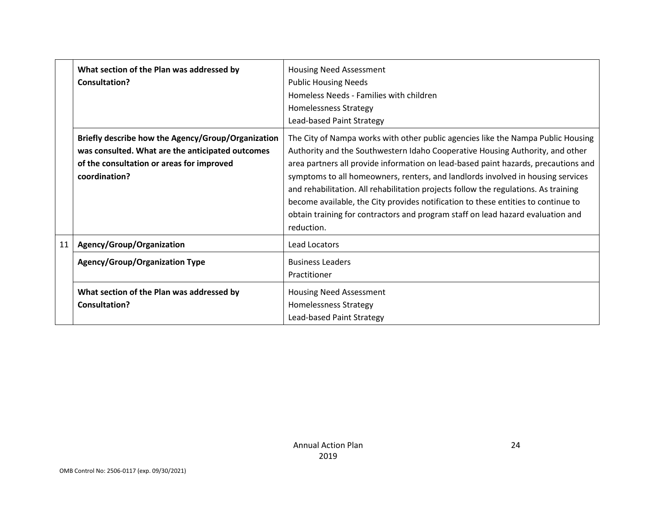|    | What section of the Plan was addressed by<br>Consultation?                                                                                                           | <b>Housing Need Assessment</b><br><b>Public Housing Needs</b><br>Homeless Needs - Families with children<br>Homelessness Strategy<br>Lead-based Paint Strategy                                                                                                                                                                                                                                                                                                                                                                                                                                                          |
|----|----------------------------------------------------------------------------------------------------------------------------------------------------------------------|-------------------------------------------------------------------------------------------------------------------------------------------------------------------------------------------------------------------------------------------------------------------------------------------------------------------------------------------------------------------------------------------------------------------------------------------------------------------------------------------------------------------------------------------------------------------------------------------------------------------------|
|    | Briefly describe how the Agency/Group/Organization<br>was consulted. What are the anticipated outcomes<br>of the consultation or areas for improved<br>coordination? | The City of Nampa works with other public agencies like the Nampa Public Housing<br>Authority and the Southwestern Idaho Cooperative Housing Authority, and other<br>area partners all provide information on lead-based paint hazards, precautions and<br>symptoms to all homeowners, renters, and landlords involved in housing services<br>and rehabilitation. All rehabilitation projects follow the regulations. As training<br>become available, the City provides notification to these entities to continue to<br>obtain training for contractors and program staff on lead hazard evaluation and<br>reduction. |
| 11 | Agency/Group/Organization                                                                                                                                            | Lead Locators                                                                                                                                                                                                                                                                                                                                                                                                                                                                                                                                                                                                           |
|    | <b>Agency/Group/Organization Type</b>                                                                                                                                | <b>Business Leaders</b><br>Practitioner                                                                                                                                                                                                                                                                                                                                                                                                                                                                                                                                                                                 |
|    | What section of the Plan was addressed by<br>Consultation?                                                                                                           | <b>Housing Need Assessment</b><br>Homelessness Strategy<br>Lead-based Paint Strategy                                                                                                                                                                                                                                                                                                                                                                                                                                                                                                                                    |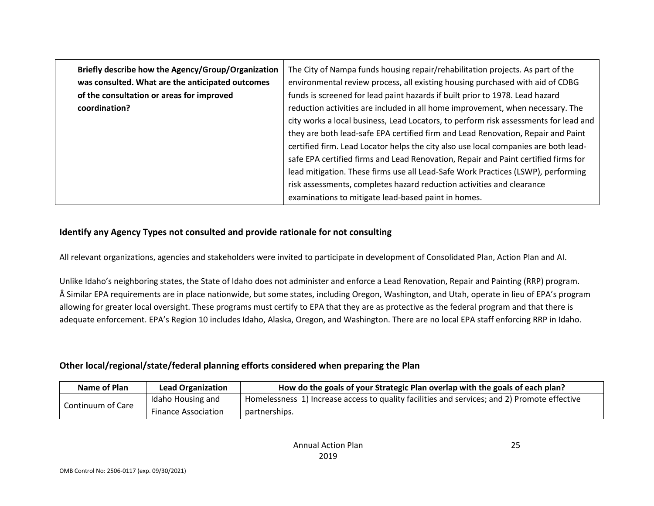| Briefly describe how the Agency/Group/Organization | The City of Nampa funds housing repair/rehabilitation projects. As part of the       |
|----------------------------------------------------|--------------------------------------------------------------------------------------|
| was consulted. What are the anticipated outcomes   | environmental review process, all existing housing purchased with aid of CDBG        |
| of the consultation or areas for improved          | funds is screened for lead paint hazards if built prior to 1978. Lead hazard         |
| coordination?                                      | reduction activities are included in all home improvement, when necessary. The       |
|                                                    | city works a local business, Lead Locators, to perform risk assessments for lead and |
|                                                    | they are both lead-safe EPA certified firm and Lead Renovation, Repair and Paint     |
|                                                    | certified firm. Lead Locator helps the city also use local companies are both lead-  |
|                                                    | safe EPA certified firms and Lead Renovation, Repair and Paint certified firms for   |
|                                                    | lead mitigation. These firms use all Lead-Safe Work Practices (LSWP), performing     |
|                                                    | risk assessments, completes hazard reduction activities and clearance                |
|                                                    | examinations to mitigate lead-based paint in homes.                                  |

#### **Identify any Agency Types not consulted and provide rationale for not consulting**

All relevant organizations, agencies and stakeholders were invited to participate in development of Consolidated Plan, Action Plan and AI.

Unlike Idaho's neighboring states, the State of Idaho does not administer and enforce a Lead Renovation, Repair and Painting (RRP) program. Â Similar EPA requirements are in place nationwide, but some states, including Oregon, Washington, and Utah, operate in lieu of EPA's program allowing for greater local oversight. These programs must certify to EPA that they are as protective as the federal program and that there is adequate enforcement. EPA's Region 10 includes Idaho, Alaska, Oregon, and Washington. There are no local EPA staff enforcing RRP in Idaho.

## **Other local/regional/state/federal planning efforts considered when preparing the Plan**

| Name of Plan      | <b>Lead Organization</b>   | How do the goals of your Strategic Plan overlap with the goals of each plan?                 |
|-------------------|----------------------------|----------------------------------------------------------------------------------------------|
| Continuum of Care | Idaho Housing and          | Homelessness 1) Increase access to quality facilities and services; and 2) Promote effective |
|                   | <b>Finance Association</b> | partnerships.                                                                                |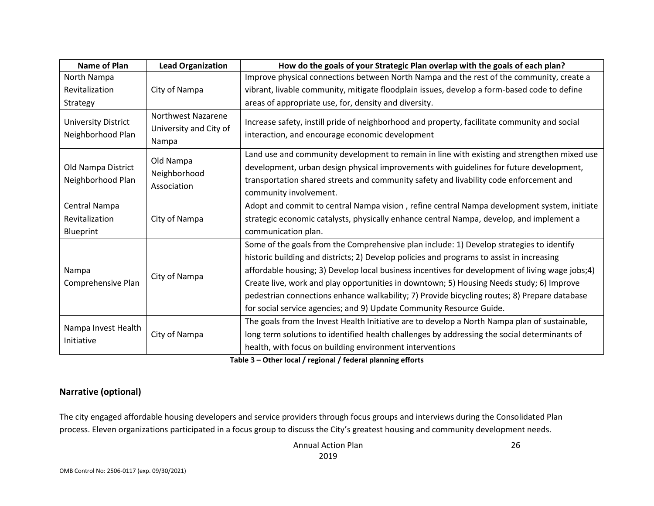| <b>Name of Plan</b>                             | <b>Lead Organization</b>                              | How do the goals of your Strategic Plan overlap with the goals of each plan?                                                                                                                                                                                                                                                                                                                                                                                                                                                                                 |
|-------------------------------------------------|-------------------------------------------------------|--------------------------------------------------------------------------------------------------------------------------------------------------------------------------------------------------------------------------------------------------------------------------------------------------------------------------------------------------------------------------------------------------------------------------------------------------------------------------------------------------------------------------------------------------------------|
| North Nampa                                     |                                                       | Improve physical connections between North Nampa and the rest of the community, create a                                                                                                                                                                                                                                                                                                                                                                                                                                                                     |
| Revitalization                                  | City of Nampa                                         | vibrant, livable community, mitigate floodplain issues, develop a form-based code to define                                                                                                                                                                                                                                                                                                                                                                                                                                                                  |
| Strategy                                        |                                                       | areas of appropriate use, for, density and diversity.                                                                                                                                                                                                                                                                                                                                                                                                                                                                                                        |
| <b>University District</b><br>Neighborhood Plan | Northwest Nazarene<br>University and City of<br>Nampa | Increase safety, instill pride of neighborhood and property, facilitate community and social<br>interaction, and encourage economic development                                                                                                                                                                                                                                                                                                                                                                                                              |
| Old Nampa District<br>Neighborhood Plan         | Old Nampa<br>Neighborhood<br>Association              | Land use and community development to remain in line with existing and strengthen mixed use<br>development, urban design physical improvements with guidelines for future development,<br>transportation shared streets and community safety and livability code enforcement and<br>community involvement.                                                                                                                                                                                                                                                   |
| Central Nampa<br>Revitalization<br>Blueprint    | City of Nampa                                         | Adopt and commit to central Nampa vision, refine central Nampa development system, initiate<br>strategic economic catalysts, physically enhance central Nampa, develop, and implement a<br>communication plan.                                                                                                                                                                                                                                                                                                                                               |
| Nampa<br>City of Nampa<br>Comprehensive Plan    |                                                       | Some of the goals from the Comprehensive plan include: 1) Develop strategies to identify<br>historic building and districts; 2) Develop policies and programs to assist in increasing<br>affordable housing; 3) Develop local business incentives for development of living wage jobs;4)<br>Create live, work and play opportunities in downtown; 5) Housing Needs study; 6) Improve<br>pedestrian connections enhance walkability; 7) Provide bicycling routes; 8) Prepare database<br>for social service agencies; and 9) Update Community Resource Guide. |
| Nampa Invest Health<br>Initiative               | City of Nampa                                         | The goals from the Invest Health Initiative are to develop a North Nampa plan of sustainable,<br>long term solutions to identified health challenges by addressing the social determinants of<br>health, with focus on building environment interventions                                                                                                                                                                                                                                                                                                    |

**Table 3 – Other local / regional / federal planning efforts**

### **Narrative (optional)**

The city engaged affordable housing developers and service providers through focus groups and interviews during the Consolidated Plan process. Eleven organizations participated in a focus group to discuss the City's greatest housing and community development needs.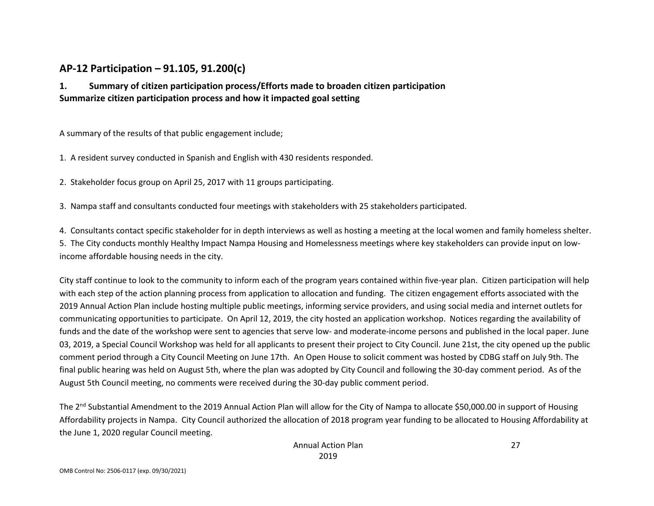# **AP-12 Participation – 91.105, 91.200(c)**

# **1. Summary of citizen participation process/Efforts made to broaden citizen participation Summarize citizen participation process and how it impacted goal setting**

A summary of the results of that public engagement include;

1. A resident survey conducted in Spanish and English with 430 residents responded.

2. Stakeholder focus group on April 25, 2017 with 11 groups participating.

3. Nampa staff and consultants conducted four meetings with stakeholders with 25 stakeholders participated.

4. Consultants contact specific stakeholder for in depth interviews as well as hosting a meeting at the local women and family homeless shelter. 5. The City conducts monthly Healthy Impact Nampa Housing and Homelessness meetings where key stakeholders can provide input on lowincome affordable housing needs in the city.

City staff continue to look to the community to inform each of the program years contained within five-year plan. Citizen participation will help with each step of the action planning process from application to allocation and funding. The citizen engagement efforts associated with the 2019 Annual Action Plan include hosting multiple public meetings, informing service providers, and using social media and internet outlets for communicating opportunities to participate. On April 12, 2019, the city hosted an application workshop. Notices regarding the availability of funds and the date of the workshop were sent to agencies that serve low- and moderate-income persons and published in the local paper. June 03, 2019, a Special Council Workshop was held for all applicants to present their project to City Council. June 21st, the city opened up the public comment period through a City Council Meeting on June 17th. An Open House to solicit comment was hosted by CDBG staff on July 9th. The final public hearing was held on August 5th, where the plan was adopted by City Council and following the 30-day comment period. As of the August 5th Council meeting, no comments were received during the 30-day public comment period.

The 2<sup>nd</sup> Substantial Amendment to the 2019 Annual Action Plan will allow for the City of Nampa to allocate \$50,000.00 in support of Housing Affordability projects in Nampa. City Council authorized the allocation of 2018 program year funding to be allocated to Housing Affordability at the June 1, 2020 regular Council meeting.

27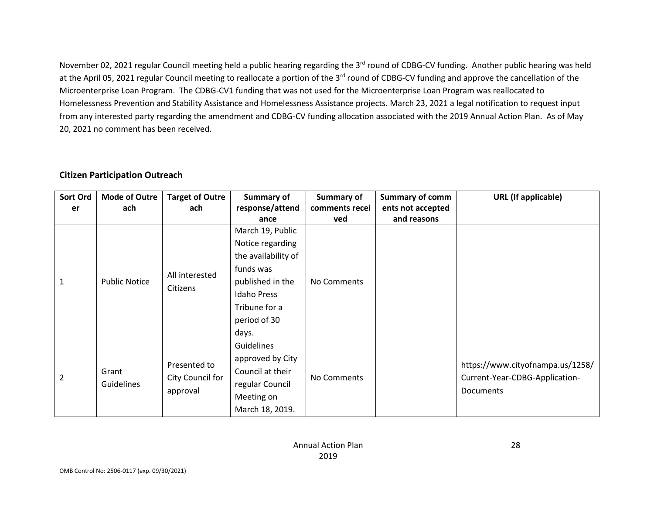November 02, 2021 regular Council meeting held a public hearing regarding the 3<sup>rd</sup> round of CDBG-CV funding. Another public hearing was held at the April 05, 2021 regular Council meeting to reallocate a portion of the 3<sup>rd</sup> round of CDBG-CV funding and approve the cancellation of the Microenterprise Loan Program. The CDBG-CV1 funding that was not used for the Microenterprise Loan Program was reallocated to Homelessness Prevention and Stability Assistance and Homelessness Assistance projects. March 23, 2021 a legal notification to request input from any interested party regarding the amendment and CDBG-CV funding allocation associated with the 2019 Annual Action Plan. As of May 20, 2021 no comment has been received.

#### **Citizen Participation Outreach**

| Sort Ord<br>er | <b>Mode of Outre</b><br>ach | <b>Target of Outre</b><br>ach                | Summary of<br>response/attend                                                                                                                       | Summary of<br>comments recei | <b>Summary of comm</b><br>ents not accepted | <b>URL</b> (If applicable)                                                      |
|----------------|-----------------------------|----------------------------------------------|-----------------------------------------------------------------------------------------------------------------------------------------------------|------------------------------|---------------------------------------------|---------------------------------------------------------------------------------|
|                |                             |                                              | ance                                                                                                                                                | ved                          | and reasons                                 |                                                                                 |
| $\mathbf{1}$   | <b>Public Notice</b>        | All interested<br>Citizens                   | March 19, Public<br>Notice regarding<br>the availability of<br>funds was<br>published in the<br><b>Idaho Press</b><br>Tribune for a<br>period of 30 | No Comments                  |                                             |                                                                                 |
|                |                             |                                              | days.                                                                                                                                               |                              |                                             |                                                                                 |
| $\overline{2}$ | Grant<br><b>Guidelines</b>  | Presented to<br>City Council for<br>approval | Guidelines<br>approved by City<br>Council at their<br>regular Council<br>Meeting on<br>March 18, 2019.                                              | No Comments                  |                                             | https://www.cityofnampa.us/1258/<br>Current-Year-CDBG-Application-<br>Documents |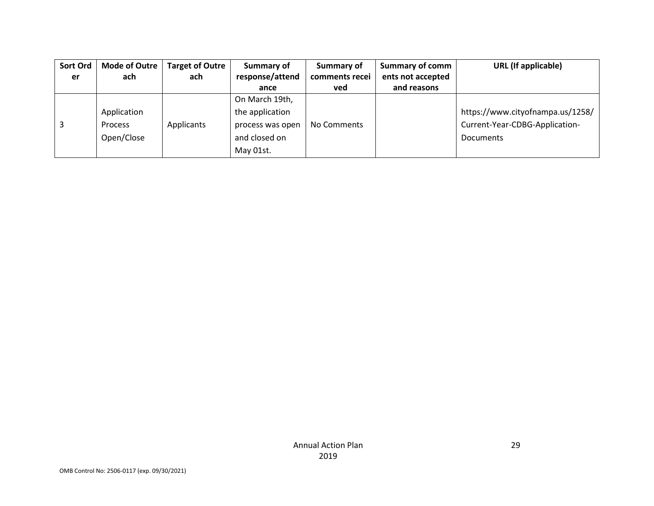| Sort Ord | <b>Mode of Outre</b> | <b>Target of Outre</b> | Summary of       | Summary of     | <b>Summary of comm</b> | <b>URL</b> (If applicable)       |
|----------|----------------------|------------------------|------------------|----------------|------------------------|----------------------------------|
| er       | ach                  | ach                    | response/attend  | comments recei | ents not accepted      |                                  |
|          |                      |                        | ance             | ved            | and reasons            |                                  |
|          |                      |                        | On March 19th,   |                |                        |                                  |
|          | Application          |                        | the application  |                |                        | https://www.cityofnampa.us/1258/ |
|          | <b>Process</b>       | Applicants             | process was open | No Comments    |                        | Current-Year-CDBG-Application-   |
|          | Open/Close           |                        | and closed on    |                |                        | <b>Documents</b>                 |
|          |                      |                        | May 01st.        |                |                        |                                  |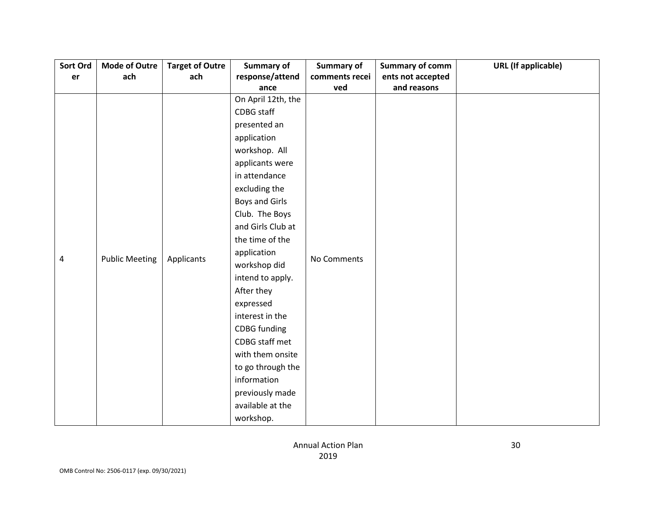| Sort Ord | Mode of Outre         | <b>Target of Outre</b> | <b>Summary of</b>     | <b>Summary of</b> | <b>Summary of comm</b> | <b>URL</b> (If applicable) |
|----------|-----------------------|------------------------|-----------------------|-------------------|------------------------|----------------------------|
| er       | ach                   | ach                    | response/attend       | comments recei    | ents not accepted      |                            |
|          |                       |                        | ance                  | ved               | and reasons            |                            |
|          |                       |                        | On April 12th, the    |                   |                        |                            |
|          |                       |                        | CDBG staff            |                   |                        |                            |
|          |                       |                        | presented an          |                   |                        |                            |
|          |                       |                        | application           |                   |                        |                            |
|          |                       |                        | workshop. All         |                   |                        |                            |
|          |                       |                        | applicants were       |                   |                        |                            |
|          |                       |                        | in attendance         |                   |                        |                            |
|          |                       |                        | excluding the         |                   |                        |                            |
|          |                       |                        | <b>Boys and Girls</b> |                   |                        |                            |
|          |                       |                        | Club. The Boys        |                   |                        |                            |
|          |                       |                        | and Girls Club at     |                   |                        |                            |
|          |                       |                        | the time of the       |                   |                        |                            |
|          |                       |                        | application           | No Comments       |                        |                            |
| 4        | <b>Public Meeting</b> | Applicants             | workshop did          |                   |                        |                            |
|          |                       |                        | intend to apply.      |                   |                        |                            |
|          |                       |                        | After they            |                   |                        |                            |
|          |                       |                        | expressed             |                   |                        |                            |
|          |                       |                        | interest in the       |                   |                        |                            |
|          |                       |                        | <b>CDBG</b> funding   |                   |                        |                            |
|          |                       |                        | CDBG staff met        |                   |                        |                            |
|          |                       |                        | with them onsite      |                   |                        |                            |
|          |                       |                        | to go through the     |                   |                        |                            |
|          |                       |                        | information           |                   |                        |                            |
|          |                       |                        | previously made       |                   |                        |                            |
|          |                       |                        | available at the      |                   |                        |                            |
|          |                       |                        | workshop.             |                   |                        |                            |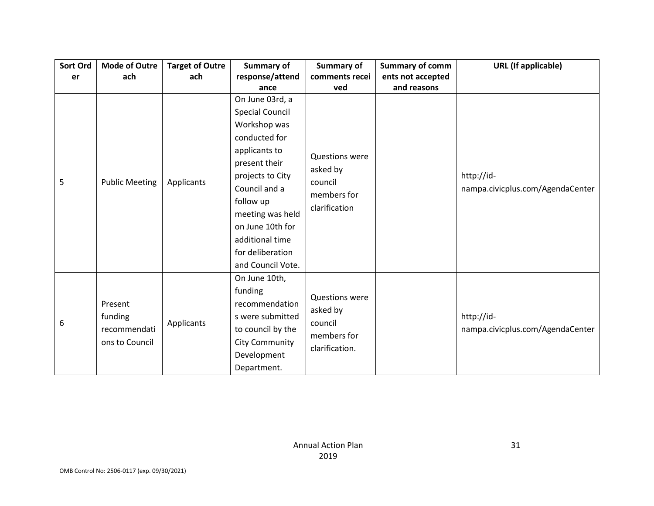| Sort Ord | <b>Mode of Outre</b>  | <b>Target of Outre</b> | <b>Summary of</b>      | Summary of                              | <b>Summary of comm</b> | <b>URL</b> (If applicable)       |
|----------|-----------------------|------------------------|------------------------|-----------------------------------------|------------------------|----------------------------------|
| er       | ach                   | ach                    | response/attend        | comments recei                          | ents not accepted      |                                  |
|          |                       |                        | ance                   | ved                                     | and reasons            |                                  |
|          |                       |                        | On June 03rd, a        |                                         |                        |                                  |
|          |                       |                        | <b>Special Council</b> |                                         |                        |                                  |
|          |                       |                        | Workshop was           |                                         |                        |                                  |
|          |                       |                        | conducted for          |                                         |                        |                                  |
|          |                       |                        | applicants to          | <b>Questions were</b>                   |                        |                                  |
|          |                       |                        | present their          | asked by                                |                        |                                  |
| 5        | <b>Public Meeting</b> | Applicants             | projects to City       | council<br>members for<br>clarification |                        | http://id-                       |
|          |                       |                        | Council and a          |                                         |                        | nampa.civicplus.com/AgendaCenter |
|          |                       |                        | follow up              |                                         |                        |                                  |
|          |                       |                        | meeting was held       |                                         |                        |                                  |
|          |                       |                        | on June 10th for       |                                         |                        |                                  |
|          |                       |                        | additional time        |                                         |                        |                                  |
|          |                       |                        | for deliberation       |                                         |                        |                                  |
|          |                       |                        | and Council Vote.      |                                         |                        |                                  |
|          |                       |                        | On June 10th,          |                                         |                        |                                  |
|          |                       |                        | funding                | <b>Questions were</b>                   |                        |                                  |
|          | Present               |                        | recommendation         | asked by                                |                        |                                  |
|          | funding               |                        | s were submitted       | council                                 |                        | http://id-                       |
| 6        | recommendati          | Applicants             | to council by the      | members for                             |                        | nampa.civicplus.com/AgendaCenter |
|          | ons to Council        |                        | <b>City Community</b>  |                                         |                        |                                  |
|          |                       |                        | Development            | clarification.                          |                        |                                  |
|          |                       |                        | Department.            |                                         |                        |                                  |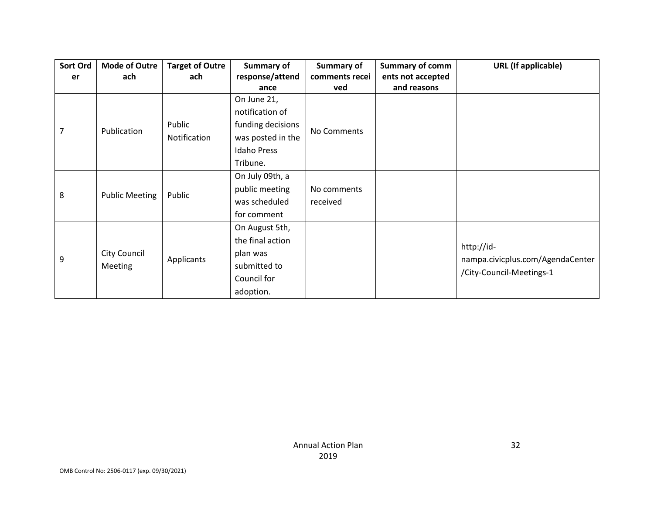| Sort Ord | <b>Mode of Outre</b>  | <b>Target of Outre</b> | Summary of         | Summary of     | <b>Summary of comm</b> | <b>URL</b> (If applicable)       |
|----------|-----------------------|------------------------|--------------------|----------------|------------------------|----------------------------------|
| er       | ach                   | ach                    | response/attend    | comments recei | ents not accepted      |                                  |
|          |                       |                        | ance               | ved            | and reasons            |                                  |
|          |                       |                        | On June 21,        |                |                        |                                  |
|          |                       |                        | notification of    |                |                        |                                  |
| 7        | Publication           | Public                 | funding decisions  |                |                        |                                  |
|          |                       | Notification           | was posted in the  | No Comments    |                        |                                  |
|          |                       |                        | <b>Idaho Press</b> |                |                        |                                  |
|          |                       |                        | Tribune.           |                |                        |                                  |
|          |                       | Public                 | On July 09th, a    |                |                        |                                  |
| 8        |                       |                        | public meeting     | No comments    |                        |                                  |
|          | <b>Public Meeting</b> |                        | was scheduled      | received       |                        |                                  |
|          |                       |                        | for comment        |                |                        |                                  |
|          |                       |                        | On August 5th,     |                |                        |                                  |
| 9        |                       |                        | the final action   |                |                        |                                  |
|          | City Council          |                        | plan was           |                |                        | http://id-                       |
|          | <b>Meeting</b>        | Applicants             | submitted to       |                |                        | nampa.civicplus.com/AgendaCenter |
|          |                       |                        | Council for        |                |                        | /City-Council-Meetings-1         |
|          |                       |                        | adoption.          |                |                        |                                  |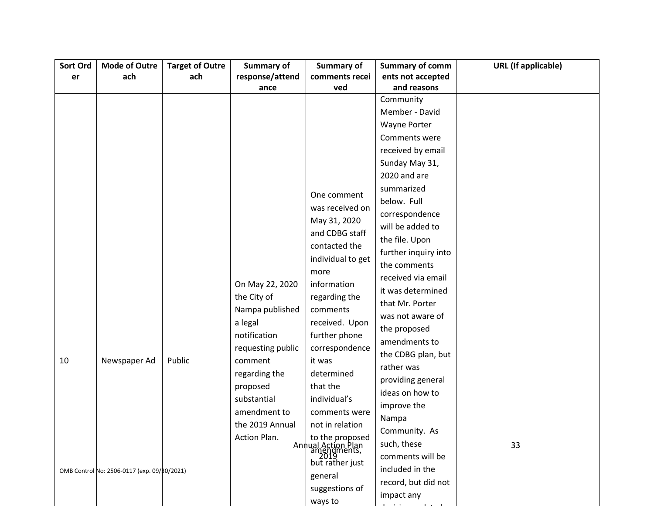| Sort Ord | <b>Mode of Outre</b>                        | <b>Target of Outre</b> | Summary of        | Summary of                                | <b>Summary of comm</b> | <b>URL</b> (If applicable) |
|----------|---------------------------------------------|------------------------|-------------------|-------------------------------------------|------------------------|----------------------------|
| er       | ach                                         | ach                    | response/attend   | comments recei                            | ents not accepted      |                            |
|          |                                             |                        | ance              | ved                                       | and reasons            |                            |
|          |                                             |                        |                   |                                           | Community              |                            |
|          |                                             |                        |                   |                                           | Member - David         |                            |
|          |                                             |                        |                   |                                           | <b>Wayne Porter</b>    |                            |
|          |                                             |                        |                   |                                           | Comments were          |                            |
|          |                                             |                        |                   |                                           | received by email      |                            |
|          |                                             |                        |                   |                                           | Sunday May 31,         |                            |
|          |                                             |                        |                   |                                           | 2020 and are           |                            |
|          |                                             |                        |                   |                                           | summarized             |                            |
|          |                                             |                        |                   | One comment                               | below. Full            |                            |
|          |                                             |                        |                   | was received on                           | correspondence         |                            |
|          |                                             |                        |                   | May 31, 2020                              | will be added to       |                            |
|          |                                             |                        |                   | and CDBG staff                            | the file. Upon         |                            |
|          |                                             |                        |                   | contacted the                             | further inquiry into   |                            |
|          |                                             |                        |                   | individual to get                         | the comments           |                            |
|          |                                             |                        |                   | more                                      | received via email     |                            |
|          |                                             |                        | On May 22, 2020   | information                               | it was determined      |                            |
|          |                                             |                        | the City of       | regarding the                             | that Mr. Porter        |                            |
|          |                                             |                        | Nampa published   | comments                                  | was not aware of       |                            |
|          |                                             |                        | a legal           | received. Upon                            | the proposed           |                            |
|          |                                             |                        | notification      | further phone                             | amendments to          |                            |
|          |                                             |                        | requesting public | correspondence                            | the CDBG plan, but     |                            |
| 10       | Newspaper Ad                                | Public                 | comment           | it was                                    | rather was             |                            |
|          |                                             |                        | regarding the     | determined                                | providing general      |                            |
|          |                                             |                        | proposed          | that the                                  | ideas on how to        |                            |
|          |                                             |                        | substantial       | individual's                              | improve the            |                            |
|          |                                             |                        | amendment to      | comments were                             | Nampa                  |                            |
|          |                                             |                        | the 2019 Annual   | not in relation                           | Community. As          |                            |
|          |                                             |                        | Action Plan.      | to the proposed                           | such, these            | 33                         |
|          |                                             |                        |                   | Annual Action Plan<br>amendments,<br>2019 | comments will be       |                            |
|          |                                             |                        |                   | but rather just                           | included in the        |                            |
|          | OMB Control No: 2506-0117 (exp. 09/80/2021) |                        |                   | general                                   | record, but did not    |                            |
|          |                                             |                        |                   | suggestions of                            |                        |                            |
|          |                                             |                        |                   | ways to                                   | impact any             |                            |

decisions related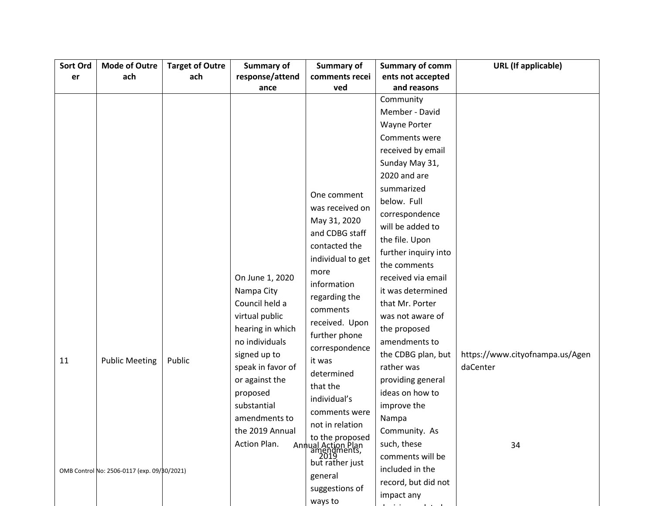| response/attend<br>comments recei<br>ents not accepted<br>ach<br>ach<br>er<br>and reasons<br>ved<br>ance<br>Community<br>Member - David<br><b>Wayne Porter</b><br>Comments were<br>received by email<br>Sunday May 31,<br>2020 and are<br>summarized<br>One comment<br>below. Full<br>was received on<br>correspondence<br>May 31, 2020<br>will be added to<br>and CDBG staff<br>the file. Upon<br>contacted the<br>further inquiry into<br>individual to get<br>the comments<br>more<br>On June 1, 2020<br>received via email<br>information<br>Nampa City<br>it was determined<br>regarding the<br>Council held a<br>that Mr. Porter<br>comments<br>virtual public<br>was not aware of<br>received. Upon<br>hearing in which<br>the proposed<br>further phone<br>no individuals<br>amendments to<br>correspondence<br>the CDBG plan, but<br>signed up to<br>https://www.cityofnampa.us/Agen<br>11<br><b>Public Meeting</b><br>Public<br>it was<br>rather was<br>daCenter<br>speak in favor of<br>determined<br>or against the<br>providing general<br>that the<br>ideas on how to<br>proposed<br>individual's<br>substantial<br>improve the<br>comments were<br>amendments to<br>Nampa<br>not in relation<br>the 2019 Annual<br>Community. As<br>to the proposed<br>Action Plan.<br>such, these<br>Annual Action Plan<br>  amendments,<br>  2019<br>34<br>comments will be<br>but rather just<br>included in the<br>OMB Control No: 2506-0117 (exp. 09/80/2021)<br>general<br>record, but did not<br>suggestions of<br>impact any | Sort Ord | <b>Mode of Outre</b> | <b>Target of Outre</b> | <b>Summary of</b> | Summary of | <b>Summary of comm</b> | <b>URL</b> (If applicable) |
|-------------------------------------------------------------------------------------------------------------------------------------------------------------------------------------------------------------------------------------------------------------------------------------------------------------------------------------------------------------------------------------------------------------------------------------------------------------------------------------------------------------------------------------------------------------------------------------------------------------------------------------------------------------------------------------------------------------------------------------------------------------------------------------------------------------------------------------------------------------------------------------------------------------------------------------------------------------------------------------------------------------------------------------------------------------------------------------------------------------------------------------------------------------------------------------------------------------------------------------------------------------------------------------------------------------------------------------------------------------------------------------------------------------------------------------------------------------------------------------------------------------------------------------|----------|----------------------|------------------------|-------------------|------------|------------------------|----------------------------|
|                                                                                                                                                                                                                                                                                                                                                                                                                                                                                                                                                                                                                                                                                                                                                                                                                                                                                                                                                                                                                                                                                                                                                                                                                                                                                                                                                                                                                                                                                                                                     |          |                      |                        |                   |            |                        |                            |
|                                                                                                                                                                                                                                                                                                                                                                                                                                                                                                                                                                                                                                                                                                                                                                                                                                                                                                                                                                                                                                                                                                                                                                                                                                                                                                                                                                                                                                                                                                                                     |          |                      |                        |                   |            |                        |                            |
|                                                                                                                                                                                                                                                                                                                                                                                                                                                                                                                                                                                                                                                                                                                                                                                                                                                                                                                                                                                                                                                                                                                                                                                                                                                                                                                                                                                                                                                                                                                                     |          |                      |                        |                   |            |                        |                            |
|                                                                                                                                                                                                                                                                                                                                                                                                                                                                                                                                                                                                                                                                                                                                                                                                                                                                                                                                                                                                                                                                                                                                                                                                                                                                                                                                                                                                                                                                                                                                     |          |                      |                        |                   |            |                        |                            |
|                                                                                                                                                                                                                                                                                                                                                                                                                                                                                                                                                                                                                                                                                                                                                                                                                                                                                                                                                                                                                                                                                                                                                                                                                                                                                                                                                                                                                                                                                                                                     |          |                      |                        |                   |            |                        |                            |
|                                                                                                                                                                                                                                                                                                                                                                                                                                                                                                                                                                                                                                                                                                                                                                                                                                                                                                                                                                                                                                                                                                                                                                                                                                                                                                                                                                                                                                                                                                                                     |          |                      |                        |                   |            |                        |                            |
|                                                                                                                                                                                                                                                                                                                                                                                                                                                                                                                                                                                                                                                                                                                                                                                                                                                                                                                                                                                                                                                                                                                                                                                                                                                                                                                                                                                                                                                                                                                                     |          |                      |                        |                   |            |                        |                            |
|                                                                                                                                                                                                                                                                                                                                                                                                                                                                                                                                                                                                                                                                                                                                                                                                                                                                                                                                                                                                                                                                                                                                                                                                                                                                                                                                                                                                                                                                                                                                     |          |                      |                        |                   |            |                        |                            |
|                                                                                                                                                                                                                                                                                                                                                                                                                                                                                                                                                                                                                                                                                                                                                                                                                                                                                                                                                                                                                                                                                                                                                                                                                                                                                                                                                                                                                                                                                                                                     |          |                      |                        |                   |            |                        |                            |
|                                                                                                                                                                                                                                                                                                                                                                                                                                                                                                                                                                                                                                                                                                                                                                                                                                                                                                                                                                                                                                                                                                                                                                                                                                                                                                                                                                                                                                                                                                                                     |          |                      |                        |                   |            |                        |                            |
|                                                                                                                                                                                                                                                                                                                                                                                                                                                                                                                                                                                                                                                                                                                                                                                                                                                                                                                                                                                                                                                                                                                                                                                                                                                                                                                                                                                                                                                                                                                                     |          |                      |                        |                   |            |                        |                            |
|                                                                                                                                                                                                                                                                                                                                                                                                                                                                                                                                                                                                                                                                                                                                                                                                                                                                                                                                                                                                                                                                                                                                                                                                                                                                                                                                                                                                                                                                                                                                     |          |                      |                        |                   |            |                        |                            |
|                                                                                                                                                                                                                                                                                                                                                                                                                                                                                                                                                                                                                                                                                                                                                                                                                                                                                                                                                                                                                                                                                                                                                                                                                                                                                                                                                                                                                                                                                                                                     |          |                      |                        |                   |            |                        |                            |
|                                                                                                                                                                                                                                                                                                                                                                                                                                                                                                                                                                                                                                                                                                                                                                                                                                                                                                                                                                                                                                                                                                                                                                                                                                                                                                                                                                                                                                                                                                                                     |          |                      |                        |                   |            |                        |                            |
|                                                                                                                                                                                                                                                                                                                                                                                                                                                                                                                                                                                                                                                                                                                                                                                                                                                                                                                                                                                                                                                                                                                                                                                                                                                                                                                                                                                                                                                                                                                                     |          |                      |                        |                   |            |                        |                            |
|                                                                                                                                                                                                                                                                                                                                                                                                                                                                                                                                                                                                                                                                                                                                                                                                                                                                                                                                                                                                                                                                                                                                                                                                                                                                                                                                                                                                                                                                                                                                     |          |                      |                        |                   |            |                        |                            |
|                                                                                                                                                                                                                                                                                                                                                                                                                                                                                                                                                                                                                                                                                                                                                                                                                                                                                                                                                                                                                                                                                                                                                                                                                                                                                                                                                                                                                                                                                                                                     |          |                      |                        |                   |            |                        |                            |
|                                                                                                                                                                                                                                                                                                                                                                                                                                                                                                                                                                                                                                                                                                                                                                                                                                                                                                                                                                                                                                                                                                                                                                                                                                                                                                                                                                                                                                                                                                                                     |          |                      |                        |                   |            |                        |                            |
|                                                                                                                                                                                                                                                                                                                                                                                                                                                                                                                                                                                                                                                                                                                                                                                                                                                                                                                                                                                                                                                                                                                                                                                                                                                                                                                                                                                                                                                                                                                                     |          |                      |                        |                   |            |                        |                            |
|                                                                                                                                                                                                                                                                                                                                                                                                                                                                                                                                                                                                                                                                                                                                                                                                                                                                                                                                                                                                                                                                                                                                                                                                                                                                                                                                                                                                                                                                                                                                     |          |                      |                        |                   |            |                        |                            |
|                                                                                                                                                                                                                                                                                                                                                                                                                                                                                                                                                                                                                                                                                                                                                                                                                                                                                                                                                                                                                                                                                                                                                                                                                                                                                                                                                                                                                                                                                                                                     |          |                      |                        |                   |            |                        |                            |
|                                                                                                                                                                                                                                                                                                                                                                                                                                                                                                                                                                                                                                                                                                                                                                                                                                                                                                                                                                                                                                                                                                                                                                                                                                                                                                                                                                                                                                                                                                                                     |          |                      |                        |                   |            |                        |                            |
|                                                                                                                                                                                                                                                                                                                                                                                                                                                                                                                                                                                                                                                                                                                                                                                                                                                                                                                                                                                                                                                                                                                                                                                                                                                                                                                                                                                                                                                                                                                                     |          |                      |                        |                   |            |                        |                            |
|                                                                                                                                                                                                                                                                                                                                                                                                                                                                                                                                                                                                                                                                                                                                                                                                                                                                                                                                                                                                                                                                                                                                                                                                                                                                                                                                                                                                                                                                                                                                     |          |                      |                        |                   |            |                        |                            |
|                                                                                                                                                                                                                                                                                                                                                                                                                                                                                                                                                                                                                                                                                                                                                                                                                                                                                                                                                                                                                                                                                                                                                                                                                                                                                                                                                                                                                                                                                                                                     |          |                      |                        |                   |            |                        |                            |
|                                                                                                                                                                                                                                                                                                                                                                                                                                                                                                                                                                                                                                                                                                                                                                                                                                                                                                                                                                                                                                                                                                                                                                                                                                                                                                                                                                                                                                                                                                                                     |          |                      |                        |                   |            |                        |                            |
|                                                                                                                                                                                                                                                                                                                                                                                                                                                                                                                                                                                                                                                                                                                                                                                                                                                                                                                                                                                                                                                                                                                                                                                                                                                                                                                                                                                                                                                                                                                                     |          |                      |                        |                   |            |                        |                            |
|                                                                                                                                                                                                                                                                                                                                                                                                                                                                                                                                                                                                                                                                                                                                                                                                                                                                                                                                                                                                                                                                                                                                                                                                                                                                                                                                                                                                                                                                                                                                     |          |                      |                        |                   |            |                        |                            |
|                                                                                                                                                                                                                                                                                                                                                                                                                                                                                                                                                                                                                                                                                                                                                                                                                                                                                                                                                                                                                                                                                                                                                                                                                                                                                                                                                                                                                                                                                                                                     |          |                      |                        |                   |            |                        |                            |
|                                                                                                                                                                                                                                                                                                                                                                                                                                                                                                                                                                                                                                                                                                                                                                                                                                                                                                                                                                                                                                                                                                                                                                                                                                                                                                                                                                                                                                                                                                                                     |          |                      |                        |                   |            |                        |                            |
|                                                                                                                                                                                                                                                                                                                                                                                                                                                                                                                                                                                                                                                                                                                                                                                                                                                                                                                                                                                                                                                                                                                                                                                                                                                                                                                                                                                                                                                                                                                                     |          |                      |                        |                   |            |                        |                            |
|                                                                                                                                                                                                                                                                                                                                                                                                                                                                                                                                                                                                                                                                                                                                                                                                                                                                                                                                                                                                                                                                                                                                                                                                                                                                                                                                                                                                                                                                                                                                     |          |                      |                        |                   |            |                        |                            |
|                                                                                                                                                                                                                                                                                                                                                                                                                                                                                                                                                                                                                                                                                                                                                                                                                                                                                                                                                                                                                                                                                                                                                                                                                                                                                                                                                                                                                                                                                                                                     |          |                      |                        |                   |            |                        |                            |
|                                                                                                                                                                                                                                                                                                                                                                                                                                                                                                                                                                                                                                                                                                                                                                                                                                                                                                                                                                                                                                                                                                                                                                                                                                                                                                                                                                                                                                                                                                                                     |          |                      |                        |                   |            |                        |                            |
|                                                                                                                                                                                                                                                                                                                                                                                                                                                                                                                                                                                                                                                                                                                                                                                                                                                                                                                                                                                                                                                                                                                                                                                                                                                                                                                                                                                                                                                                                                                                     |          |                      |                        |                   | ways to    |                        |                            |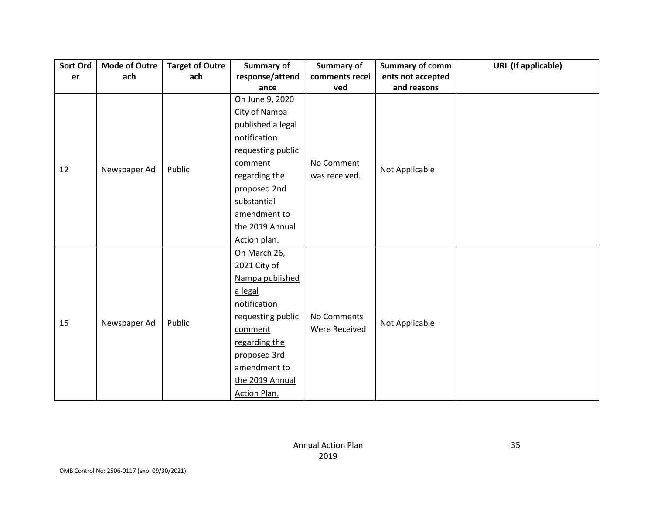| Sort Ord | <b>Mode of Outre</b> | <b>Target of Outre</b> | <b>Summary of</b> | Summary of     | <b>Summary of comm</b> | <b>URL</b> (If applicable) |
|----------|----------------------|------------------------|-------------------|----------------|------------------------|----------------------------|
| er       | ach                  | ach                    | response/attend   | comments recei | ents not accepted      |                            |
|          |                      |                        | ance              | ved            | and reasons            |                            |
|          |                      |                        | On June 9, 2020   |                |                        |                            |
|          |                      |                        | City of Nampa     |                |                        |                            |
|          |                      |                        | published a legal |                |                        |                            |
|          |                      |                        | notification      |                |                        |                            |
|          |                      |                        | requesting public |                |                        |                            |
|          |                      |                        | comment           | No Comment     |                        |                            |
| 12       | Newspaper Ad         | Public                 | regarding the     | was received.  | Not Applicable         |                            |
|          |                      |                        | proposed 2nd      |                |                        |                            |
|          |                      |                        | substantial       |                |                        |                            |
|          |                      |                        | amendment to      |                |                        |                            |
|          |                      |                        | the 2019 Annual   |                |                        |                            |
|          |                      |                        | Action plan.      |                |                        |                            |
|          |                      |                        | On March 26,      |                |                        |                            |
|          |                      |                        | 2021 City of      |                |                        |                            |
|          |                      |                        | Nampa published   |                |                        |                            |
|          |                      |                        | a legal           |                |                        |                            |
|          |                      |                        | notification      |                |                        |                            |
| 15       |                      | Public                 | requesting public | No Comments    |                        |                            |
|          | Newspaper Ad         |                        | comment           | Were Received  | Not Applicable         |                            |
|          |                      |                        | regarding the     |                |                        |                            |
|          |                      |                        | proposed 3rd      |                |                        |                            |
|          |                      |                        | amendment to      |                |                        |                            |
|          |                      |                        | the 2019 Annual   |                |                        |                            |
|          |                      |                        | Action Plan.      |                |                        |                            |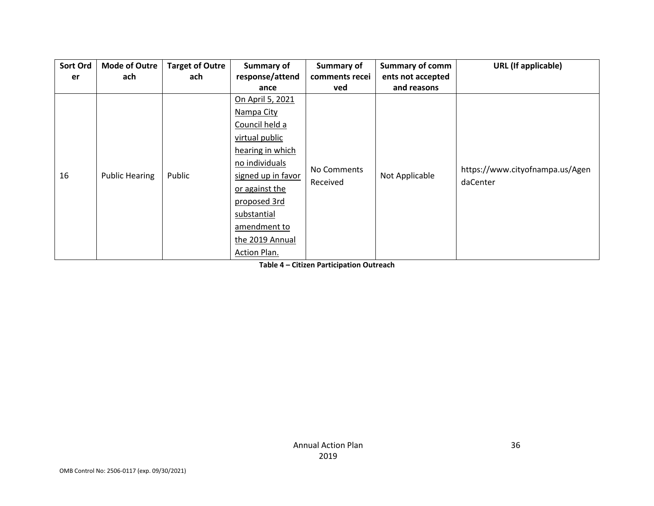| Sort Ord | <b>Mode of Outre</b>  | <b>Target of Outre</b> | <b>Summary of</b>  | Summary of     | <b>Summary of comm</b> | <b>URL</b> (If applicable)                  |
|----------|-----------------------|------------------------|--------------------|----------------|------------------------|---------------------------------------------|
| er       | ach                   | ach                    | response/attend    | comments recei | ents not accepted      |                                             |
|          |                       |                        | ance               | ved            | and reasons            |                                             |
|          |                       |                        | On April 5, 2021   |                |                        |                                             |
|          |                       |                        | Nampa City         |                |                        |                                             |
|          |                       |                        | Council held a     |                | Not Applicable         | https://www.cityofnampa.us/Agen<br>daCenter |
|          |                       | Public                 | virtual public     |                |                        |                                             |
|          | <b>Public Hearing</b> |                        | hearing in which   |                |                        |                                             |
|          |                       |                        | no individuals     | No Comments    |                        |                                             |
| 16       |                       |                        | signed up in favor |                |                        |                                             |
|          |                       |                        | or against the     | Received       |                        |                                             |
|          |                       |                        | proposed 3rd       |                |                        |                                             |
|          |                       |                        | substantial        |                |                        |                                             |
|          |                       |                        | amendment to       |                |                        |                                             |
|          |                       |                        | the 2019 Annual    |                |                        |                                             |
|          |                       |                        | Action Plan.       |                |                        |                                             |

**Table 4 – Citizen Participation Outreach**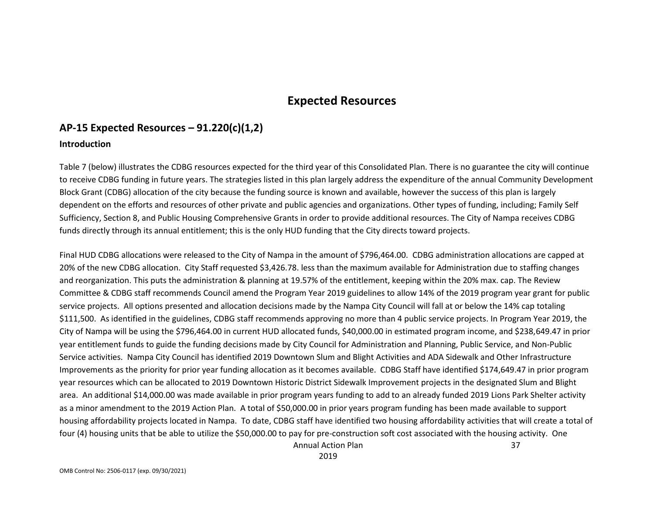## **Expected Resources**

# **AP-15 Expected Resources – 91.220(c)(1,2)**

#### **Introduction**

Table 7 (below) illustrates the CDBG resources expected for the third year of this Consolidated Plan. There is no guarantee the city will continue to receive CDBG funding in future years. The strategies listed in this plan largely address the expenditure of the annual Community Development Block Grant (CDBG) allocation of the city because the funding source is known and available, however the success of this plan is largely dependent on the efforts and resources of other private and public agencies and organizations. Other types of funding, including; Family Self Sufficiency, Section 8, and Public Housing Comprehensive Grants in order to provide additional resources. The City of Nampa receives CDBG funds directly through its annual entitlement; this is the only HUD funding that the City directs toward projects.

Annual Action Plan 37 Final HUD CDBG allocations were released to the City of Nampa in the amount of \$796,464.00. CDBG administration allocations are capped at 20% of the new CDBG allocation. City Staff requested \$3,426.78. less than the maximum available for Administration due to staffing changes and reorganization. This puts the administration & planning at 19.57% of the entitlement, keeping within the 20% max. cap. The Review Committee & CDBG staff recommends Council amend the Program Year 2019 guidelines to allow 14% of the 2019 program year grant for public service projects. All options presented and allocation decisions made by the Nampa City Council will fall at or below the 14% cap totaling \$111,500. As identified in the guidelines, CDBG staff recommends approving no more than 4 public service projects. In Program Year 2019, the City of Nampa will be using the \$796,464.00 in current HUD allocated funds, \$40,000.00 in estimated program income, and \$238,649.47 in prior year entitlement funds to guide the funding decisions made by City Council for Administration and Planning, Public Service, and Non-Public Service activities. Nampa City Council has identified 2019 Downtown Slum and Blight Activities and ADA Sidewalk and Other Infrastructure Improvements as the priority for prior year funding allocation as it becomes available. CDBG Staff have identified \$174,649.47 in prior program year resources which can be allocated to 2019 Downtown Historic District Sidewalk Improvement projects in the designated Slum and Blight area. An additional \$14,000.00 was made available in prior program years funding to add to an already funded 2019 Lions Park Shelter activity as a minor amendment to the 2019 Action Plan. A total of \$50,000.00 in prior years program funding has been made available to support housing affordability projects located in Nampa. To date, CDBG staff have identified two housing affordability activities that will create a total of four (4) housing units that be able to utilize the \$50,000.00 to pay for pre-construction soft cost associated with the housing activity. One

2019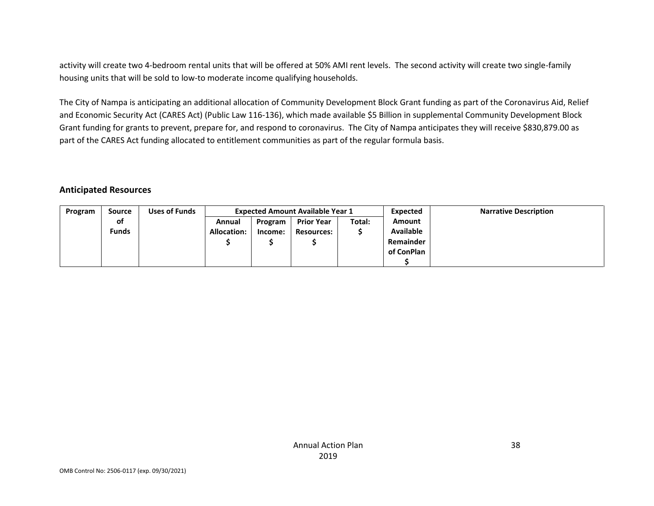activity will create two 4-bedroom rental units that will be offered at 50% AMI rent levels. The second activity will create two single-family housing units that will be sold to low-to moderate income qualifying households.

The City of Nampa is anticipating an additional allocation of Community Development Block Grant funding as part of the Coronavirus Aid, Relief and Economic Security Act (CARES Act) (Public Law 116-136), which made available \$5 Billion in supplemental Community Development Block Grant funding for grants to prevent, prepare for, and respond to coronavirus. The City of Nampa anticipates they will receive \$830,879.00 as part of the CARES Act funding allocated to entitlement communities as part of the regular formula basis.

#### **Anticipated Resources**

| Program | <b>Source</b> | Uses of Funds |                    |         | <b>Expected Amount Available Year 1</b> |        |                  | <b>Narrative Description</b> |
|---------|---------------|---------------|--------------------|---------|-----------------------------------------|--------|------------------|------------------------------|
|         | of            |               | Annual             | Program | <b>Prior Year</b>                       | Total: | <b>Amount</b>    |                              |
|         | <b>Funds</b>  |               | <b>Allocation:</b> | Income: | <b>Resources:</b>                       |        | <b>Available</b> |                              |
|         |               |               |                    |         |                                         |        | Remainder        |                              |
|         |               |               |                    |         |                                         |        | of ConPlan       |                              |
|         |               |               |                    |         |                                         |        |                  |                              |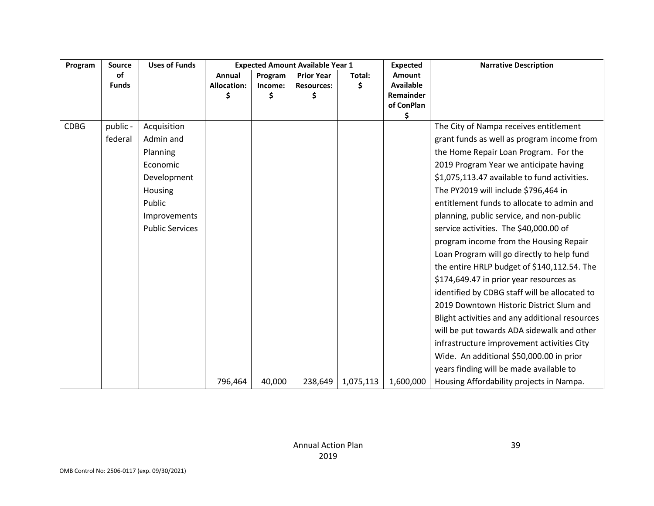| Program     | <b>Source</b> | <b>Uses of Funds</b>   | <b>Expected Amount Available Year 1</b> |         | <b>Expected</b>   | <b>Narrative Description</b> |                                |                                                |
|-------------|---------------|------------------------|-----------------------------------------|---------|-------------------|------------------------------|--------------------------------|------------------------------------------------|
|             | <b>of</b>     |                        | Annual                                  | Program | <b>Prior Year</b> | Total:                       | Amount                         |                                                |
|             | <b>Funds</b>  |                        | <b>Allocation:</b>                      | Income: | <b>Resources:</b> | \$                           | <b>Available</b>               |                                                |
|             |               |                        | Ś                                       | \$      | Ś.                |                              | <b>Remainder</b><br>of ConPlan |                                                |
|             |               |                        |                                         |         |                   |                              | \$                             |                                                |
| <b>CDBG</b> | public -      | Acquisition            |                                         |         |                   |                              |                                | The City of Nampa receives entitlement         |
|             | federal       | Admin and              |                                         |         |                   |                              |                                | grant funds as well as program income from     |
|             |               | Planning               |                                         |         |                   |                              |                                | the Home Repair Loan Program. For the          |
|             |               | Economic               |                                         |         |                   |                              |                                | 2019 Program Year we anticipate having         |
|             |               | Development            |                                         |         |                   |                              |                                | \$1,075,113.47 available to fund activities.   |
|             |               | Housing                |                                         |         |                   |                              |                                | The PY2019 will include \$796,464 in           |
|             |               | Public                 |                                         |         |                   |                              |                                | entitlement funds to allocate to admin and     |
|             |               | Improvements           |                                         |         |                   |                              |                                | planning, public service, and non-public       |
|             |               | <b>Public Services</b> |                                         |         |                   |                              |                                | service activities. The \$40,000.00 of         |
|             |               |                        |                                         |         |                   |                              |                                | program income from the Housing Repair         |
|             |               |                        |                                         |         |                   |                              |                                | Loan Program will go directly to help fund     |
|             |               |                        |                                         |         |                   |                              |                                | the entire HRLP budget of \$140,112.54. The    |
|             |               |                        |                                         |         |                   |                              |                                | \$174,649.47 in prior year resources as        |
|             |               |                        |                                         |         |                   |                              |                                | identified by CDBG staff will be allocated to  |
|             |               |                        |                                         |         |                   |                              |                                | 2019 Downtown Historic District Slum and       |
|             |               |                        |                                         |         |                   |                              |                                | Blight activities and any additional resources |
|             |               |                        |                                         |         |                   |                              |                                | will be put towards ADA sidewalk and other     |
|             |               |                        |                                         |         |                   |                              |                                | infrastructure improvement activities City     |
|             |               |                        |                                         |         |                   |                              |                                | Wide. An additional \$50,000.00 in prior       |
|             |               |                        |                                         |         |                   |                              |                                | years finding will be made available to        |
|             |               |                        | 796,464                                 | 40,000  | 238,649           | 1,075,113                    | 1,600,000                      | Housing Affordability projects in Nampa.       |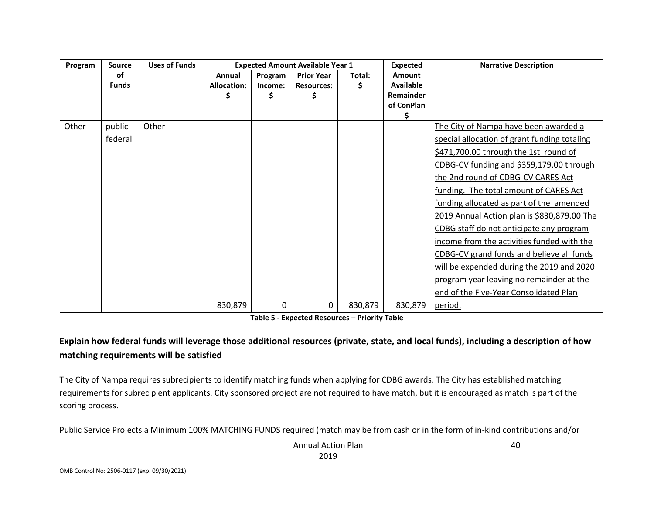| Program | <b>Source</b> | <b>Uses of Funds</b> | <b>Expected Amount Available Year 1</b> |         |                   |         | Expected         | <b>Narrative Description</b>                 |
|---------|---------------|----------------------|-----------------------------------------|---------|-------------------|---------|------------------|----------------------------------------------|
|         | οf            |                      | Annual                                  | Program | <b>Prior Year</b> | Total:  | Amount           |                                              |
|         | <b>Funds</b>  |                      | <b>Allocation:</b>                      | Income: | <b>Resources:</b> | \$      | <b>Available</b> |                                              |
|         |               |                      |                                         |         |                   |         | Remainder        |                                              |
|         |               |                      |                                         |         |                   |         | of ConPlan       |                                              |
| Other   | public -      | Other                |                                         |         |                   |         | \$               | The City of Nampa have been awarded a        |
|         |               |                      |                                         |         |                   |         |                  |                                              |
|         | federal       |                      |                                         |         |                   |         |                  | special allocation of grant funding totaling |
|         |               |                      |                                         |         |                   |         |                  | \$471,700.00 through the 1st round of        |
|         |               |                      |                                         |         |                   |         |                  | CDBG-CV funding and \$359,179.00 through     |
|         |               |                      |                                         |         |                   |         |                  | the 2nd round of CDBG-CV CARES Act           |
|         |               |                      |                                         |         |                   |         |                  | funding. The total amount of CARES Act       |
|         |               |                      |                                         |         |                   |         |                  | funding allocated as part of the amended     |
|         |               |                      |                                         |         |                   |         |                  | 2019 Annual Action plan is \$830,879.00 The  |
|         |               |                      |                                         |         |                   |         |                  | CDBG staff do not anticipate any program     |
|         |               |                      |                                         |         |                   |         |                  | income from the activities funded with the   |
|         |               |                      |                                         |         |                   |         |                  | CDBG-CV grand funds and believe all funds    |
|         |               |                      |                                         |         |                   |         |                  | will be expended during the 2019 and 2020    |
|         |               |                      |                                         |         |                   |         |                  | program year leaving no remainder at the     |
|         |               |                      |                                         |         |                   |         |                  | end of the Five-Year Consolidated Plan       |
|         |               |                      | 830,879                                 | 0       | 0                 | 830,879 | 830,879          | period.                                      |

**Table 5 - Expected Resources – Priority Table**

### **Explain how federal funds will leverage those additional resources (private, state, and local funds), including a description of how matching requirements will be satisfied**

The City of Nampa requires subrecipients to identify matching funds when applying for CDBG awards. The City has established matching requirements for subrecipient applicants. City sponsored project are not required to have match, but it is encouraged as match is part of the scoring process.

Public Service Projects a Minimum 100% MATCHING FUNDS required (match may be from cash or in the form of in-kind contributions and/or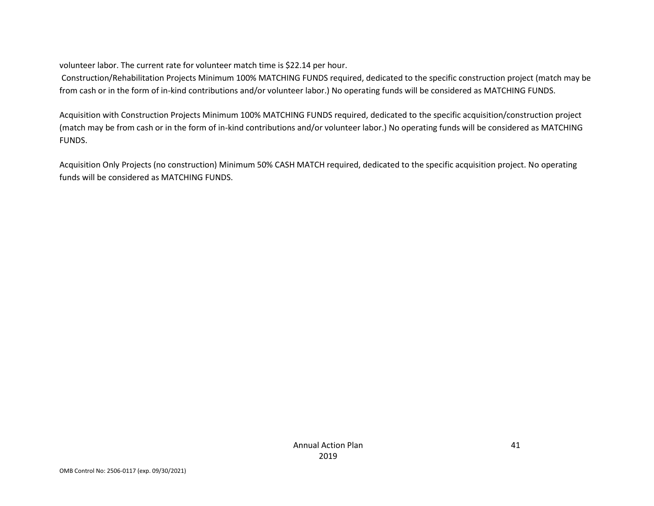volunteer labor. The current rate for volunteer match time is \$22.14 per hour.

Construction/Rehabilitation Projects Minimum 100% MATCHING FUNDS required, dedicated to the specific construction project (match may be from cash or in the form of in-kind contributions and/or volunteer labor.) No operating funds will be considered as MATCHING FUNDS.

Acquisition with Construction Projects Minimum 100% MATCHING FUNDS required, dedicated to the specific acquisition/construction project (match may be from cash or in the form of in-kind contributions and/or volunteer labor.) No operating funds will be considered as MATCHING FUNDS.

Acquisition Only Projects (no construction) Minimum 50% CASH MATCH required, dedicated to the specific acquisition project. No operating funds will be considered as MATCHING FUNDS.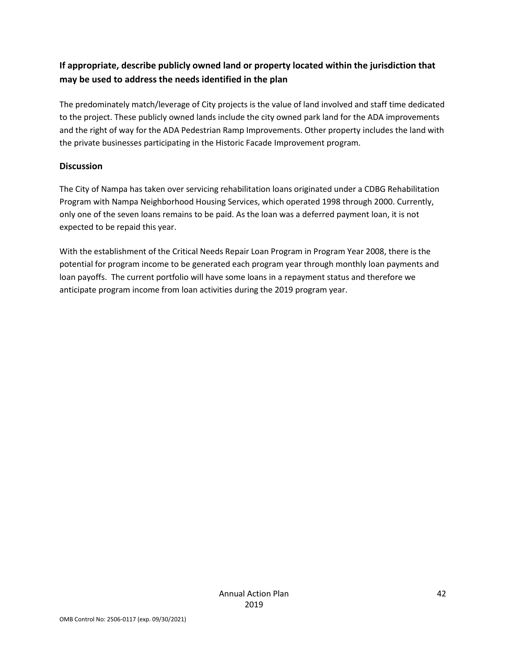### **If appropriate, describe publicly owned land or property located within the jurisdiction that may be used to address the needs identified in the plan**

The predominately match/leverage of City projects is the value of land involved and staff time dedicated to the project. These publicly owned lands include the city owned park land for the ADA improvements and the right of way for the ADA Pedestrian Ramp Improvements. Other property includes the land with the private businesses participating in the Historic Facade Improvement program.

### **Discussion**

The City of Nampa has taken over servicing rehabilitation loans originated under a CDBG Rehabilitation Program with Nampa Neighborhood Housing Services, which operated 1998 through 2000. Currently, only one of the seven loans remains to be paid. As the loan was a deferred payment loan, it is not expected to be repaid this year.

With the establishment of the Critical Needs Repair Loan Program in Program Year 2008, there is the potential for program income to be generated each program year through monthly loan payments and loan payoffs. The current portfolio will have some loans in a repayment status and therefore we anticipate program income from loan activities during the 2019 program year.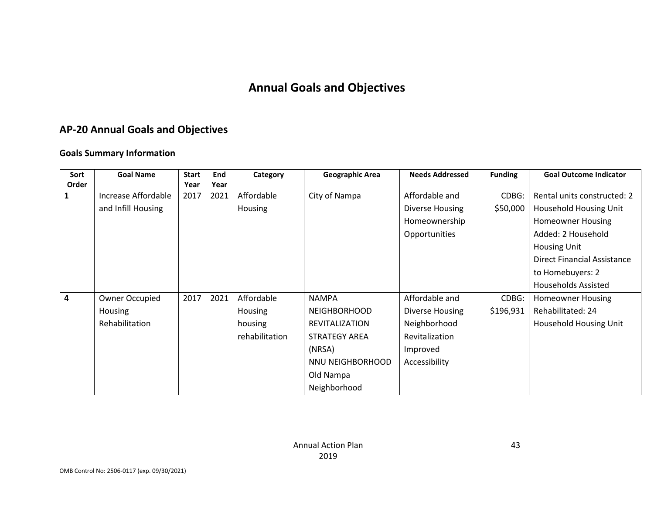# **Annual Goals and Objectives**

## **AP-20 Annual Goals and Objectives**

### **Goals Summary Information**

| Sort                    | <b>Goal Name</b>    | <b>Start</b> | End  | Category       | <b>Geographic Area</b> | <b>Needs Addressed</b> | <b>Funding</b> | <b>Goal Outcome Indicator</b> |
|-------------------------|---------------------|--------------|------|----------------|------------------------|------------------------|----------------|-------------------------------|
| Order                   |                     | Year         | Year |                |                        |                        |                |                               |
| 1                       | Increase Affordable | 2017         | 2021 | Affordable     | City of Nampa          | Affordable and         | CDBG:          | Rental units constructed: 2   |
|                         | and Infill Housing  |              |      | Housing        |                        | Diverse Housing        | \$50,000       | Household Housing Unit        |
|                         |                     |              |      |                |                        | Homeownership          |                | <b>Homeowner Housing</b>      |
|                         |                     |              |      |                |                        | Opportunities          |                | Added: 2 Household            |
|                         |                     |              |      |                |                        |                        |                | <b>Housing Unit</b>           |
|                         |                     |              |      |                |                        |                        |                | Direct Financial Assistance   |
|                         |                     |              |      |                |                        |                        |                | to Homebuyers: 2              |
|                         |                     |              |      |                |                        |                        |                | <b>Households Assisted</b>    |
| $\overline{\mathbf{4}}$ | Owner Occupied      | 2017         | 2021 | Affordable     | <b>NAMPA</b>           | Affordable and         | CDBG:          | <b>Homeowner Housing</b>      |
|                         | <b>Housing</b>      |              |      | Housing        | <b>NEIGHBORHOOD</b>    | Diverse Housing        | \$196,931      | Rehabilitated: 24             |
|                         | Rehabilitation      |              |      | housing        | <b>REVITALIZATION</b>  | Neighborhood           |                | <b>Household Housing Unit</b> |
|                         |                     |              |      | rehabilitation | <b>STRATEGY AREA</b>   | Revitalization         |                |                               |
|                         |                     |              |      |                | (NRSA)                 | Improved               |                |                               |
|                         |                     |              |      |                | NNU NEIGHBORHOOD       | Accessibility          |                |                               |
|                         |                     |              |      |                | Old Nampa              |                        |                |                               |
|                         |                     |              |      |                | Neighborhood           |                        |                |                               |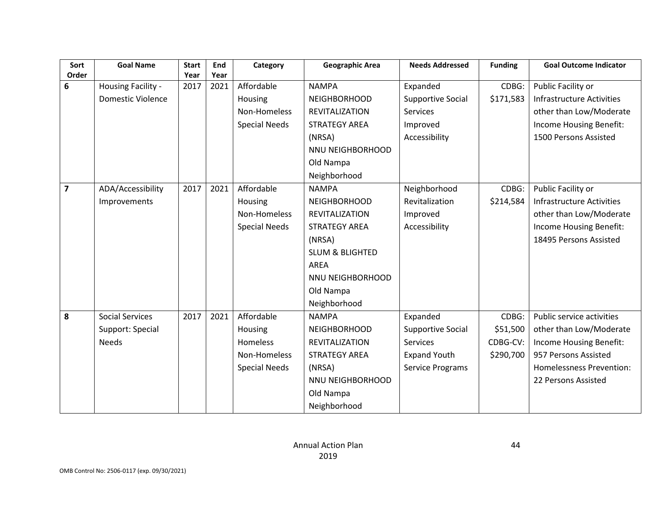| Sort           | <b>Goal Name</b>         | <b>Start</b> | End  | Category             | <b>Geographic Area</b>     | <b>Needs Addressed</b>   | <b>Funding</b> | <b>Goal Outcome Indicator</b>    |
|----------------|--------------------------|--------------|------|----------------------|----------------------------|--------------------------|----------------|----------------------------------|
| Order          |                          | Year         | Year |                      |                            |                          |                |                                  |
| 6              | Housing Facility -       | 2017         | 2021 | Affordable           | <b>NAMPA</b>               | Expanded                 | CDBG:          | Public Facility or               |
|                | <b>Domestic Violence</b> |              |      | Housing              | <b>NEIGHBORHOOD</b>        | <b>Supportive Social</b> | \$171,583      | <b>Infrastructure Activities</b> |
|                |                          |              |      | Non-Homeless         | <b>REVITALIZATION</b>      | <b>Services</b>          |                | other than Low/Moderate          |
|                |                          |              |      | <b>Special Needs</b> | <b>STRATEGY AREA</b>       | Improved                 |                | Income Housing Benefit:          |
|                |                          |              |      |                      | (NRSA)                     | Accessibility            |                | 1500 Persons Assisted            |
|                |                          |              |      |                      | NNU NEIGHBORHOOD           |                          |                |                                  |
|                |                          |              |      |                      | Old Nampa                  |                          |                |                                  |
|                |                          |              |      |                      | Neighborhood               |                          |                |                                  |
| $\overline{7}$ | ADA/Accessibility        | 2017         | 2021 | Affordable           | <b>NAMPA</b>               | Neighborhood             | CDBG:          | Public Facility or               |
|                | Improvements             |              |      | Housing              | <b>NEIGHBORHOOD</b>        | Revitalization           | \$214,584      | <b>Infrastructure Activities</b> |
|                |                          |              |      | Non-Homeless         | <b>REVITALIZATION</b>      | Improved                 |                | other than Low/Moderate          |
|                |                          |              |      | <b>Special Needs</b> | <b>STRATEGY AREA</b>       | Accessibility            |                | Income Housing Benefit:          |
|                |                          |              |      |                      | (NRSA)                     |                          |                | 18495 Persons Assisted           |
|                |                          |              |      |                      | <b>SLUM &amp; BLIGHTED</b> |                          |                |                                  |
|                |                          |              |      |                      | <b>AREA</b>                |                          |                |                                  |
|                |                          |              |      |                      | NNU NEIGHBORHOOD           |                          |                |                                  |
|                |                          |              |      |                      | Old Nampa                  |                          |                |                                  |
|                |                          |              |      |                      | Neighborhood               |                          |                |                                  |
| 8              | <b>Social Services</b>   | 2017         | 2021 | Affordable           | <b>NAMPA</b>               | Expanded                 | CDBG:          | Public service activities        |
|                | Support: Special         |              |      | Housing              | <b>NEIGHBORHOOD</b>        | <b>Supportive Social</b> | \$51,500       | other than Low/Moderate          |
|                | <b>Needs</b>             |              |      | <b>Homeless</b>      | <b>REVITALIZATION</b>      | <b>Services</b>          | CDBG-CV:       | Income Housing Benefit:          |
|                |                          |              |      | Non-Homeless         | <b>STRATEGY AREA</b>       | <b>Expand Youth</b>      | \$290,700      | 957 Persons Assisted             |
|                |                          |              |      | <b>Special Needs</b> | (NRSA)                     | Service Programs         |                | Homelessness Prevention:         |
|                |                          |              |      |                      | NNU NEIGHBORHOOD           |                          |                | 22 Persons Assisted              |
|                |                          |              |      |                      | Old Nampa                  |                          |                |                                  |
|                |                          |              |      |                      | Neighborhood               |                          |                |                                  |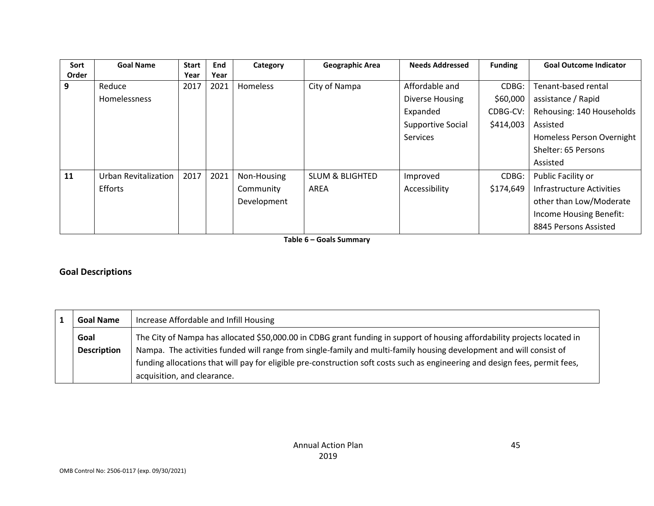| Sort  | <b>Goal Name</b>            | <b>Start</b> | End  | Category        | Geographic Area            | <b>Needs Addressed</b> | <b>Funding</b> | <b>Goal Outcome Indicator</b> |
|-------|-----------------------------|--------------|------|-----------------|----------------------------|------------------------|----------------|-------------------------------|
| Order |                             | Year         | Year |                 |                            |                        |                |                               |
| 9     | Reduce                      | 2017         | 2021 | <b>Homeless</b> | City of Nampa              | Affordable and         | CDBG:          | Tenant-based rental           |
|       | <b>Homelessness</b>         |              |      |                 |                            | Diverse Housing        | \$60,000       | assistance / Rapid            |
|       |                             |              |      |                 |                            | Expanded               | CDBG-CV:       | Rehousing: 140 Households     |
|       |                             |              |      |                 |                            | Supportive Social      | \$414,003      | Assisted                      |
|       |                             |              |      |                 |                            | Services               |                | Homeless Person Overnight     |
|       |                             |              |      |                 |                            |                        |                | Shelter: 65 Persons           |
|       |                             |              |      |                 |                            |                        |                | Assisted                      |
| 11    | <b>Urban Revitalization</b> | 2017         | 2021 | Non-Housing     | <b>SLUM &amp; BLIGHTED</b> | Improved               | CDBG:          | Public Facility or            |
|       | <b>Efforts</b>              |              |      | Community       | AREA                       | Accessibility          | \$174,649      | Infrastructure Activities     |
|       |                             |              |      | Development     |                            |                        |                | other than Low/Moderate       |
|       |                             |              |      |                 |                            |                        |                | Income Housing Benefit:       |
|       |                             |              |      |                 |                            |                        |                | 8845 Persons Assisted         |

**Table 6 – Goals Summary**

### **Goal Descriptions**

| <b>Goal Name</b>   | Increase Affordable and Infill Housing                                                                                       |  |  |  |
|--------------------|------------------------------------------------------------------------------------------------------------------------------|--|--|--|
| Goal               | The City of Nampa has allocated \$50,000.00 in CDBG grant funding in support of housing affordability projects located in    |  |  |  |
| <b>Description</b> | Nampa. The activities funded will range from single-family and multi-family housing development and will consist of          |  |  |  |
|                    | funding allocations that will pay for eligible pre-construction soft costs such as engineering and design fees, permit fees, |  |  |  |
|                    | acquisition, and clearance.                                                                                                  |  |  |  |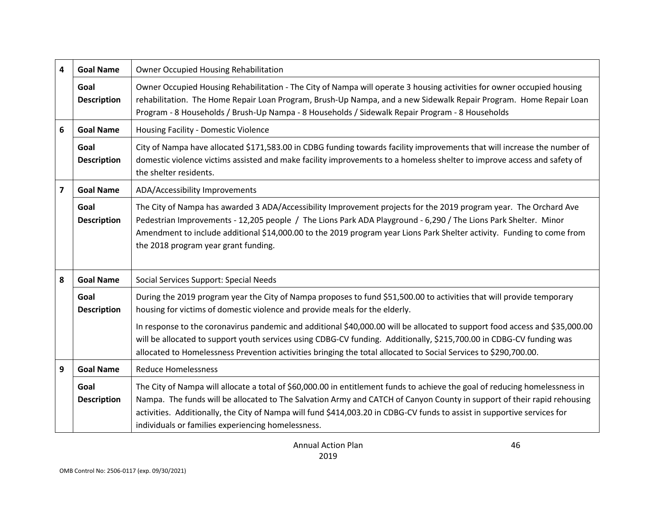| 4 | <b>Goal Name</b>           | Owner Occupied Housing Rehabilitation                                                                                                                                                                                                                                                                                                                                                                                                    |
|---|----------------------------|------------------------------------------------------------------------------------------------------------------------------------------------------------------------------------------------------------------------------------------------------------------------------------------------------------------------------------------------------------------------------------------------------------------------------------------|
|   | Goal<br><b>Description</b> | Owner Occupied Housing Rehabilitation - The City of Nampa will operate 3 housing activities for owner occupied housing<br>rehabilitation. The Home Repair Loan Program, Brush-Up Nampa, and a new Sidewalk Repair Program. Home Repair Loan<br>Program - 8 Households / Brush-Up Nampa - 8 Households / Sidewalk Repair Program - 8 Households                                                                                           |
| 6 | <b>Goal Name</b>           | Housing Facility - Domestic Violence                                                                                                                                                                                                                                                                                                                                                                                                     |
|   | Goal<br><b>Description</b> | City of Nampa have allocated \$171,583.00 in CDBG funding towards facility improvements that will increase the number of<br>domestic violence victims assisted and make facility improvements to a homeless shelter to improve access and safety of<br>the shelter residents.                                                                                                                                                            |
| 7 | <b>Goal Name</b>           | ADA/Accessibility Improvements                                                                                                                                                                                                                                                                                                                                                                                                           |
|   | Goal<br><b>Description</b> | The City of Nampa has awarded 3 ADA/Accessibility Improvement projects for the 2019 program year. The Orchard Ave<br>Pedestrian Improvements - 12,205 people / The Lions Park ADA Playground - 6,290 / The Lions Park Shelter. Minor<br>Amendment to include additional \$14,000.00 to the 2019 program year Lions Park Shelter activity. Funding to come from<br>the 2018 program year grant funding.                                   |
| 8 | <b>Goal Name</b>           | Social Services Support: Special Needs                                                                                                                                                                                                                                                                                                                                                                                                   |
|   | Goal<br><b>Description</b> | During the 2019 program year the City of Nampa proposes to fund \$51,500.00 to activities that will provide temporary<br>housing for victims of domestic violence and provide meals for the elderly.                                                                                                                                                                                                                                     |
|   |                            | In response to the coronavirus pandemic and additional \$40,000.00 will be allocated to support food access and \$35,000.00<br>will be allocated to support youth services using CDBG-CV funding. Additionally, \$215,700.00 in CDBG-CV funding was<br>allocated to Homelessness Prevention activities bringing the total allocated to Social Services to \$290,700.00.                                                                  |
| 9 | <b>Goal Name</b>           | <b>Reduce Homelessness</b>                                                                                                                                                                                                                                                                                                                                                                                                               |
|   | Goal<br><b>Description</b> | The City of Nampa will allocate a total of \$60,000.00 in entitlement funds to achieve the goal of reducing homelessness in<br>Nampa. The funds will be allocated to The Salvation Army and CATCH of Canyon County in support of their rapid rehousing<br>activities. Additionally, the City of Nampa will fund \$414,003.20 in CDBG-CV funds to assist in supportive services for<br>individuals or families experiencing homelessness. |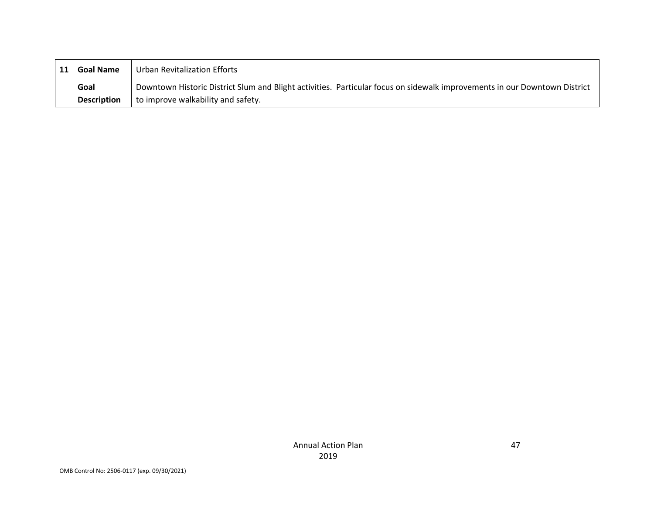| <b>Goal Name</b>   | Urban Revitalization Efforts                                                                                              |
|--------------------|---------------------------------------------------------------------------------------------------------------------------|
| Goal               | Downtown Historic District Slum and Blight activities. Particular focus on sidewalk improvements in our Downtown District |
| <b>Description</b> | to improve walkability and safety.                                                                                        |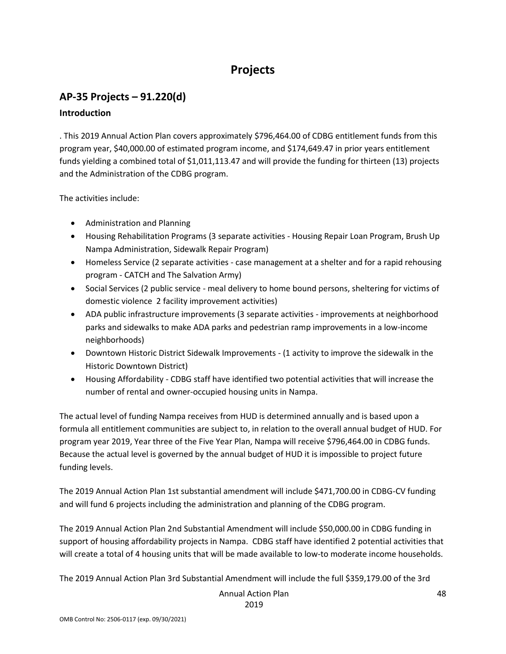# **Projects**

# **AP-35 Projects – 91.220(d)**

### **Introduction**

. This 2019 Annual Action Plan covers approximately \$796,464.00 of CDBG entitlement funds from this program year, \$40,000.00 of estimated program income, and \$174,649.47 in prior years entitlement funds yielding a combined total of \$1,011,113.47 and will provide the funding for thirteen (13) projects and the Administration of the CDBG program.

The activities include:

- Administration and Planning
- Housing Rehabilitation Programs (3 separate activities Housing Repair Loan Program, Brush Up Nampa Administration, Sidewalk Repair Program)
- Homeless Service (2 separate activities case management at a shelter and for a rapid rehousing program - CATCH and The Salvation Army)
- Social Services (2 public service meal delivery to home bound persons, sheltering for victims of domestic violence 2 facility improvement activities)
- ADA public infrastructure improvements (3 separate activities improvements at neighborhood parks and sidewalks to make ADA parks and pedestrian ramp improvements in a low-income neighborhoods)
- Downtown Historic District Sidewalk Improvements (1 activity to improve the sidewalk in the Historic Downtown District)
- Housing Affordability CDBG staff have identified two potential activities that will increase the number of rental and owner-occupied housing units in Nampa.

The actual level of funding Nampa receives from HUD is determined annually and is based upon a formula all entitlement communities are subject to, in relation to the overall annual budget of HUD. For program year 2019, Year three of the Five Year Plan, Nampa will receive \$796,464.00 in CDBG funds. Because the actual level is governed by the annual budget of HUD it is impossible to project future funding levels.

The 2019 Annual Action Plan 1st substantial amendment will include \$471,700.00 in CDBG-CV funding and will fund 6 projects including the administration and planning of the CDBG program.

The 2019 Annual Action Plan 2nd Substantial Amendment will include \$50,000.00 in CDBG funding in support of housing affordability projects in Nampa. CDBG staff have identified 2 potential activities that will create a total of 4 housing units that will be made available to low-to moderate income households.

The 2019 Annual Action Plan 3rd Substantial Amendment will include the full \$359,179.00 of the 3rd

Annual Action Plan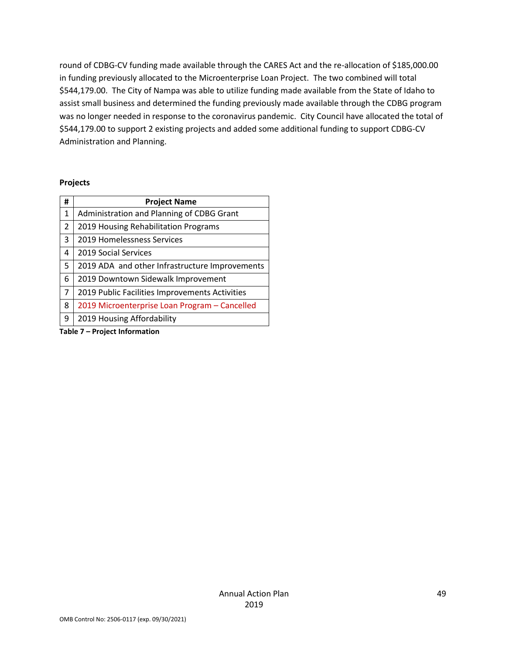round of CDBG-CV funding made available through the CARES Act and the re-allocation of \$185,000.00 in funding previously allocated to the Microenterprise Loan Project. The two combined will total \$544,179.00. The City of Nampa was able to utilize funding made available from the State of Idaho to assist small business and determined the funding previously made available through the CDBG program was no longer needed in response to the coronavirus pandemic. City Council have allocated the total of \$544,179.00 to support 2 existing projects and added some additional funding to support CDBG-CV Administration and Planning.

#### **Projects**

| #              | <b>Project Name</b>                                                                                                   |
|----------------|-----------------------------------------------------------------------------------------------------------------------|
| 1              | Administration and Planning of CDBG Grant                                                                             |
| $\overline{2}$ | 2019 Housing Rehabilitation Programs                                                                                  |
| 3              | 2019 Homelessness Services                                                                                            |
| 4              | 2019 Social Services                                                                                                  |
| 5              | 2019 ADA and other Infrastructure Improvements                                                                        |
| 6              | 2019 Downtown Sidewalk Improvement                                                                                    |
| $\overline{7}$ | 2019 Public Facilities Improvements Activities                                                                        |
| 8              | 2019 Microenterprise Loan Program - Cancelled                                                                         |
| 9              | 2019 Housing Affordability                                                                                            |
|                | <b>The Property of the Concerted Contract Contract Contract Contract Contract Contract Contract Contract Contract</b> |

**Table 7 – Project Information**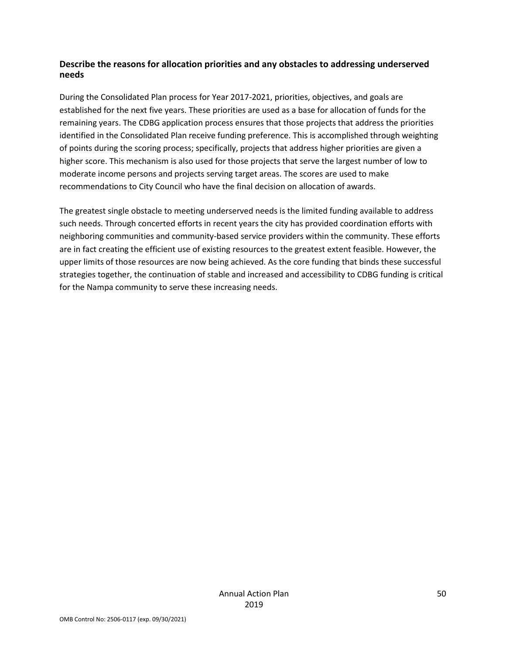### **Describe the reasons for allocation priorities and any obstacles to addressing underserved needs**

During the Consolidated Plan process for Year 2017-2021, priorities, objectives, and goals are established for the next five years. These priorities are used as a base for allocation of funds for the remaining years. The CDBG application process ensures that those projects that address the priorities identified in the Consolidated Plan receive funding preference. This is accomplished through weighting of points during the scoring process; specifically, projects that address higher priorities are given a higher score. This mechanism is also used for those projects that serve the largest number of low to moderate income persons and projects serving target areas. The scores are used to make recommendations to City Council who have the final decision on allocation of awards.

The greatest single obstacle to meeting underserved needs is the limited funding available to address such needs. Through concerted efforts in recent years the city has provided coordination efforts with neighboring communities and community-based service providers within the community. These efforts are in fact creating the efficient use of existing resources to the greatest extent feasible. However, the upper limits of those resources are now being achieved. As the core funding that binds these successful strategies together, the continuation of stable and increased and accessibility to CDBG funding is critical for the Nampa community to serve these increasing needs.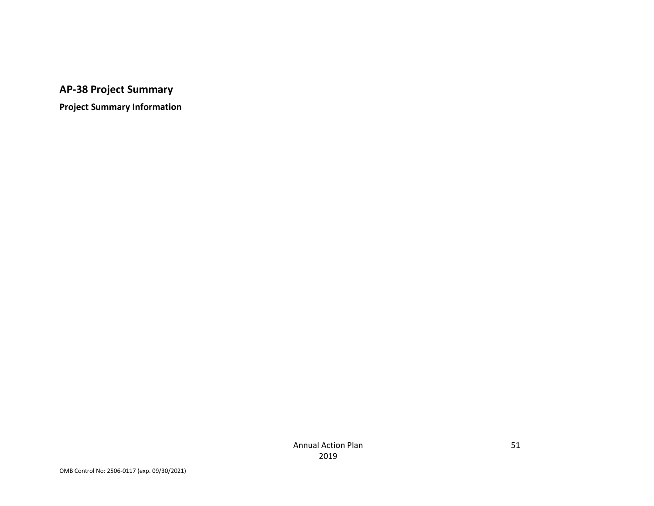# **AP-38 Project Summary**

**Project Summary Information**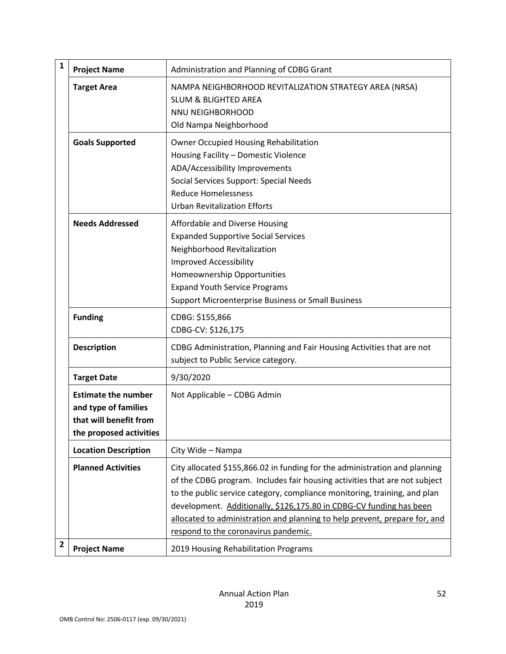| 1              | <b>Project Name</b>                                                                                     | Administration and Planning of CDBG Grant                                                                                                                                                                                                                                                                                                                                                                                          |
|----------------|---------------------------------------------------------------------------------------------------------|------------------------------------------------------------------------------------------------------------------------------------------------------------------------------------------------------------------------------------------------------------------------------------------------------------------------------------------------------------------------------------------------------------------------------------|
|                | <b>Target Area</b>                                                                                      | NAMPA NEIGHBORHOOD REVITALIZATION STRATEGY AREA (NRSA)<br><b>SLUM &amp; BLIGHTED AREA</b><br>NNU NEIGHBORHOOD<br>Old Nampa Neighborhood                                                                                                                                                                                                                                                                                            |
|                | <b>Goals Supported</b>                                                                                  | <b>Owner Occupied Housing Rehabilitation</b><br>Housing Facility - Domestic Violence<br>ADA/Accessibility Improvements<br>Social Services Support: Special Needs<br><b>Reduce Homelessness</b><br><b>Urban Revitalization Efforts</b>                                                                                                                                                                                              |
|                | <b>Needs Addressed</b>                                                                                  | Affordable and Diverse Housing<br><b>Expanded Supportive Social Services</b><br>Neighborhood Revitalization<br><b>Improved Accessibility</b><br>Homeownership Opportunities<br><b>Expand Youth Service Programs</b><br>Support Microenterprise Business or Small Business                                                                                                                                                          |
|                | <b>Funding</b>                                                                                          | CDBG: \$155,866<br>CDBG-CV: \$126,175                                                                                                                                                                                                                                                                                                                                                                                              |
|                | <b>Description</b>                                                                                      | CDBG Administration, Planning and Fair Housing Activities that are not<br>subject to Public Service category.                                                                                                                                                                                                                                                                                                                      |
|                | <b>Target Date</b>                                                                                      | 9/30/2020                                                                                                                                                                                                                                                                                                                                                                                                                          |
|                | <b>Estimate the number</b><br>and type of families<br>that will benefit from<br>the proposed activities | Not Applicable - CDBG Admin                                                                                                                                                                                                                                                                                                                                                                                                        |
|                | <b>Location Description</b>                                                                             | City Wide - Nampa                                                                                                                                                                                                                                                                                                                                                                                                                  |
|                | <b>Planned Activities</b>                                                                               | City allocated \$155,866.02 in funding for the administration and planning<br>of the CDBG program. Includes fair housing activities that are not subject<br>to the public service category, compliance monitoring, training, and plan<br>development. Additionally, \$126,175.80 in CDBG-CV funding has been<br>allocated to administration and planning to help prevent, prepare for, and<br>respond to the coronavirus pandemic. |
| $\overline{2}$ | <b>Project Name</b>                                                                                     | 2019 Housing Rehabilitation Programs                                                                                                                                                                                                                                                                                                                                                                                               |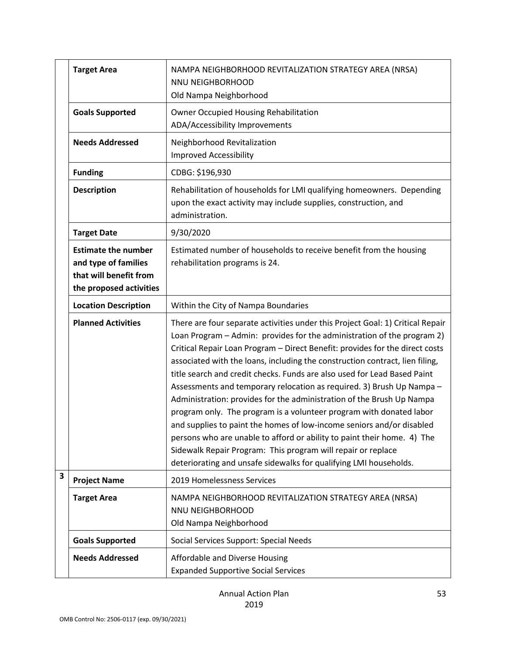|                         | <b>Target Area</b>                                                                                      | NAMPA NEIGHBORHOOD REVITALIZATION STRATEGY AREA (NRSA)<br>NNU NEIGHBORHOOD<br>Old Nampa Neighborhood                                                                                                                                                                                                                                                                                                                                                                                                                                                                                                                                                                                                                                                                                                                                                                                                                    |
|-------------------------|---------------------------------------------------------------------------------------------------------|-------------------------------------------------------------------------------------------------------------------------------------------------------------------------------------------------------------------------------------------------------------------------------------------------------------------------------------------------------------------------------------------------------------------------------------------------------------------------------------------------------------------------------------------------------------------------------------------------------------------------------------------------------------------------------------------------------------------------------------------------------------------------------------------------------------------------------------------------------------------------------------------------------------------------|
|                         | <b>Goals Supported</b>                                                                                  | Owner Occupied Housing Rehabilitation<br>ADA/Accessibility Improvements                                                                                                                                                                                                                                                                                                                                                                                                                                                                                                                                                                                                                                                                                                                                                                                                                                                 |
|                         | <b>Needs Addressed</b>                                                                                  | Neighborhood Revitalization<br><b>Improved Accessibility</b>                                                                                                                                                                                                                                                                                                                                                                                                                                                                                                                                                                                                                                                                                                                                                                                                                                                            |
|                         | <b>Funding</b>                                                                                          | CDBG: \$196,930                                                                                                                                                                                                                                                                                                                                                                                                                                                                                                                                                                                                                                                                                                                                                                                                                                                                                                         |
|                         | <b>Description</b>                                                                                      | Rehabilitation of households for LMI qualifying homeowners. Depending<br>upon the exact activity may include supplies, construction, and<br>administration.                                                                                                                                                                                                                                                                                                                                                                                                                                                                                                                                                                                                                                                                                                                                                             |
|                         | <b>Target Date</b>                                                                                      | 9/30/2020                                                                                                                                                                                                                                                                                                                                                                                                                                                                                                                                                                                                                                                                                                                                                                                                                                                                                                               |
|                         | <b>Estimate the number</b><br>and type of families<br>that will benefit from<br>the proposed activities | Estimated number of households to receive benefit from the housing<br>rehabilitation programs is 24.                                                                                                                                                                                                                                                                                                                                                                                                                                                                                                                                                                                                                                                                                                                                                                                                                    |
|                         | <b>Location Description</b>                                                                             | Within the City of Nampa Boundaries                                                                                                                                                                                                                                                                                                                                                                                                                                                                                                                                                                                                                                                                                                                                                                                                                                                                                     |
|                         | <b>Planned Activities</b>                                                                               | There are four separate activities under this Project Goal: 1) Critical Repair<br>Loan Program - Admin: provides for the administration of the program 2)<br>Critical Repair Loan Program - Direct Benefit: provides for the direct costs<br>associated with the loans, including the construction contract, lien filing,<br>title search and credit checks. Funds are also used for Lead Based Paint<br>Assessments and temporary relocation as required. 3) Brush Up Nampa -<br>Administration: provides for the administration of the Brush Up Nampa<br>program only. The program is a volunteer program with donated labor<br>and supplies to paint the homes of low-income seniors and/or disabled<br>persons who are unable to afford or ability to paint their home. 4) The<br>Sidewalk Repair Program: This program will repair or replace<br>deteriorating and unsafe sidewalks for qualifying LMI households. |
| $\overline{\mathbf{3}}$ | <b>Project Name</b>                                                                                     | 2019 Homelessness Services                                                                                                                                                                                                                                                                                                                                                                                                                                                                                                                                                                                                                                                                                                                                                                                                                                                                                              |
|                         | <b>Target Area</b>                                                                                      | NAMPA NEIGHBORHOOD REVITALIZATION STRATEGY AREA (NRSA)<br>NNU NEIGHBORHOOD<br>Old Nampa Neighborhood                                                                                                                                                                                                                                                                                                                                                                                                                                                                                                                                                                                                                                                                                                                                                                                                                    |
|                         | <b>Goals Supported</b>                                                                                  | Social Services Support: Special Needs                                                                                                                                                                                                                                                                                                                                                                                                                                                                                                                                                                                                                                                                                                                                                                                                                                                                                  |
|                         | <b>Needs Addressed</b>                                                                                  | Affordable and Diverse Housing<br><b>Expanded Supportive Social Services</b>                                                                                                                                                                                                                                                                                                                                                                                                                                                                                                                                                                                                                                                                                                                                                                                                                                            |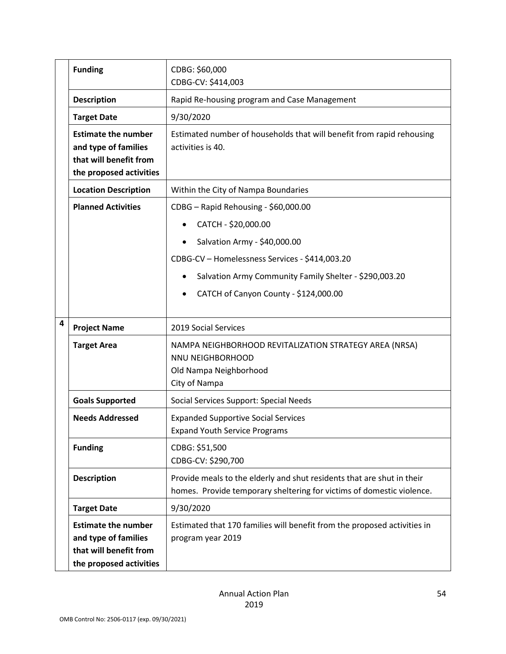|                                                                                                                              | <b>Funding</b><br>CDBG: \$60,000<br>CDBG-CV: \$414,003                       |                                                                                                                                                 |
|------------------------------------------------------------------------------------------------------------------------------|------------------------------------------------------------------------------|-------------------------------------------------------------------------------------------------------------------------------------------------|
|                                                                                                                              | <b>Description</b>                                                           | Rapid Re-housing program and Case Management                                                                                                    |
|                                                                                                                              | <b>Target Date</b>                                                           | 9/30/2020                                                                                                                                       |
| <b>Estimate the number</b><br>and type of families<br>activities is 40.<br>that will benefit from<br>the proposed activities |                                                                              | Estimated number of households that will benefit from rapid rehousing                                                                           |
|                                                                                                                              | <b>Location Description</b>                                                  | Within the City of Nampa Boundaries                                                                                                             |
| <b>Planned Activities</b><br>CDBG - Rapid Rehousing - \$60,000.00                                                            |                                                                              |                                                                                                                                                 |
|                                                                                                                              |                                                                              | CATCH - \$20,000.00<br>$\bullet$                                                                                                                |
|                                                                                                                              |                                                                              | Salvation Army - \$40,000.00                                                                                                                    |
|                                                                                                                              |                                                                              | CDBG-CV - Homelessness Services - \$414,003.20                                                                                                  |
|                                                                                                                              |                                                                              | Salvation Army Community Family Shelter - \$290,003.20                                                                                          |
|                                                                                                                              |                                                                              | CATCH of Canyon County - \$124,000.00                                                                                                           |
|                                                                                                                              |                                                                              |                                                                                                                                                 |
| 4                                                                                                                            | <b>Project Name</b>                                                          | 2019 Social Services                                                                                                                            |
|                                                                                                                              | <b>Target Area</b>                                                           | NAMPA NEIGHBORHOOD REVITALIZATION STRATEGY AREA (NRSA)<br>NNU NEIGHBORHOOD<br>Old Nampa Neighborhood<br>City of Nampa                           |
|                                                                                                                              | <b>Goals Supported</b>                                                       | Social Services Support: Special Needs                                                                                                          |
|                                                                                                                              | <b>Needs Addressed</b>                                                       | <b>Expanded Supportive Social Services</b><br><b>Expand Youth Service Programs</b>                                                              |
|                                                                                                                              | <b>Funding</b>                                                               | CDBG: \$51,500<br>CDBG-CV: \$290,700                                                                                                            |
|                                                                                                                              | <b>Description</b>                                                           | Provide meals to the elderly and shut residents that are shut in their<br>homes. Provide temporary sheltering for victims of domestic violence. |
|                                                                                                                              | <b>Target Date</b>                                                           | 9/30/2020                                                                                                                                       |
|                                                                                                                              | <b>Estimate the number</b><br>and type of families<br>that will benefit from | Estimated that 170 families will benefit from the proposed activities in<br>program year 2019                                                   |
|                                                                                                                              | the proposed activities                                                      |                                                                                                                                                 |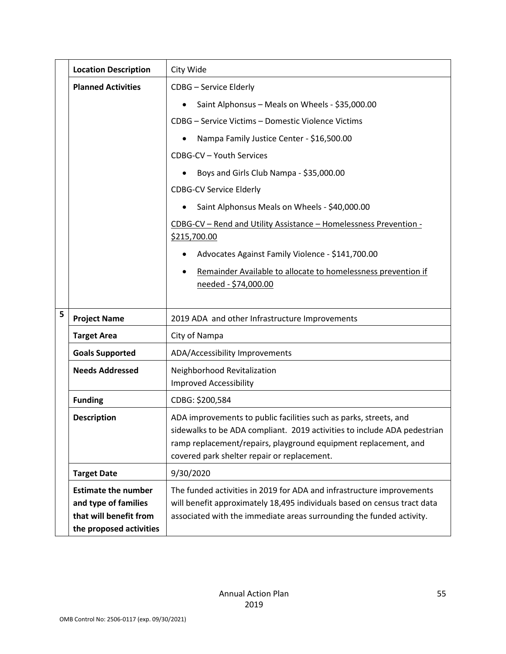|   | <b>Location Description</b>                                                  | City Wide                                                                                                                                                                                                                                                       |  |
|---|------------------------------------------------------------------------------|-----------------------------------------------------------------------------------------------------------------------------------------------------------------------------------------------------------------------------------------------------------------|--|
|   | <b>Planned Activities</b>                                                    | <b>CDBG</b> - Service Elderly                                                                                                                                                                                                                                   |  |
|   |                                                                              | Saint Alphonsus - Meals on Wheels - \$35,000.00                                                                                                                                                                                                                 |  |
|   |                                                                              | CDBG - Service Victims - Domestic Violence Victims                                                                                                                                                                                                              |  |
|   |                                                                              | Nampa Family Justice Center - \$16,500.00                                                                                                                                                                                                                       |  |
|   |                                                                              | CDBG-CV - Youth Services                                                                                                                                                                                                                                        |  |
|   |                                                                              | Boys and Girls Club Nampa - \$35,000.00                                                                                                                                                                                                                         |  |
|   |                                                                              | <b>CDBG-CV Service Elderly</b>                                                                                                                                                                                                                                  |  |
|   |                                                                              | Saint Alphonsus Meals on Wheels - \$40,000.00                                                                                                                                                                                                                   |  |
|   |                                                                              | CDBG-CV - Rend and Utility Assistance - Homelessness Prevention -<br>\$215,700.00                                                                                                                                                                               |  |
|   |                                                                              | Advocates Against Family Violence - \$141,700.00<br>$\bullet$                                                                                                                                                                                                   |  |
|   |                                                                              | Remainder Available to allocate to homelessness prevention if<br>needed - \$74,000.00                                                                                                                                                                           |  |
| 5 | <b>Project Name</b>                                                          | 2019 ADA and other Infrastructure Improvements                                                                                                                                                                                                                  |  |
|   | <b>Target Area</b>                                                           | City of Nampa                                                                                                                                                                                                                                                   |  |
|   | <b>Goals Supported</b>                                                       | ADA/Accessibility Improvements                                                                                                                                                                                                                                  |  |
|   | <b>Needs Addressed</b>                                                       | Neighborhood Revitalization<br><b>Improved Accessibility</b>                                                                                                                                                                                                    |  |
|   | <b>Funding</b>                                                               | CDBG: \$200,584                                                                                                                                                                                                                                                 |  |
|   | <b>Description</b>                                                           | ADA improvements to public facilities such as parks, streets, and<br>sidewalks to be ADA compliant. 2019 activities to include ADA pedestrian<br>ramp replacement/repairs, playground equipment replacement, and<br>covered park shelter repair or replacement. |  |
|   | <b>Target Date</b>                                                           | 9/30/2020                                                                                                                                                                                                                                                       |  |
|   | <b>Estimate the number</b><br>and type of families<br>that will benefit from | The funded activities in 2019 for ADA and infrastructure improvements<br>will benefit approximately 18,495 individuals based on census tract data<br>associated with the immediate areas surrounding the funded activity.                                       |  |
|   | the proposed activities                                                      |                                                                                                                                                                                                                                                                 |  |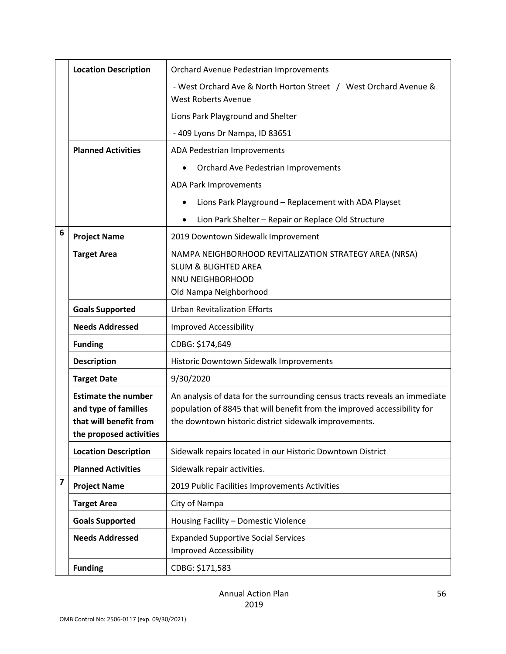|                         | <b>Location Description</b>                                                                             | Orchard Avenue Pedestrian Improvements                                                                                                                                                                          |  |
|-------------------------|---------------------------------------------------------------------------------------------------------|-----------------------------------------------------------------------------------------------------------------------------------------------------------------------------------------------------------------|--|
|                         |                                                                                                         | - West Orchard Ave & North Horton Street / West Orchard Avenue &<br><b>West Roberts Avenue</b>                                                                                                                  |  |
|                         |                                                                                                         | Lions Park Playground and Shelter                                                                                                                                                                               |  |
|                         |                                                                                                         | - 409 Lyons Dr Nampa, ID 83651                                                                                                                                                                                  |  |
|                         | <b>Planned Activities</b>                                                                               | ADA Pedestrian Improvements                                                                                                                                                                                     |  |
|                         |                                                                                                         | Orchard Ave Pedestrian Improvements                                                                                                                                                                             |  |
|                         |                                                                                                         | <b>ADA Park Improvements</b>                                                                                                                                                                                    |  |
|                         |                                                                                                         | Lions Park Playground - Replacement with ADA Playset                                                                                                                                                            |  |
|                         |                                                                                                         | Lion Park Shelter - Repair or Replace Old Structure                                                                                                                                                             |  |
| 6                       | <b>Project Name</b>                                                                                     | 2019 Downtown Sidewalk Improvement                                                                                                                                                                              |  |
|                         | <b>Target Area</b>                                                                                      | NAMPA NEIGHBORHOOD REVITALIZATION STRATEGY AREA (NRSA)<br><b>SLUM &amp; BLIGHTED AREA</b><br>NNU NEIGHBORHOOD<br>Old Nampa Neighborhood                                                                         |  |
|                         | <b>Goals Supported</b>                                                                                  | <b>Urban Revitalization Efforts</b>                                                                                                                                                                             |  |
|                         | <b>Needs Addressed</b>                                                                                  | <b>Improved Accessibility</b>                                                                                                                                                                                   |  |
|                         | <b>Funding</b>                                                                                          | CDBG: \$174,649                                                                                                                                                                                                 |  |
|                         | <b>Description</b>                                                                                      | Historic Downtown Sidewalk Improvements                                                                                                                                                                         |  |
|                         | <b>Target Date</b>                                                                                      | 9/30/2020                                                                                                                                                                                                       |  |
|                         | <b>Estimate the number</b><br>and type of families<br>that will benefit from<br>the proposed activities | An analysis of data for the surrounding census tracts reveals an immediate<br>population of 8845 that will benefit from the improved accessibility for<br>the downtown historic district sidewalk improvements. |  |
|                         | <b>Location Description</b>                                                                             | Sidewalk repairs located in our Historic Downtown District                                                                                                                                                      |  |
|                         | <b>Planned Activities</b>                                                                               | Sidewalk repair activities.                                                                                                                                                                                     |  |
| $\overline{\mathbf{z}}$ | <b>Project Name</b>                                                                                     | 2019 Public Facilities Improvements Activities                                                                                                                                                                  |  |
|                         | <b>Target Area</b>                                                                                      | City of Nampa                                                                                                                                                                                                   |  |
|                         | <b>Goals Supported</b>                                                                                  | Housing Facility - Domestic Violence                                                                                                                                                                            |  |
|                         | <b>Needs Addressed</b>                                                                                  | <b>Expanded Supportive Social Services</b><br><b>Improved Accessibility</b>                                                                                                                                     |  |
|                         | <b>Funding</b>                                                                                          | CDBG: \$171,583                                                                                                                                                                                                 |  |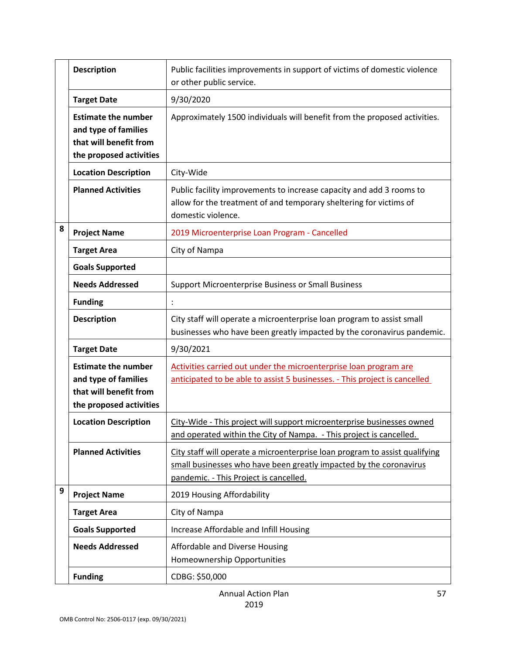|                                                                                                                               | <b>Description</b>                                                                                      | Public facilities improvements in support of victims of domestic violence<br>or other public service.                                                                                       |  |
|-------------------------------------------------------------------------------------------------------------------------------|---------------------------------------------------------------------------------------------------------|---------------------------------------------------------------------------------------------------------------------------------------------------------------------------------------------|--|
| <b>Target Date</b><br><b>Estimate the number</b><br>and type of families<br>that will benefit from<br>the proposed activities |                                                                                                         | 9/30/2020                                                                                                                                                                                   |  |
|                                                                                                                               |                                                                                                         | Approximately 1500 individuals will benefit from the proposed activities.                                                                                                                   |  |
|                                                                                                                               | <b>Location Description</b>                                                                             | City-Wide                                                                                                                                                                                   |  |
|                                                                                                                               | <b>Planned Activities</b>                                                                               | Public facility improvements to increase capacity and add 3 rooms to<br>allow for the treatment of and temporary sheltering for victims of<br>domestic violence.                            |  |
| 8                                                                                                                             | <b>Project Name</b>                                                                                     | 2019 Microenterprise Loan Program - Cancelled                                                                                                                                               |  |
|                                                                                                                               | <b>Target Area</b>                                                                                      | City of Nampa                                                                                                                                                                               |  |
|                                                                                                                               | <b>Goals Supported</b>                                                                                  |                                                                                                                                                                                             |  |
|                                                                                                                               | <b>Needs Addressed</b>                                                                                  | Support Microenterprise Business or Small Business                                                                                                                                          |  |
|                                                                                                                               | <b>Funding</b>                                                                                          |                                                                                                                                                                                             |  |
|                                                                                                                               | <b>Description</b>                                                                                      | City staff will operate a microenterprise loan program to assist small<br>businesses who have been greatly impacted by the coronavirus pandemic.                                            |  |
|                                                                                                                               | <b>Target Date</b>                                                                                      | 9/30/2021                                                                                                                                                                                   |  |
|                                                                                                                               | <b>Estimate the number</b><br>and type of families<br>that will benefit from<br>the proposed activities | Activities carried out under the microenterprise loan program are<br>anticipated to be able to assist 5 businesses. - This project is cancelled                                             |  |
|                                                                                                                               | <b>Location Description</b>                                                                             | City-Wide - This project will support microenterprise businesses owned<br>and operated within the City of Nampa. - This project is cancelled.                                               |  |
|                                                                                                                               | <b>Planned Activities</b>                                                                               | City staff will operate a microenterprise loan program to assist qualifying<br>small businesses who have been greatly impacted by the coronavirus<br>pandemic. - This Project is cancelled. |  |
| $\boldsymbol{9}$                                                                                                              | <b>Project Name</b>                                                                                     | 2019 Housing Affordability                                                                                                                                                                  |  |
|                                                                                                                               | <b>Target Area</b>                                                                                      | City of Nampa                                                                                                                                                                               |  |
|                                                                                                                               | <b>Goals Supported</b>                                                                                  | Increase Affordable and Infill Housing                                                                                                                                                      |  |
|                                                                                                                               | <b>Needs Addressed</b>                                                                                  | Affordable and Diverse Housing<br>Homeownership Opportunities                                                                                                                               |  |
|                                                                                                                               | <b>Funding</b>                                                                                          | CDBG: \$50,000                                                                                                                                                                              |  |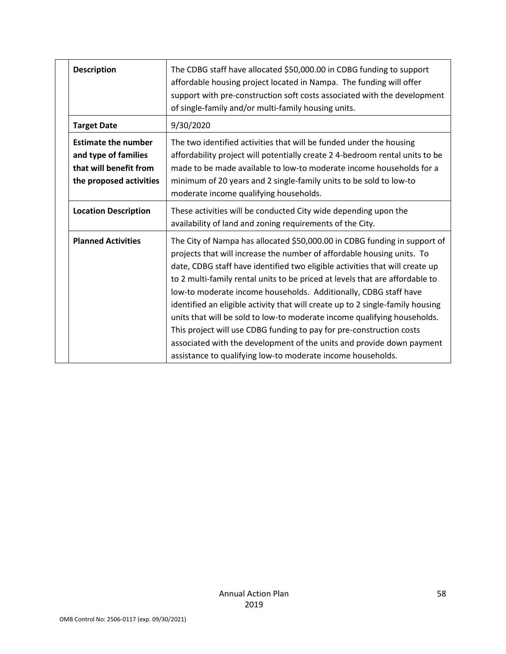| <b>Description</b>                                                                                      | The CDBG staff have allocated \$50,000.00 in CDBG funding to support<br>affordable housing project located in Nampa. The funding will offer<br>support with pre-construction soft costs associated with the development<br>of single-family and/or multi-family housing units.                                                                                                                                                                                                                                                                                                                                                                                                                                                                                        |
|---------------------------------------------------------------------------------------------------------|-----------------------------------------------------------------------------------------------------------------------------------------------------------------------------------------------------------------------------------------------------------------------------------------------------------------------------------------------------------------------------------------------------------------------------------------------------------------------------------------------------------------------------------------------------------------------------------------------------------------------------------------------------------------------------------------------------------------------------------------------------------------------|
| <b>Target Date</b>                                                                                      | 9/30/2020                                                                                                                                                                                                                                                                                                                                                                                                                                                                                                                                                                                                                                                                                                                                                             |
| <b>Estimate the number</b><br>and type of families<br>that will benefit from<br>the proposed activities | The two identified activities that will be funded under the housing<br>affordability project will potentially create 2 4-bedroom rental units to be<br>made to be made available to low-to moderate income households for a<br>minimum of 20 years and 2 single-family units to be sold to low-to<br>moderate income qualifying households.                                                                                                                                                                                                                                                                                                                                                                                                                           |
| <b>Location Description</b>                                                                             | These activities will be conducted City wide depending upon the<br>availability of land and zoning requirements of the City.                                                                                                                                                                                                                                                                                                                                                                                                                                                                                                                                                                                                                                          |
| <b>Planned Activities</b>                                                                               | The City of Nampa has allocated \$50,000.00 in CDBG funding in support of<br>projects that will increase the number of affordable housing units. To<br>date, CDBG staff have identified two eligible activities that will create up<br>to 2 multi-family rental units to be priced at levels that are affordable to<br>low-to moderate income households. Additionally, CDBG staff have<br>identified an eligible activity that will create up to 2 single-family housing<br>units that will be sold to low-to moderate income qualifying households.<br>This project will use CDBG funding to pay for pre-construction costs<br>associated with the development of the units and provide down payment<br>assistance to qualifying low-to moderate income households. |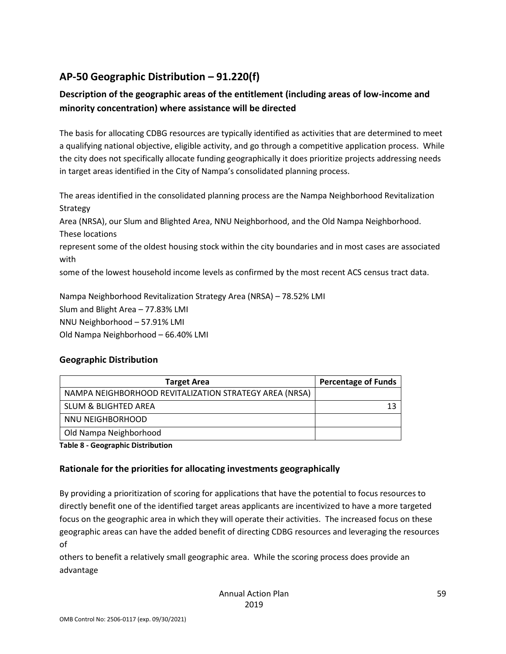## **AP-50 Geographic Distribution – 91.220(f)**

### **Description of the geographic areas of the entitlement (including areas of low-income and minority concentration) where assistance will be directed**

The basis for allocating CDBG resources are typically identified as activities that are determined to meet a qualifying national objective, eligible activity, and go through a competitive application process. While the city does not specifically allocate funding geographically it does prioritize projects addressing needs in target areas identified in the City of Nampa's consolidated planning process.

The areas identified in the consolidated planning process are the Nampa Neighborhood Revitalization Strategy

Area (NRSA), our Slum and Blighted Area, NNU Neighborhood, and the Old Nampa Neighborhood. These locations

represent some of the oldest housing stock within the city boundaries and in most cases are associated with

some of the lowest household income levels as confirmed by the most recent ACS census tract data.

Nampa Neighborhood Revitalization Strategy Area (NRSA) – 78.52% LMI Slum and Blight Area – 77.83% LMI NNU Neighborhood – 57.91% LMI Old Nampa Neighborhood – 66.40% LMI

### **Geographic Distribution**

| <b>Target Area</b>                                     | <b>Percentage of Funds</b> |
|--------------------------------------------------------|----------------------------|
| NAMPA NEIGHBORHOOD REVITALIZATION STRATEGY AREA (NRSA) |                            |
| SLUM & BLIGHTED AREA                                   |                            |
| NNU NEIGHBORHOOD                                       |                            |
| Old Nampa Neighborhood                                 |                            |

**Table 8 - Geographic Distribution** 

### **Rationale for the priorities for allocating investments geographically**

By providing a prioritization of scoring for applications that have the potential to focus resources to directly benefit one of the identified target areas applicants are incentivized to have a more targeted focus on the geographic area in which they will operate their activities. The increased focus on these geographic areas can have the added benefit of directing CDBG resources and leveraging the resources of

others to benefit a relatively small geographic area. While the scoring process does provide an advantage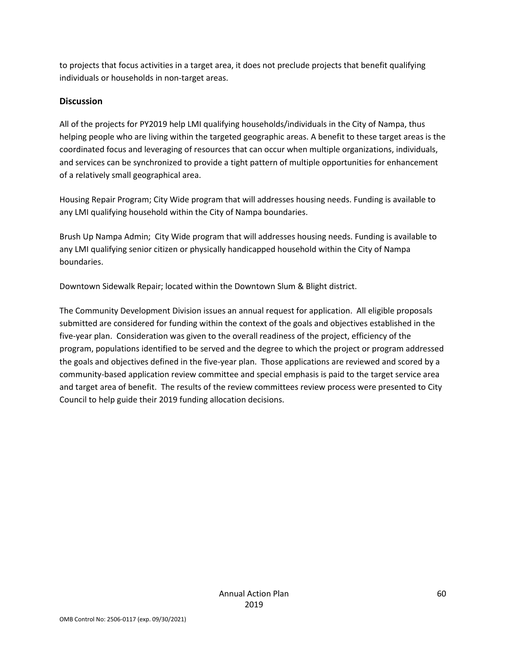to projects that focus activities in a target area, it does not preclude projects that benefit qualifying individuals or households in non-target areas.

#### **Discussion**

All of the projects for PY2019 help LMI qualifying households/individuals in the City of Nampa, thus helping people who are living within the targeted geographic areas. A benefit to these target areas is the coordinated focus and leveraging of resources that can occur when multiple organizations, individuals, and services can be synchronized to provide a tight pattern of multiple opportunities for enhancement of a relatively small geographical area.

Housing Repair Program; City Wide program that will addresses housing needs. Funding is available to any LMI qualifying household within the City of Nampa boundaries.

Brush Up Nampa Admin; City Wide program that will addresses housing needs. Funding is available to any LMI qualifying senior citizen or physically handicapped household within the City of Nampa boundaries.

Downtown Sidewalk Repair; located within the Downtown Slum & Blight district.

The Community Development Division issues an annual request for application. All eligible proposals submitted are considered for funding within the context of the goals and objectives established in the five-year plan. Consideration was given to the overall readiness of the project, efficiency of the program, populations identified to be served and the degree to which the project or program addressed the goals and objectives defined in the five-year plan. Those applications are reviewed and scored by a community-based application review committee and special emphasis is paid to the target service area and target area of benefit. The results of the review committees review process were presented to City Council to help guide their 2019 funding allocation decisions.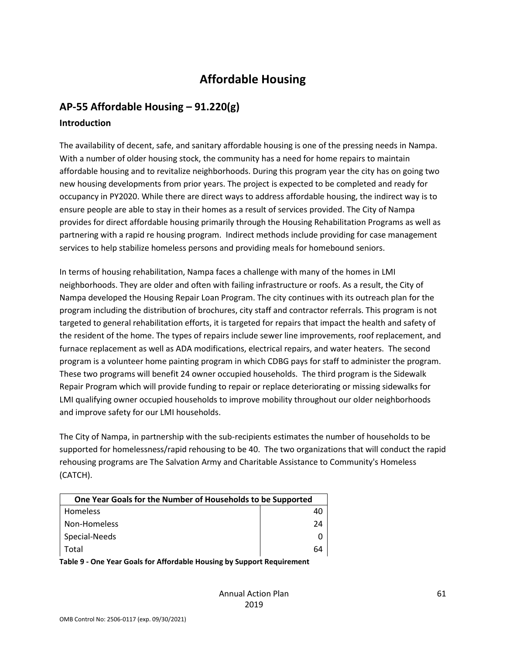# **Affordable Housing**

### **AP-55 Affordable Housing – 91.220(g)**

### **Introduction**

The availability of decent, safe, and sanitary affordable housing is one of the pressing needs in Nampa. With a number of older housing stock, the community has a need for home repairs to maintain affordable housing and to revitalize neighborhoods. During this program year the city has on going two new housing developments from prior years. The project is expected to be completed and ready for occupancy in PY2020. While there are direct ways to address affordable housing, the indirect way is to ensure people are able to stay in their homes as a result of services provided. The City of Nampa provides for direct affordable housing primarily through the Housing Rehabilitation Programs as well as partnering with a rapid re housing program. Indirect methods include providing for case management services to help stabilize homeless persons and providing meals for homebound seniors.

In terms of housing rehabilitation, Nampa faces a challenge with many of the homes in LMI neighborhoods. They are older and often with failing infrastructure or roofs. As a result, the City of Nampa developed the Housing Repair Loan Program. The city continues with its outreach plan for the program including the distribution of brochures, city staff and contractor referrals. This program is not targeted to general rehabilitation efforts, it is targeted for repairs that impact the health and safety of the resident of the home. The types of repairs include sewer line improvements, roof replacement, and furnace replacement as well as ADA modifications, electrical repairs, and water heaters. The second program is a volunteer home painting program in which CDBG pays for staff to administer the program. These two programs will benefit 24 owner occupied households. The third program is the Sidewalk Repair Program which will provide funding to repair or replace deteriorating or missing sidewalks for LMI qualifying owner occupied households to improve mobility throughout our older neighborhoods and improve safety for our LMI households.

The City of Nampa, in partnership with the sub-recipients estimates the number of households to be supported for homelessness/rapid rehousing to be 40. The two organizations that will conduct the rapid rehousing programs are The Salvation Army and Charitable Assistance to Community's Homeless (CATCH).

| One Year Goals for the Number of Households to be Supported |    |
|-------------------------------------------------------------|----|
| <b>Homeless</b>                                             | 40 |
| Non-Homeless                                                | 24 |
| Special-Needs                                               |    |
| Total                                                       | 64 |

**Table 9 - One Year Goals for Affordable Housing by Support Requirement**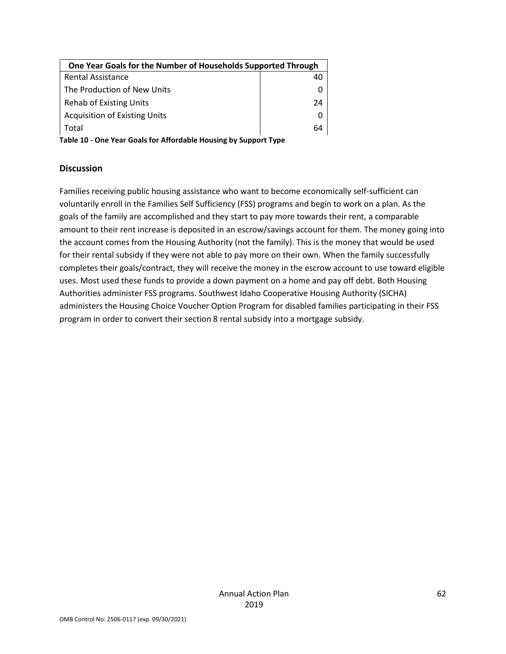| One Year Goals for the Number of Households Supported Through |    |  |
|---------------------------------------------------------------|----|--|
| <b>Rental Assistance</b>                                      | 40 |  |
| The Production of New Units                                   |    |  |
| <b>Rehab of Existing Units</b>                                | 24 |  |
| <b>Acquisition of Existing Units</b>                          |    |  |
| Total                                                         | 64 |  |
|                                                               |    |  |

**Table 10 - One Year Goals for Affordable Housing by Support Type**

#### **Discussion**

Families receiving public housing assistance who want to become economically self-sufficient can voluntarily enroll in the Families Self Sufficiency (FSS) programs and begin to work on a plan. As the goals of the family are accomplished and they start to pay more towards their rent, a comparable amount to their rent increase is deposited in an escrow/savings account for them. The money going into the account comes from the Housing Authority (not the family). This is the money that would be used for their rental subsidy if they were not able to pay more on their own. When the family successfully completes their goals/contract, they will receive the money in the escrow account to use toward eligible uses. Most used these funds to provide a down payment on a home and pay off debt. Both Housing Authorities administer FSS programs. Southwest Idaho Cooperative Housing Authority (SICHA) administers the Housing Choice Voucher Option Program for disabled families participating in their FSS program in order to convert their section 8 rental subsidy into a mortgage subsidy.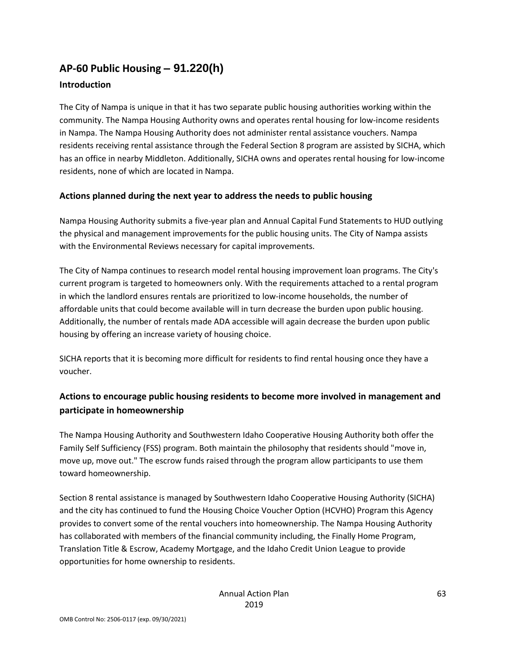# **AP-60 Public Housing** *–* **91.220(h)**

### **Introduction**

The City of Nampa is unique in that it has two separate public housing authorities working within the community. The Nampa Housing Authority owns and operates rental housing for low-income residents in Nampa. The Nampa Housing Authority does not administer rental assistance vouchers. Nampa residents receiving rental assistance through the Federal Section 8 program are assisted by SICHA, which has an office in nearby Middleton. Additionally, SICHA owns and operates rental housing for low-income residents, none of which are located in Nampa.

### **Actions planned during the next year to address the needs to public housing**

Nampa Housing Authority submits a five-year plan and Annual Capital Fund Statements to HUD outlying the physical and management improvements for the public housing units. The City of Nampa assists with the Environmental Reviews necessary for capital improvements.

The City of Nampa continues to research model rental housing improvement loan programs. The City's current program is targeted to homeowners only. With the requirements attached to a rental program in which the landlord ensures rentals are prioritized to low-income households, the number of affordable units that could become available will in turn decrease the burden upon public housing. Additionally, the number of rentals made ADA accessible will again decrease the burden upon public housing by offering an increase variety of housing choice.

SICHA reports that it is becoming more difficult for residents to find rental housing once they have a voucher.

### **Actions to encourage public housing residents to become more involved in management and participate in homeownership**

The Nampa Housing Authority and Southwestern Idaho Cooperative Housing Authority both offer the Family Self Sufficiency (FSS) program. Both maintain the philosophy that residents should "move in, move up, move out." The escrow funds raised through the program allow participants to use them toward homeownership.

Section 8 rental assistance is managed by Southwestern Idaho Cooperative Housing Authority (SICHA) and the city has continued to fund the Housing Choice Voucher Option (HCVHO) Program this Agency provides to convert some of the rental vouchers into homeownership. The Nampa Housing Authority has collaborated with members of the financial community including, the Finally Home Program, Translation Title & Escrow, Academy Mortgage, and the Idaho Credit Union League to provide opportunities for home ownership to residents.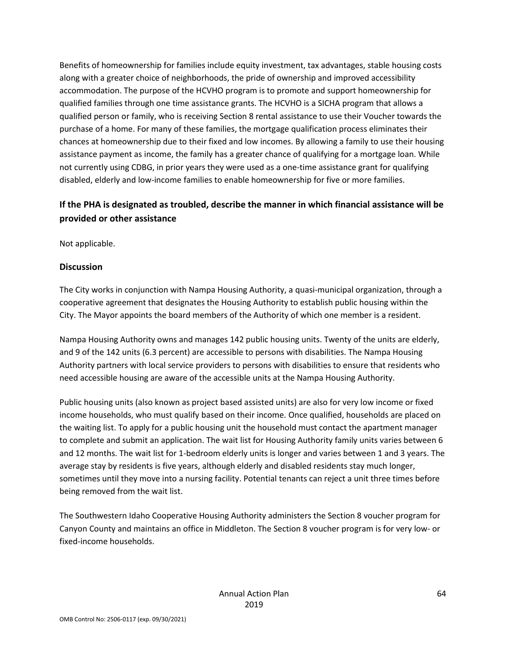Benefits of homeownership for families include equity investment, tax advantages, stable housing costs along with a greater choice of neighborhoods, the pride of ownership and improved accessibility accommodation. The purpose of the HCVHO program is to promote and support homeownership for qualified families through one time assistance grants. The HCVHO is a SICHA program that allows a qualified person or family, who is receiving Section 8 rental assistance to use their Voucher towards the purchase of a home. For many of these families, the mortgage qualification process eliminates their chances at homeownership due to their fixed and low incomes. By allowing a family to use their housing assistance payment as income, the family has a greater chance of qualifying for a mortgage loan. While not currently using CDBG, in prior years they were used as a one-time assistance grant for qualifying disabled, elderly and low-income families to enable homeownership for five or more families.

### **If the PHA is designated as troubled, describe the manner in which financial assistance will be provided or other assistance**

Not applicable.

#### **Discussion**

The City works in conjunction with Nampa Housing Authority, a quasi-municipal organization, through a cooperative agreement that designates the Housing Authority to establish public housing within the City. The Mayor appoints the board members of the Authority of which one member is a resident.

Nampa Housing Authority owns and manages 142 public housing units. Twenty of the units are elderly, and 9 of the 142 units (6.3 percent) are accessible to persons with disabilities. The Nampa Housing Authority partners with local service providers to persons with disabilities to ensure that residents who need accessible housing are aware of the accessible units at the Nampa Housing Authority.

Public housing units (also known as project based assisted units) are also for very low income or fixed income households, who must qualify based on their income. Once qualified, households are placed on the waiting list. To apply for a public housing unit the household must contact the apartment manager to complete and submit an application. The wait list for Housing Authority family units varies between 6 and 12 months. The wait list for 1-bedroom elderly units is longer and varies between 1 and 3 years. The average stay by residents is five years, although elderly and disabled residents stay much longer, sometimes until they move into a nursing facility. Potential tenants can reject a unit three times before being removed from the wait list.

The Southwestern Idaho Cooperative Housing Authority administers the Section 8 voucher program for Canyon County and maintains an office in Middleton. The Section 8 voucher program is for very low- or fixed-income households.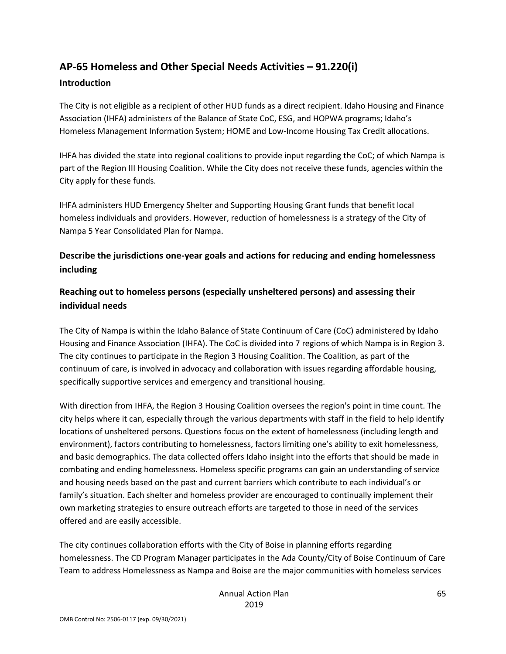# **AP-65 Homeless and Other Special Needs Activities – 91.220(i)**

#### **Introduction**

The City is not eligible as a recipient of other HUD funds as a direct recipient. Idaho Housing and Finance Association (IHFA) administers of the Balance of State CoC, ESG, and HOPWA programs; Idaho's Homeless Management Information System; HOME and Low-Income Housing Tax Credit allocations.

IHFA has divided the state into regional coalitions to provide input regarding the CoC; of which Nampa is part of the Region III Housing Coalition. While the City does not receive these funds, agencies within the City apply for these funds.

IHFA administers HUD Emergency Shelter and Supporting Housing Grant funds that benefit local homeless individuals and providers. However, reduction of homelessness is a strategy of the City of Nampa 5 Year Consolidated Plan for Nampa.

### **Describe the jurisdictions one-year goals and actions for reducing and ending homelessness including**

### **Reaching out to homeless persons (especially unsheltered persons) and assessing their individual needs**

The City of Nampa is within the Idaho Balance of State Continuum of Care (CoC) administered by Idaho Housing and Finance Association (IHFA). The CoC is divided into 7 regions of which Nampa is in Region 3. The city continues to participate in the Region 3 Housing Coalition. The Coalition, as part of the continuum of care, is involved in advocacy and collaboration with issues regarding affordable housing, specifically supportive services and emergency and transitional housing.

With direction from IHFA, the Region 3 Housing Coalition oversees the region's point in time count. The city helps where it can, especially through the various departments with staff in the field to help identify locations of unsheltered persons. Questions focus on the extent of homelessness (including length and environment), factors contributing to homelessness, factors limiting one's ability to exit homelessness, and basic demographics. The data collected offers Idaho insight into the efforts that should be made in combating and ending homelessness. Homeless specific programs can gain an understanding of service and housing needs based on the past and current barriers which contribute to each individual's or family's situation. Each shelter and homeless provider are encouraged to continually implement their own marketing strategies to ensure outreach efforts are targeted to those in need of the services offered and are easily accessible.

The city continues collaboration efforts with the City of Boise in planning efforts regarding homelessness. The CD Program Manager participates in the Ada County/City of Boise Continuum of Care Team to address Homelessness as Nampa and Boise are the major communities with homeless services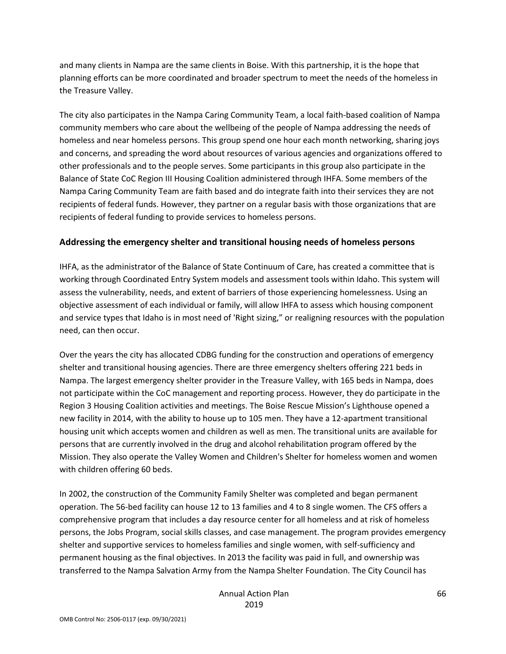and many clients in Nampa are the same clients in Boise. With this partnership, it is the hope that planning efforts can be more coordinated and broader spectrum to meet the needs of the homeless in the Treasure Valley.

The city also participates in the Nampa Caring Community Team, a local faith-based coalition of Nampa community members who care about the wellbeing of the people of Nampa addressing the needs of homeless and near homeless persons. This group spend one hour each month networking, sharing joys and concerns, and spreading the word about resources of various agencies and organizations offered to other professionals and to the people serves. Some participants in this group also participate in the Balance of State CoC Region III Housing Coalition administered through IHFA. Some members of the Nampa Caring Community Team are faith based and do integrate faith into their services they are not recipients of federal funds. However, they partner on a regular basis with those organizations that are recipients of federal funding to provide services to homeless persons.

### **Addressing the emergency shelter and transitional housing needs of homeless persons**

IHFA, as the administrator of the Balance of State Continuum of Care, has created a committee that is working through Coordinated Entry System models and assessment tools within Idaho. This system will assess the vulnerability, needs, and extent of barriers of those experiencing homelessness. Using an objective assessment of each individual or family, will allow IHFA to assess which housing component and service types that Idaho is in most need of 'Right sizing," or realigning resources with the population need, can then occur.

Over the years the city has allocated CDBG funding for the construction and operations of emergency shelter and transitional housing agencies. There are three emergency shelters offering 221 beds in Nampa. The largest emergency shelter provider in the Treasure Valley, with 165 beds in Nampa, does not participate within the CoC management and reporting process. However, they do participate in the Region 3 Housing Coalition activities and meetings. The Boise Rescue Mission's Lighthouse opened a new facility in 2014, with the ability to house up to 105 men. They have a 12-apartment transitional housing unit which accepts women and children as well as men. The transitional units are available for persons that are currently involved in the drug and alcohol rehabilitation program offered by the Mission. They also operate the Valley Women and Children's Shelter for homeless women and women with children offering 60 beds.

In 2002, the construction of the Community Family Shelter was completed and began permanent operation. The 56-bed facility can house 12 to 13 families and 4 to 8 single women. The CFS offers a comprehensive program that includes a day resource center for all homeless and at risk of homeless persons, the Jobs Program, social skills classes, and case management. The program provides emergency shelter and supportive services to homeless families and single women, with self-sufficiency and permanent housing as the final objectives. In 2013 the facility was paid in full, and ownership was transferred to the Nampa Salvation Army from the Nampa Shelter Foundation. The City Council has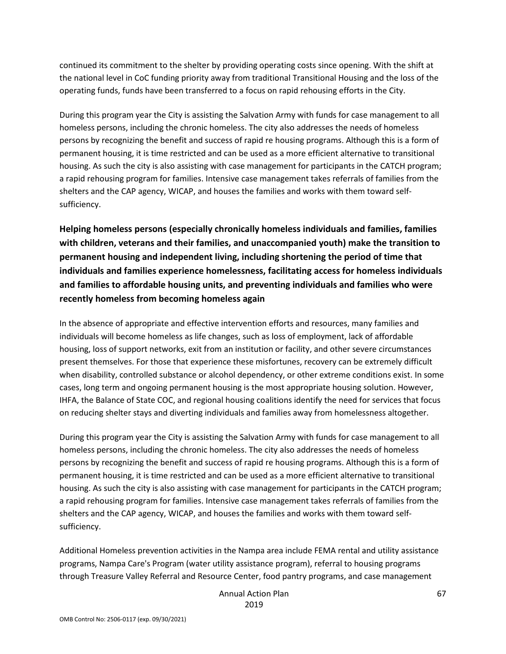continued its commitment to the shelter by providing operating costs since opening. With the shift at the national level in CoC funding priority away from traditional Transitional Housing and the loss of the operating funds, funds have been transferred to a focus on rapid rehousing efforts in the City.

During this program year the City is assisting the Salvation Army with funds for case management to all homeless persons, including the chronic homeless. The city also addresses the needs of homeless persons by recognizing the benefit and success of rapid re housing programs. Although this is a form of permanent housing, it is time restricted and can be used as a more efficient alternative to transitional housing. As such the city is also assisting with case management for participants in the CATCH program; a rapid rehousing program for families. Intensive case management takes referrals of families from the shelters and the CAP agency, WICAP, and houses the families and works with them toward selfsufficiency.

**Helping homeless persons (especially chronically homeless individuals and families, families with children, veterans and their families, and unaccompanied youth) make the transition to permanent housing and independent living, including shortening the period of time that individuals and families experience homelessness, facilitating access for homeless individuals and families to affordable housing units, and preventing individuals and families who were recently homeless from becoming homeless again**

In the absence of appropriate and effective intervention efforts and resources, many families and individuals will become homeless as life changes, such as loss of employment, lack of affordable housing, loss of support networks, exit from an institution or facility, and other severe circumstances present themselves. For those that experience these misfortunes, recovery can be extremely difficult when disability, controlled substance or alcohol dependency, or other extreme conditions exist. In some cases, long term and ongoing permanent housing is the most appropriate housing solution. However, IHFA, the Balance of State COC, and regional housing coalitions identify the need for services that focus on reducing shelter stays and diverting individuals and families away from homelessness altogether.

During this program year the City is assisting the Salvation Army with funds for case management to all homeless persons, including the chronic homeless. The city also addresses the needs of homeless persons by recognizing the benefit and success of rapid re housing programs. Although this is a form of permanent housing, it is time restricted and can be used as a more efficient alternative to transitional housing. As such the city is also assisting with case management for participants in the CATCH program; a rapid rehousing program for families. Intensive case management takes referrals of families from the shelters and the CAP agency, WICAP, and houses the families and works with them toward selfsufficiency.

Additional Homeless prevention activities in the Nampa area include FEMA rental and utility assistance programs, Nampa Care's Program (water utility assistance program), referral to housing programs through Treasure Valley Referral and Resource Center, food pantry programs, and case management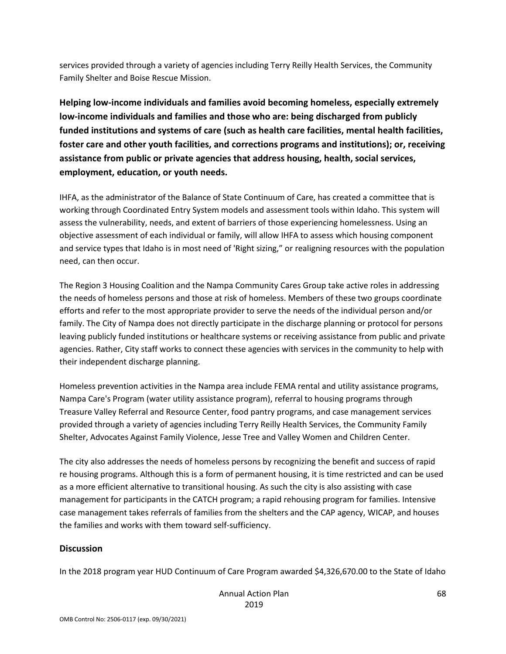services provided through a variety of agencies including Terry Reilly Health Services, the Community Family Shelter and Boise Rescue Mission.

**Helping low-income individuals and families avoid becoming homeless, especially extremely low-income individuals and families and those who are: being discharged from publicly funded institutions and systems of care (such as health care facilities, mental health facilities, foster care and other youth facilities, and corrections programs and institutions); or, receiving assistance from public or private agencies that address housing, health, social services, employment, education, or youth needs.**

IHFA, as the administrator of the Balance of State Continuum of Care, has created a committee that is working through Coordinated Entry System models and assessment tools within Idaho. This system will assess the vulnerability, needs, and extent of barriers of those experiencing homelessness. Using an objective assessment of each individual or family, will allow IHFA to assess which housing component and service types that Idaho is in most need of 'Right sizing," or realigning resources with the population need, can then occur.

The Region 3 Housing Coalition and the Nampa Community Cares Group take active roles in addressing the needs of homeless persons and those at risk of homeless. Members of these two groups coordinate efforts and refer to the most appropriate provider to serve the needs of the individual person and/or family. The City of Nampa does not directly participate in the discharge planning or protocol for persons leaving publicly funded institutions or healthcare systems or receiving assistance from public and private agencies. Rather, City staff works to connect these agencies with services in the community to help with their independent discharge planning.

Homeless prevention activities in the Nampa area include FEMA rental and utility assistance programs, Nampa Care's Program (water utility assistance program), referral to housing programs through Treasure Valley Referral and Resource Center, food pantry programs, and case management services provided through a variety of agencies including Terry Reilly Health Services, the Community Family Shelter, Advocates Against Family Violence, Jesse Tree and Valley Women and Children Center.

The city also addresses the needs of homeless persons by recognizing the benefit and success of rapid re housing programs. Although this is a form of permanent housing, it is time restricted and can be used as a more efficient alternative to transitional housing. As such the city is also assisting with case management for participants in the CATCH program; a rapid rehousing program for families. Intensive case management takes referrals of families from the shelters and the CAP agency, WICAP, and houses the families and works with them toward self-sufficiency.

#### **Discussion**

In the 2018 program year HUD Continuum of Care Program awarded \$4,326,670.00 to the State of Idaho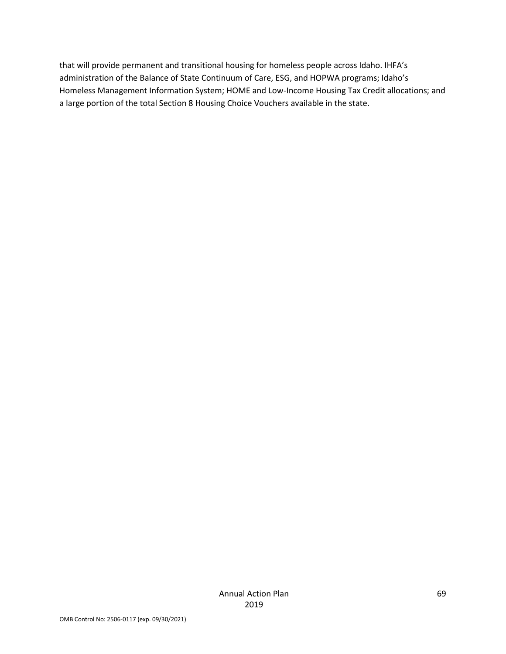that will provide permanent and transitional housing for homeless people across Idaho. IHFA's administration of the Balance of State Continuum of Care, ESG, and HOPWA programs; Idaho's Homeless Management Information System; HOME and Low-Income Housing Tax Credit allocations; and a large portion of the total Section 8 Housing Choice Vouchers available in the state.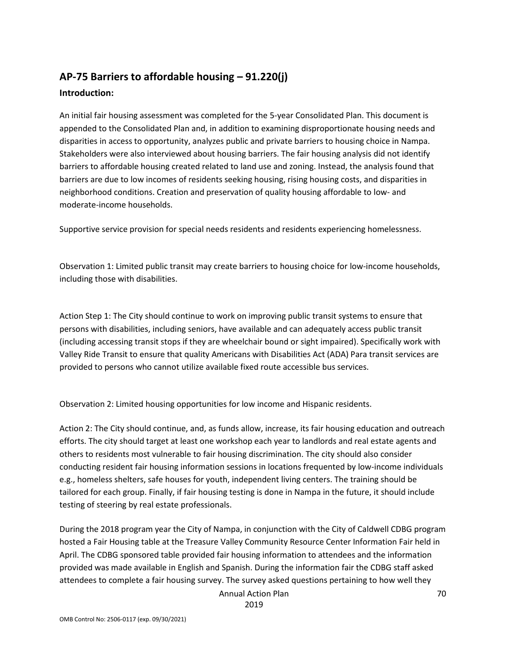### **AP-75 Barriers to affordable housing – 91.220(j) Introduction:**

An initial fair housing assessment was completed for the 5-year Consolidated Plan. This document is appended to the Consolidated Plan and, in addition to examining disproportionate housing needs and disparities in access to opportunity, analyzes public and private barriers to housing choice in Nampa. Stakeholders were also interviewed about housing barriers. The fair housing analysis did not identify barriers to affordable housing created related to land use and zoning. Instead, the analysis found that barriers are due to low incomes of residents seeking housing, rising housing costs, and disparities in neighborhood conditions. Creation and preservation of quality housing affordable to low- and moderate-income households.

Supportive service provision for special needs residents and residents experiencing homelessness.

Observation 1: Limited public transit may create barriers to housing choice for low-income households, including those with disabilities.

Action Step 1: The City should continue to work on improving public transit systems to ensure that persons with disabilities, including seniors, have available and can adequately access public transit (including accessing transit stops if they are wheelchair bound or sight impaired). Specifically work with Valley Ride Transit to ensure that quality Americans with Disabilities Act (ADA) Para transit services are provided to persons who cannot utilize available fixed route accessible bus services.

Observation 2: Limited housing opportunities for low income and Hispanic residents.

Action 2: The City should continue, and, as funds allow, increase, its fair housing education and outreach efforts. The city should target at least one workshop each year to landlords and real estate agents and others to residents most vulnerable to fair housing discrimination. The city should also consider conducting resident fair housing information sessions in locations frequented by low-income individuals e.g., homeless shelters, safe houses for youth, independent living centers. The training should be tailored for each group. Finally, if fair housing testing is done in Nampa in the future, it should include testing of steering by real estate professionals.

During the 2018 program year the City of Nampa, in conjunction with the City of Caldwell CDBG program hosted a Fair Housing table at the Treasure Valley Community Resource Center Information Fair held in April. The CDBG sponsored table provided fair housing information to attendees and the information provided was made available in English and Spanish. During the information fair the CDBG staff asked attendees to complete a fair housing survey. The survey asked questions pertaining to how well they

Annual Action Plan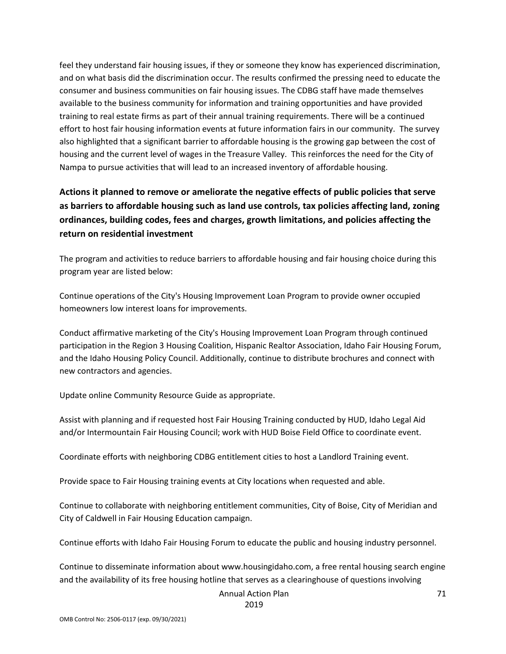feel they understand fair housing issues, if they or someone they know has experienced discrimination, and on what basis did the discrimination occur. The results confirmed the pressing need to educate the consumer and business communities on fair housing issues. The CDBG staff have made themselves available to the business community for information and training opportunities and have provided training to real estate firms as part of their annual training requirements. There will be a continued effort to host fair housing information events at future information fairs in our community. The survey also highlighted that a significant barrier to affordable housing is the growing gap between the cost of housing and the current level of wages in the Treasure Valley. This reinforces the need for the City of Nampa to pursue activities that will lead to an increased inventory of affordable housing.

### **Actions it planned to remove or ameliorate the negative effects of public policies that serve as barriers to affordable housing such as land use controls, tax policies affecting land, zoning ordinances, building codes, fees and charges, growth limitations, and policies affecting the return on residential investment**

The program and activities to reduce barriers to affordable housing and fair housing choice during this program year are listed below:

Continue operations of the City's Housing Improvement Loan Program to provide owner occupied homeowners low interest loans for improvements.

Conduct affirmative marketing of the City's Housing Improvement Loan Program through continued participation in the Region 3 Housing Coalition, Hispanic Realtor Association, Idaho Fair Housing Forum, and the Idaho Housing Policy Council. Additionally, continue to distribute brochures and connect with new contractors and agencies.

Update online Community Resource Guide as appropriate.

Assist with planning and if requested host Fair Housing Training conducted by HUD, Idaho Legal Aid and/or Intermountain Fair Housing Council; work with HUD Boise Field Office to coordinate event.

Coordinate efforts with neighboring CDBG entitlement cities to host a Landlord Training event.

Provide space to Fair Housing training events at City locations when requested and able.

Continue to collaborate with neighboring entitlement communities, City of Boise, City of Meridian and City of Caldwell in Fair Housing Education campaign.

Continue efforts with Idaho Fair Housing Forum to educate the public and housing industry personnel.

Continue to disseminate information about www.housingidaho.com, a free rental housing search engine and the availability of its free housing hotline that serves as a clearinghouse of questions involving

Annual Action Plan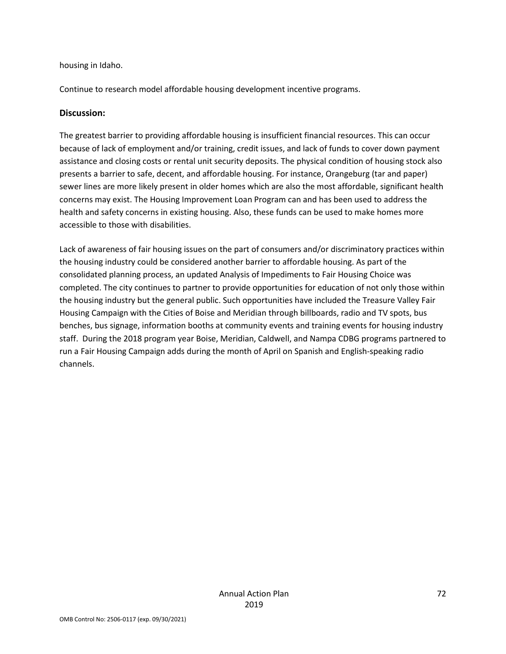#### housing in Idaho.

Continue to research model affordable housing development incentive programs.

#### **Discussion:**

The greatest barrier to providing affordable housing is insufficient financial resources. This can occur because of lack of employment and/or training, credit issues, and lack of funds to cover down payment assistance and closing costs or rental unit security deposits. The physical condition of housing stock also presents a barrier to safe, decent, and affordable housing. For instance, Orangeburg (tar and paper) sewer lines are more likely present in older homes which are also the most affordable, significant health concerns may exist. The Housing Improvement Loan Program can and has been used to address the health and safety concerns in existing housing. Also, these funds can be used to make homes more accessible to those with disabilities.

Lack of awareness of fair housing issues on the part of consumers and/or discriminatory practices within the housing industry could be considered another barrier to affordable housing. As part of the consolidated planning process, an updated Analysis of Impediments to Fair Housing Choice was completed. The city continues to partner to provide opportunities for education of not only those within the housing industry but the general public. Such opportunities have included the Treasure Valley Fair Housing Campaign with the Cities of Boise and Meridian through billboards, radio and TV spots, bus benches, bus signage, information booths at community events and training events for housing industry staff. During the 2018 program year Boise, Meridian, Caldwell, and Nampa CDBG programs partnered to run a Fair Housing Campaign adds during the month of April on Spanish and English-speaking radio channels.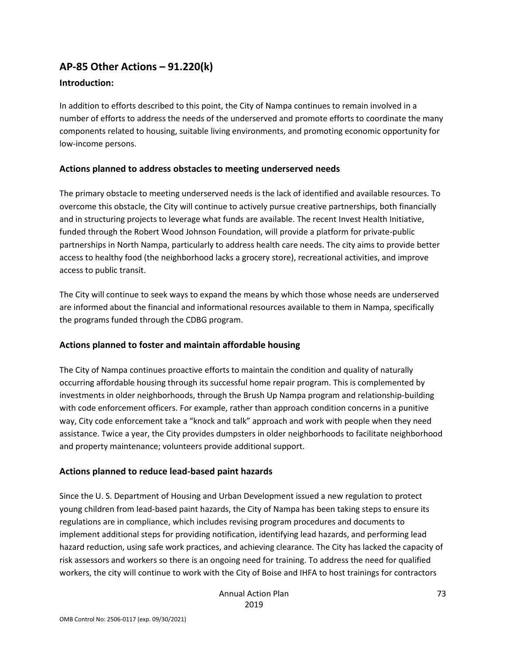## **AP-85 Other Actions – 91.220(k)**

#### **Introduction:**

In addition to efforts described to this point, the City of Nampa continues to remain involved in a number of efforts to address the needs of the underserved and promote efforts to coordinate the many components related to housing, suitable living environments, and promoting economic opportunity for low-income persons.

#### **Actions planned to address obstacles to meeting underserved needs**

The primary obstacle to meeting underserved needs is the lack of identified and available resources. To overcome this obstacle, the City will continue to actively pursue creative partnerships, both financially and in structuring projects to leverage what funds are available. The recent Invest Health Initiative, funded through the Robert Wood Johnson Foundation, will provide a platform for private-public partnerships in North Nampa, particularly to address health care needs. The city aims to provide better access to healthy food (the neighborhood lacks a grocery store), recreational activities, and improve access to public transit.

The City will continue to seek ways to expand the means by which those whose needs are underserved are informed about the financial and informational resources available to them in Nampa, specifically the programs funded through the CDBG program.

## **Actions planned to foster and maintain affordable housing**

The City of Nampa continues proactive efforts to maintain the condition and quality of naturally occurring affordable housing through its successful home repair program. This is complemented by investments in older neighborhoods, through the Brush Up Nampa program and relationship-building with code enforcement officers. For example, rather than approach condition concerns in a punitive way, City code enforcement take a "knock and talk" approach and work with people when they need assistance. Twice a year, the City provides dumpsters in older neighborhoods to facilitate neighborhood and property maintenance; volunteers provide additional support.

#### **Actions planned to reduce lead-based paint hazards**

Since the U. S. Department of Housing and Urban Development issued a new regulation to protect young children from lead-based paint hazards, the City of Nampa has been taking steps to ensure its regulations are in compliance, which includes revising program procedures and documents to implement additional steps for providing notification, identifying lead hazards, and performing lead hazard reduction, using safe work practices, and achieving clearance. The City has lacked the capacity of risk assessors and workers so there is an ongoing need for training. To address the need for qualified workers, the city will continue to work with the City of Boise and IHFA to host trainings for contractors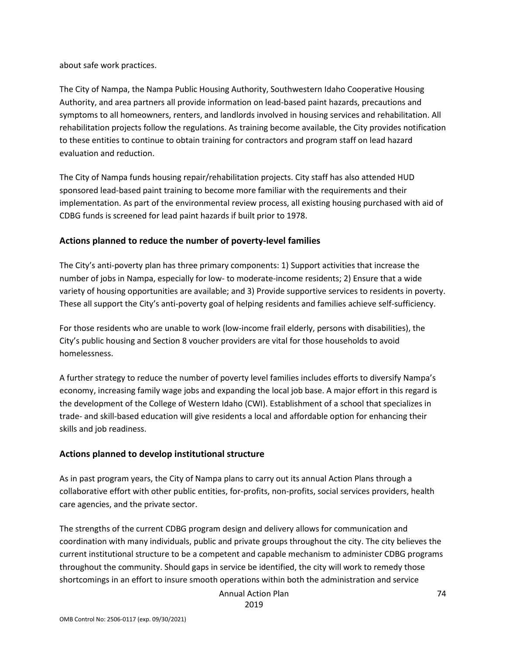about safe work practices.

The City of Nampa, the Nampa Public Housing Authority, Southwestern Idaho Cooperative Housing Authority, and area partners all provide information on lead-based paint hazards, precautions and symptoms to all homeowners, renters, and landlords involved in housing services and rehabilitation. All rehabilitation projects follow the regulations. As training become available, the City provides notification to these entities to continue to obtain training for contractors and program staff on lead hazard evaluation and reduction.

The City of Nampa funds housing repair/rehabilitation projects. City staff has also attended HUD sponsored lead-based paint training to become more familiar with the requirements and their implementation. As part of the environmental review process, all existing housing purchased with aid of CDBG funds is screened for lead paint hazards if built prior to 1978.

## **Actions planned to reduce the number of poverty-level families**

The City's anti-poverty plan has three primary components: 1) Support activities that increase the number of jobs in Nampa, especially for low- to moderate-income residents; 2) Ensure that a wide variety of housing opportunities are available; and 3) Provide supportive services to residents in poverty. These all support the City's anti-poverty goal of helping residents and families achieve self-sufficiency.

For those residents who are unable to work (low-income frail elderly, persons with disabilities), the City's public housing and Section 8 voucher providers are vital for those households to avoid homelessness.

A further strategy to reduce the number of poverty level families includes efforts to diversify Nampa's economy, increasing family wage jobs and expanding the local job base. A major effort in this regard is the development of the College of Western Idaho (CWI). Establishment of a school that specializes in trade- and skill-based education will give residents a local and affordable option for enhancing their skills and job readiness.

## **Actions planned to develop institutional structure**

As in past program years, the City of Nampa plans to carry out its annual Action Plans through a collaborative effort with other public entities, for-profits, non-profits, social services providers, health care agencies, and the private sector.

The strengths of the current CDBG program design and delivery allows for communication and coordination with many individuals, public and private groups throughout the city. The city believes the current institutional structure to be a competent and capable mechanism to administer CDBG programs throughout the community. Should gaps in service be identified, the city will work to remedy those shortcomings in an effort to insure smooth operations within both the administration and service

Annual Action Plan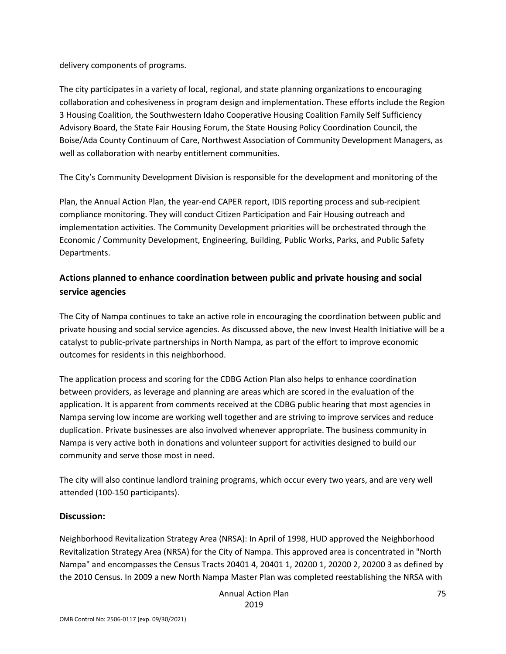delivery components of programs.

The city participates in a variety of local, regional, and state planning organizations to encouraging collaboration and cohesiveness in program design and implementation. These efforts include the Region 3 Housing Coalition, the Southwestern Idaho Cooperative Housing Coalition Family Self Sufficiency Advisory Board, the State Fair Housing Forum, the State Housing Policy Coordination Council, the Boise/Ada County Continuum of Care, Northwest Association of Community Development Managers, as well as collaboration with nearby entitlement communities.

The City's Community Development Division is responsible for the development and monitoring of the

Plan, the Annual Action Plan, the year-end CAPER report, IDIS reporting process and sub-recipient compliance monitoring. They will conduct Citizen Participation and Fair Housing outreach and implementation activities. The Community Development priorities will be orchestrated through the Economic / Community Development, Engineering, Building, Public Works, Parks, and Public Safety Departments.

## **Actions planned to enhance coordination between public and private housing and social service agencies**

The City of Nampa continues to take an active role in encouraging the coordination between public and private housing and social service agencies. As discussed above, the new Invest Health Initiative will be a catalyst to public-private partnerships in North Nampa, as part of the effort to improve economic outcomes for residents in this neighborhood.

The application process and scoring for the CDBG Action Plan also helps to enhance coordination between providers, as leverage and planning are areas which are scored in the evaluation of the application. It is apparent from comments received at the CDBG public hearing that most agencies in Nampa serving low income are working well together and are striving to improve services and reduce duplication. Private businesses are also involved whenever appropriate. The business community in Nampa is very active both in donations and volunteer support for activities designed to build our community and serve those most in need.

The city will also continue landlord training programs, which occur every two years, and are very well attended (100-150 participants).

#### **Discussion:**

Neighborhood Revitalization Strategy Area (NRSA): In April of 1998, HUD approved the Neighborhood Revitalization Strategy Area (NRSA) for the City of Nampa. This approved area is concentrated in "North Nampa" and encompasses the Census Tracts 20401 4, 20401 1, 20200 1, 20200 2, 20200 3 as defined by the 2010 Census. In 2009 a new North Nampa Master Plan was completed reestablishing the NRSA with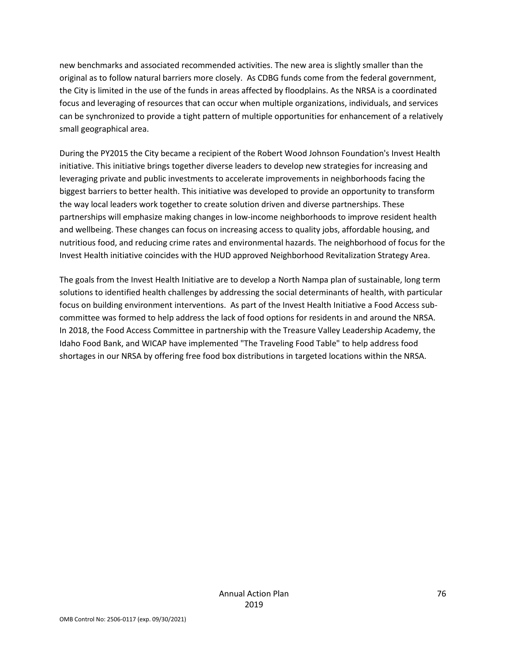new benchmarks and associated recommended activities. The new area is slightly smaller than the original as to follow natural barriers more closely. As CDBG funds come from the federal government, the City is limited in the use of the funds in areas affected by floodplains. As the NRSA is a coordinated focus and leveraging of resources that can occur when multiple organizations, individuals, and services can be synchronized to provide a tight pattern of multiple opportunities for enhancement of a relatively small geographical area.

During the PY2015 the City became a recipient of the Robert Wood Johnson Foundation's Invest Health initiative. This initiative brings together diverse leaders to develop new strategies for increasing and leveraging private and public investments to accelerate improvements in neighborhoods facing the biggest barriers to better health. This initiative was developed to provide an opportunity to transform the way local leaders work together to create solution driven and diverse partnerships. These partnerships will emphasize making changes in low-income neighborhoods to improve resident health and wellbeing. These changes can focus on increasing access to quality jobs, affordable housing, and nutritious food, and reducing crime rates and environmental hazards. The neighborhood of focus for the Invest Health initiative coincides with the HUD approved Neighborhood Revitalization Strategy Area.

The goals from the Invest Health Initiative are to develop a North Nampa plan of sustainable, long term solutions to identified health challenges by addressing the social determinants of health, with particular focus on building environment interventions. As part of the Invest Health Initiative a Food Access subcommittee was formed to help address the lack of food options for residents in and around the NRSA. In 2018, the Food Access Committee in partnership with the Treasure Valley Leadership Academy, the Idaho Food Bank, and WICAP have implemented "The Traveling Food Table" to help address food shortages in our NRSA by offering free food box distributions in targeted locations within the NRSA.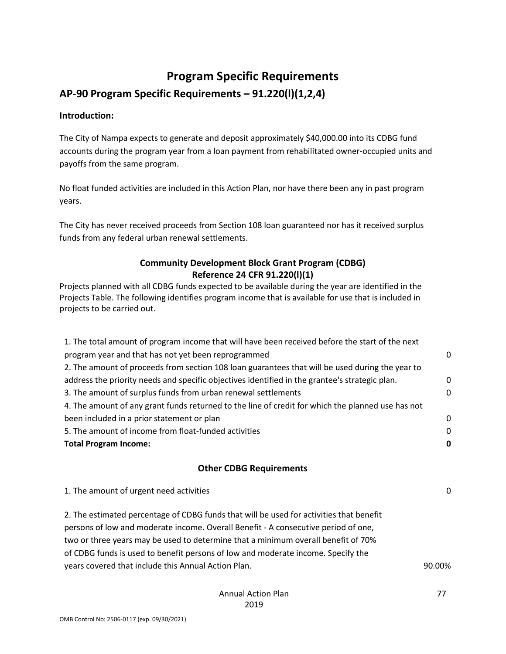# **Program Specific Requirements**

**AP-90 Program Specific Requirements – 91.220(l)(1,2,4)**

#### **Introduction:**

The City of Nampa expects to generate and deposit approximately \$40,000.00 into its CDBG fund accounts during the program year from a loan payment from rehabilitated owner-occupied units and payoffs from the same program.

No float funded activities are included in this Action Plan, nor have there been any in past program years.

The City has never received proceeds from Section 108 loan guaranteed nor has it received surplus funds from any federal urban renewal settlements.

## **Community Development Block Grant Program (CDBG) Reference 24 CFR 91.220(l)(1)**

Projects planned with all CDBG funds expected to be available during the year are identified in the Projects Table. The following identifies program income that is available for use that is included in projects to be carried out.

| 1. The total amount of program income that will have been received before the start of the next   |             |
|---------------------------------------------------------------------------------------------------|-------------|
| program year and that has not yet been reprogrammed                                               | 0           |
| 2. The amount of proceeds from section 108 loan guarantees that will be used during the year to   |             |
| address the priority needs and specific objectives identified in the grantee's strategic plan.    | $\mathbf 0$ |
| 3. The amount of surplus funds from urban renewal settlements                                     | $\mathbf 0$ |
| 4. The amount of any grant funds returned to the line of credit for which the planned use has not |             |
| been included in a prior statement or plan                                                        | 0           |
| 5. The amount of income from float-funded activities                                              | 0           |
| <b>Total Program Income:</b>                                                                      | 0           |
| <b>Other CDBG Requirements</b>                                                                    |             |
|                                                                                                   |             |
| 1. The amount of urgent need activities                                                           | 0           |
| 2. The estimated percentage of CDBG funds that will be used for activities that benefit           |             |
| persons of low and moderate income. Overall Benefit - A consecutive period of one,                |             |
| two or three years may be used to determine that a minimum overall benefit of 70%                 |             |
| of CDBG funds is used to benefit persons of low and moderate income. Specify the                  |             |
| years covered that include this Annual Action Plan.                                               | 90.00%      |